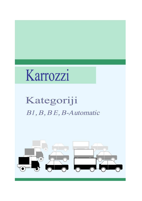# Karrozzi

## Kategoriji B1, B, BE, B-Automatic

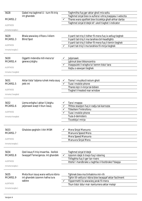| 5628                | Qabel ma taghmel U - turn fit-triq                                      |              | Taghmilha fuq ger aktar gholi mis-soltu                                                      |
|---------------------|-------------------------------------------------------------------------|--------------|----------------------------------------------------------------------------------------------|
|                     | int ghandek                                                             |              | Taghmel sinjal biex ix-xufiera I-ohra jnaqqasu I-velocita                                    |
| MCARS1.2            |                                                                         | ✓            | Thares wara spalltek biex ticcekkja ghall-ahhar darba                                        |
| <b>ALERTNESS</b>    |                                                                         |              | Taghmel sinjal b'idejk kif ukoll tixghel l-indicator                                         |
| Immarka twegiba 1   |                                                                         |              |                                                                                              |
| 5629                | Bhala sewwieg x'ifissru l-kliem                                         |              | II-parti tat-triq li tidher fil-mera fuq ix-xellug tieghek                                   |
| MCARS1.3            | <b>Blind Spot</b>                                                       |              | Il-parti tat-triq li ma tarahiex bil-headlights                                              |
| <b>ALERTNESS</b>    |                                                                         |              | Il-parti tat-triq li tidher fil-mera fuq il-lemin tieghek                                    |
| Immarka twegiba 1   |                                                                         |              | Il-part tat-triq li ma tarahiex fil-mirja tieghek                                            |
|                     |                                                                         |              |                                                                                              |
| 5630                | Oggetti mdendla mill-mera ta'                                           |              | Jaljenawk                                                                                    |
| MCARS1.4            | gewwa jistghu                                                           |              | Jghinuk biex tikkoncentra                                                                    |
|                     |                                                                         | ✓            | Inaqqsulek il-wisgha ta' kemm tista' tara                                                    |
| <b>ALERTNESS</b>    |                                                                         |              | Itejbu s-sewgan tieghek                                                                      |
| Immarka 2 twegibiet |                                                                         |              |                                                                                              |
|                     |                                                                         |              |                                                                                              |
| 5631                | Aktar tista' taljena ruhek meta ssuq                                    | ✔            | Tisma' I-muzika b'volum gholi                                                                |
| MCARS1.5            | jekk int                                                                | ✓            | Tuza I-mobile phone                                                                          |
|                     |                                                                         |              | Thares lejn il-mirja tal-bibien                                                              |
| <b>ALERTNESS</b>    |                                                                         |              | Tixghel il-heated rear window                                                                |
| Immarka 2 twegibiet |                                                                         |              |                                                                                              |
|                     |                                                                         |              |                                                                                              |
| 5632                | Liema erbgha I-aktar li jistghu                                         |              | Tara I-mappa                                                                                 |
| MCARS1.6            | jaljenawk waqt li tkun issuq                                            |              | Tfittex stazzjon fuq ir-radju tal-karrozza                                                   |
| <b>ALERTNESS</b>    |                                                                         | $\checkmark$ | Titkellem f'mikrofonu                                                                        |
|                     |                                                                         |              | Tuza I-mobile phone                                                                          |
| Immarka 4 twegibiet |                                                                         |              | Tuza d-demisters                                                                             |
|                     |                                                                         |              | Ticcekkja I-mirja                                                                            |
|                     |                                                                         |              |                                                                                              |
| 5633                | Ghalxiex geghdin I-ittri MSM                                            |              | Mera Sinjal Manuvra                                                                          |
| MCARS1.7            |                                                                         |              | Manuvra Speed Mera                                                                           |
| <b>ALERTNESS</b>    |                                                                         |              | Mera Speed Manuvra                                                                           |
|                     |                                                                         |              | Manuvra Sinjal Mera                                                                          |
| Immarka twegiba 1   |                                                                         |              |                                                                                              |
|                     |                                                                         |              |                                                                                              |
| 5634<br>MCARS1.8    | Qed issuq fi triq imxarrba. Ikollok<br>twaqqaf f'emergenza. Int ghandek | ✓            | Taghmel sinjal b'idejk<br>Izzomm idejk it-tnejn fuq I-istering                               |
|                     |                                                                         |              | Titfaghha fuq il-ger tar-rivers                                                              |
| <b>ALERTNESS</b>    |                                                                         |              | Ittella' I-handbrake u taghfas il-footbrake f'daqqa                                          |
| Immarka twegiba 1   |                                                                         |              |                                                                                              |
|                     |                                                                         |              |                                                                                              |
| 5635<br>MCARS1.9    | Meta tkun issuq wara vettura kbira<br>int ghandek izzomm hafna lura     |              | Tghinek biex ma tinhakimx mir-rih<br>Tghin lill-vettura I-kbira biex twaqqaf aktar facilment |
|                     | sabiex                                                                  | ✓            | Tippermetti lis-sewwieq jarak fil-mera                                                       |
| <b>ALERTNESS</b>    |                                                                         |              | Tkun tista' ddur mal- kantuniera aktar malajr                                                |
|                     |                                                                         |              |                                                                                              |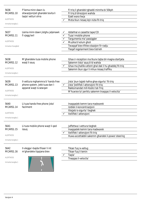| 5636<br>MCARS1.10<br><b>ALERTNESS</b><br>Immarka twegiba 1   | F'liema minn dawn is-<br>sitwazzjonijiet ghandek tevita li<br>taqla' vetturi ohra            |              | Fi triq li ghandek tghaddi minnha bi 50kph<br>Fi triq b'direzzjoni wahda<br>Ezatt wara liwja<br>Meta tkun riesaq lejn nizla fit-triq                                                         |
|--------------------------------------------------------------|----------------------------------------------------------------------------------------------|--------------|----------------------------------------------------------------------------------------------------------------------------------------------------------------------------------------------|
| 5637<br>MCARS1.11<br><b>ALERTNESS</b><br>Immarka 4 twegibiet | Liema minn dawn jistghu jaljenawk<br>fi vjagg twil                                           | ✓<br>✓       | Iddahhal xi cassette tape/CD<br>Tuza I-mobile phone<br>Targumenta ma' passiggier<br>Muzika b'volum gholi<br>Twaqqaf biex tfittex stazzjon fir-radju<br>Tiegaf regolarment biex tistrieh      |
| 5638<br>MCARS1.12<br><b>ALERTNESS</b><br>Immarka twegiba 1   | M'ghandekx tuza mobile phone<br>waqt li ssuq                                                 |              | Ghax ir-reception ma tkunx tajba bil-magna startjata<br>Sakemm tista' ssuq b'id wahda<br>Ghax ma jhallikx attent ghal dak li hu ghaddej fit-trig<br>Sakemm tkun zgur li mhux riesag traffiku |
| 5639<br>MCARS1.13<br><b>ALERTNESS</b><br>Immarka twegiba 1   | Il-vettura mghammra b'hands-free<br>phone system. Jekk tuza dan I-<br>apparat waqt is-sewqan | $\checkmark$ | Jista' jkun tajjeb hafna ghas-sigurta` fit-triq<br>Jista' jtelliflek l-attenzjoni fit-triq<br>Rakkomandat mill-Kodici tat-Triq<br>M'huwiex ta' periklu sakemm tnaqqas il-velocita`           |
| 5640<br>MCARS1.14<br>ALERTNESS<br>Immarka twegiba 1          | Li tuza hands-free phone jista'<br>facilment                                                 |              | Inaqqaslek kemm tara madwarek<br>Izidlek il-koncentrazzjoni<br>Ittejjeb is-sigurta` tieghek<br>Itelliflek I-attenzjoni                                                                       |
| 5641<br>MCARS1.15<br><b>ALERTNESS</b><br>Immarka twegiba 1   | Li tuza mobile phone waqt li qed<br>issuq                                                    |              | Jaffettwa I-vettura tieghek<br>Inaqqaslek kemm tara madwarek<br>Itelliflek I-attenzjoni fit-triq<br>Huwa accettabbli sakemm ghandek il-power steering                                        |
| 5642<br>MCARS1.16<br><b>ALERTNESS</b><br>Immarka twegiba 1   | II-vlegga I-bajda tfisser li int<br>m'ghandekx tippjana biex                                 |              | Tikser fuq ix-xellug<br>Tikser fuq il-lemin<br>Taqla'<br>Tnaqqas il-velocita`                                                                                                                |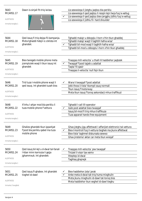| 5643<br>MCARS1.17<br><b>ALERTNESS</b><br>Immarka twegiba 1   | Dawn is-sinjali fit-triq iwissu                                                                    | $\checkmark$ | Lis-sewwieqa li jistghu jaqbzu bla periklu<br>Lis-sewwieqa li qed jaqbzu li resqin lejn liwja fuq ix-xellug<br>Lis-sewwieqa li qed jaqbzu biex jergghu jidhlu fuq ix-xellug<br>Lis-sewwiega li jidhlu fil- hard shoulder |
|--------------------------------------------------------------|----------------------------------------------------------------------------------------------------|--------------|--------------------------------------------------------------------------------------------------------------------------------------------------------------------------------------------------------------------------|
| 5644<br>MCARS1.18<br><b>ALERTNESS</b><br>Immarka twegiba 1   | Qed issuq fi triq dejqa fil-kampanja.<br>Meta tghaddi hdejn ic-ciklista int<br>ghandek:            |              | Tghaddi malajr u ddoqqlu I-horn x'hin tkun ghaddej<br>Tghaddi malajr waqt li taghtih hafna wisa'<br>Tghaddi bil-mod waqt li taghtih hafna wisa'<br>Tghaddi bil-mod u ddoqqlu l-horn x'hin tkun ghaddej                   |
| 5645<br>MCARS1.19<br><b>ALERTNESS</b><br>Immarka twegiba 1   | Biex twiegeb mobile phone meta<br>jcemplulek waqt li tkun issuq int<br>ghandek                     |              | Tnaqqas mill-velocita` u thalli lil haddiehor jaqbzek<br>Twaqqaf f'post tajjeb u adattat<br>Taqta' fil-qasir<br>Tnaqqas il-velocita` kull fejn tkun                                                                      |
| 5646<br>MCARS1.20<br><b>ALERTNESS</b><br>Immarka twegiba 1   | Trid tuza l-mobile phone waqt li<br>ged issug. Int ghandek tuzah biss                              |              | Wara li twaqqaf f'post adattat<br>Jekk thoss li tista' tkompli ssuq normali<br>Tkun issuq f'motorway<br>Meta tkun issuq f'toroq sekondarji mhux traffikuzi                                                               |
| 5648<br>MCARS1.22<br><b>ALERTNESS</b><br>Immarka tweqiba 1   | X'inhu l-ahjar mod bla periklu li<br>tuza mobile phone f'vettura                                   |              | Tghaddi I-call lill-operator<br>Issib post adattat biex twaqqaf<br>Issuq bil-mod fi triq mhux traffikuza<br>Tuza apparat hands-free equipment                                                                            |
| 5649<br>MCARS1.23<br>ALERTNESS<br>Immarka twegiba 1          | Ghaliex ghandek tkun ipparkjat<br>f'post bla periklu qabel ma tuza<br>mobile phone                 |              | Ghax jistghu jigu affettwati l-affarijiet elettronici tal-vettura<br>Biex il-kontroll fuq il-vettura tieghek ma jkunx affettwat<br>Biex tista' taghmel diskursata sewwa<br>Ghax jinstema' aktar car meta tkun wieqaf     |
| 5650<br>MCARS1.24<br><b>ALERTNESS</b><br>Immarka twegiba 1   | Qed issuq bil-lejl u d-dwal tal-fanali<br>I-kbar minn karrozza li gejja<br>jghammxuk. Int ghandek: |              | Tnaqqas mill-velocita` jew twaqqaf<br>Tnizzel il-visor tax-xemx<br>Itteptep id-dwal<br>Taghlaq ghajnejk                                                                                                                  |
| 5651<br>MCARS1.25<br><b>ALERTNESS</b><br>Immarka 2 twegibiet | Qed issuq fl-ghabex. Int ghandek<br>tixghel id-dawl                                                |              | Biex haddiehor jista' jarak<br>Anke meta d-dwal tat-triq huma mixghulin<br>Meta jkunu mixghulin id-dawl tat-toroq biss<br>Meta haddiehor ikun xeghel id-dawl tieghu                                                      |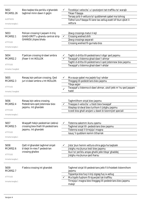| 5652<br>MCARS1.26<br><b>ALERTNESS</b><br>Immarka twegiba 1 | Biex taqbez bla periklu x'ghandek<br>taghmel minn dawn li gejjin                                       |   | Ticcekkja l-velocita` u l-pozizzjoni tat-traffiku ta' warajk<br>Tikser f'daqqa<br>Tersaq qrib il-vettura ta' quddiemek qabel ma tohrog<br>Tidhol lura f'daqqa fil-lane tax-xellug ezatt kif tkun qbizt il-<br>vettura                               |
|------------------------------------------------------------|--------------------------------------------------------------------------------------------------------|---|-----------------------------------------------------------------------------------------------------------------------------------------------------------------------------------------------------------------------------------------------------|
| 5653<br>MCARS2.1<br><b>ATTITUDE</b><br>Immarka twegiba 1   | Pelican crossing li jaqsam it-triq<br>GHAD-DRITT u ghandu central strip<br><b>GHANDU</b> jitgies bhala | ✓ | Zewg crossings matul il-lejl<br>Crossing wiehed shih<br>Zewg crossings separati<br>Crossing wiehed fil-gurnata biss                                                                                                                                 |
| 5654<br>MCARS2.2<br><b>ATTITUDE</b><br>Immarka 2 twegibiet | F'pelican crossing id-dawl ambra<br>jfisser li int IKOLLOK                                             |   | Taghti d-dritta lill-pedestrians li diga' qed jaqsmu<br>Twaqqaf u tistenna ghad-dawl l-ahmar<br>Taghti d-dritta lill-pedestrians li qed jistennew biex jaqsmu<br>Twaqqaf u tistenna ghad-dawl I-ahdar                                               |
| 5655<br>MCARS2.3<br><b>ATTITUDE</b><br>Immarka 2 twegibiet | Riesaq lejn pelican crossing. Qed<br>juri d-dawl ambra u Int IKOLLOK:                                  |   | Ma ssuqx qabel ma jaqleb fuq l-ahdar<br>Theggeg lill-pedestrians biex jaqsmu<br>Tibqa sejjer<br>Twaqqaf u tistenna d-dawl ahmar, ukoll jekk m' hu qed jaqsam<br>hadd                                                                                |
| 5656<br>MCARS2.4<br><b>ATTITUDE</b><br>Immarka twegiba 1   | Riesaq lejn zebra crossing.<br>Pedestrians ged jistennew biex<br>jagsmu. Int ghandek                   |   | Taghmlilhom sinjal biex jaqsmu<br>Tnaqqas il-velocita` u tlesti biex twaqqaf<br>Itteptep id-dwal biex turihom li jistghu jaqsmu<br>Iccedi biss ghall-anzjani u dawk bi bzonnijiet speciali                                                          |
| 5657<br>MCARS2.5<br>ATTITUDE<br>Immarka twegiba 1          | Waqqaft hdejn pedestrian (zebra)<br>crossing biex thalli lill-pedestrians<br>jagsmu. Int ghandek       |   | Tistenna sakemm ikunu qasmu<br>Taghmel sinjal lill- pedestrians biex jaqsmu<br>Tistenna waqt li tirrejzja l-magna<br>Issuq 'il quddiem kemm titharrek                                                                                               |
| 5658<br>MCARS2.6<br>ATTITUDE<br>Immarka twegiba 1          | Qatt m'ghandek taghmel sinjali<br>b'idejk lin-nies f' pedestrian<br>crossing ghaliex                   |   | Jista' jkun hemm vettura ohra gejja ha taqbzek<br>Jistghu ma jkunux lesti biex jaqsmu<br>Ikun ta' periklu angas ghalik jekk tibqa' ghaddej<br>Jistghu ma jkunux qed iharsu                                                                          |
| 5659<br>MCARS2.7<br><b>ATTITUDE</b><br>Immarka twegiba 1   | F'zebra crossing int ghandek                                                                           |   | Taghmel sinjal lill-pedestrians jekk fi b'hsiebek tistennihom<br>jaqsmu<br>Tipparkja biss fuq il-linji zigzag fuq ix-xellug<br>Ma tiqafx fuqhom fil-kjuwijiet tat-traffiku<br>Tirrejzja I-magna biex theggeg lill-pedestrians biex jagsmu<br>malajr |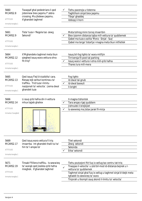| 5660<br>MCARS2.8<br><b>ATTITUDE</b><br>Immarka twegiba 1  | Twaqqaf ghal pedestrians li qed<br>jistennew biex jaqsmu f' zebra<br>crossing. Ma jibdewx jaqsmu.<br>X'ghandek taghmel                                          | Tiehu pacenzja u tistenna<br>Taghtihom sinjal biex jaqsmu<br>Tibqa' ghaddej<br>Iddogg il-horn                                                                                                                                                           |
|-----------------------------------------------------------|-----------------------------------------------------------------------------------------------------------------------------------------------------------------|---------------------------------------------------------------------------------------------------------------------------------------------------------------------------------------------------------------------------------------------------------|
| 5661<br>MCARS2.9<br><b>ATTITUDE</b><br>Immarka twegiba 1  | Tista' tuza r-'Regola taz-zewg<br>Sekondi'                                                                                                                      | Meta tohrog minn torog imxarrbin<br>Biex izzomm distanza tajba mill-vettura ta' quddiemek<br>Qabel ma tuza s-solita 'Mera - Sinjal - Suq'<br>Qabel ma terga' tistartja l-magna meta tkun intfietlek                                                     |
| 5664<br>MCARS2.12<br><b>ATTITUDE</b><br>Immarka twegiba 1 | X'Mghandekx taghmel meta tkun<br>gieghed issug wara vettura ohra<br>fit-trig?                                                                                   | Issuq bil-fog lights ta' wara mitfijin<br>Tirriversja fil-post tal-parking<br>Issuq wara I-vettura I-ohra mill-qrib hafna<br>Thares lura mill-mera                                                                                                      |
| 5665<br>MCARS2.13<br><b>ATTITUDE</b><br>Immarka twegiba 1 | Qed issuq f'lejl b'vizzibilta' cara.<br>Riesaq lejk serbut kontinwu ta'<br>traffiku. Trid tuza I-limitu<br>nazzjonali ta' velocita`. Liema dwal<br>ghandek tuza | Fog lights<br>Id-dwal tal-gnub<br>Id-dwal baxxuti<br>II-bright                                                                                                                                                                                          |
| 5666<br>MCARS2.14<br><b>ATTITUDE</b>                      | Li ssuq qrib hafna din il-vettura<br>mhux tajjeb ghaliex                                                                                                        | II-magna tishonlok<br>Tara angas x'gej quddiem<br>Jishnulek il-brejkijiet<br>Is-sewwieg ma jistax jarak fil-mirja<br>✓                                                                                                                                  |
| Immarka 2 twegibiet                                       |                                                                                                                                                                 |                                                                                                                                                                                                                                                         |
| 5669<br>MCARS2.17<br><b>ATTITUDE</b><br>Immarka twegiba 1 | Qed issuq wara vettura fi triq<br>imxarrba. Int ghandek thalli tul ta'<br>hin ta' I-angas ta'                                                                   | Tliet sekondi<br>Zewg sekondi<br>Sekonda<br>Erba' sekondi                                                                                                                                                                                               |
| 5671<br>MCARS2.19<br><b>ATTITUDE</b><br>Immarka twegiba 1 | Tinsab f'filliera traffiku. Is-sewwieq<br>ta' warajk qed jissikka qrib hafna<br>mieghek. X'ghandek taghmel                                                      | Tiehu pozizzjoni ftit fuq ix-xellug tac-centru tat-triq<br>Tnaqqas il-velocita` u zzid bil-mod id-distanza bejnek u l-<br>✓<br>vettura ta' quddiemek<br>Taghmel sinjal ghal fuq ix-xellug u taghmel sinjal b'idejk meta<br>tghaddi lis-sewwieq ta' wara |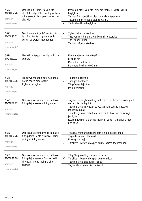| 5672<br>MCARS2.20<br><b>ATTITUDE</b><br>Immarka twegiba 1 | Qed issuq fil-limitu ta' velocita`<br>stipulat bil-ligi. Fil-pront tigi vettura<br>minn warajk itteptiplek id-dawl. Int<br>ghandek | Izzomm I-istess velocita` biex ma thallix lill-vettura milli<br>taqilghek<br>Taghfas ftit il-brejkijiet biex turi d-dwal taghhom<br>Tacellera biex tohloq distanza warajk<br>Thalli lill-vettura taqilghek<br>$\checkmark$                                                                                                                 |
|-----------------------------------------------------------|------------------------------------------------------------------------------------------------------------------------------------|--------------------------------------------------------------------------------------------------------------------------------------------------------------------------------------------------------------------------------------------------------------------------------------------------------------------------------------------|
| 5673<br>MCARS2.21<br><b>ATTITUDE</b><br>Immarka twegiba 1 | Qed tistenna fi kju ta' traffiku bil-<br>lejl. Biex tevita li tghammex il-<br>vetturi ta' warajk int ghandek                       | Tigbed il-handbrake biss<br>Tuza kemm il-handbrake u kemm il-footbrake<br>Titfi I-fanali I-kbar<br>Taghfas il-footbrake biss                                                                                                                                                                                                               |
| 5674<br>MCARS2.22<br><b>ATTITUDE</b><br>Immarka twegiba 1 | Meta tista' taqbez I-oghla limitu ta'<br>velocita                                                                                  | Meta ma jkunx hemm traffiku<br>Fl-ebda hin<br>$\checkmark$<br>Meta tkun qed taqla'<br>Bejn nofs il-lejl u s-6.00 a.m.                                                                                                                                                                                                                      |
| 5678<br>MCARS2.26<br><b>ATTITUDE</b><br>Immarka twegiba 1 | Trakk twil mghobbi sew qed jiehu<br>hafna zmien biex jaqzek.<br>X'ghandek taghmel                                                  | Tibdel id-direzzjoni<br>Tnaqqas il-velocita`<br>✓<br>Tibqa' ghaddej kif int<br>Izzid il-velocita                                                                                                                                                                                                                                           |
| 5679<br>MCARS2.27<br><b>ATTITUDE</b><br>Immarka twegiba 1 | Qed issuq vettura b'velocita` baxxa<br>fi triq dejqa sserrep. Int ghandek:                                                         | Taghmel sinjal ghax-xellug meta ma jkunx hemm periklu ghall-<br>vetturi biex jaqilghluk<br>Taghmel sinjal lill-vetturi ta' warajk jekk tahseb li jistghu<br>jagilghuk malajr<br>Tidhol 'il gewwa meta tista' biex thalli lill-vetturi ta' warajk<br>jaqilghu<br>Izzomm fuq barra biex ma thallix lill-vetturi jaqilghuk b'mod<br>perikoluz |
| 5680<br>MCARS2.28<br>ATTITUDE<br>Immarka twegiba 1        | Qed issuq vettura b'velocita` baxxa<br>fi triq dejqa. Meta t-traffiku jixtieq<br>jagilghek int ghandek:                            | Twaqqaf minnufih u taghtihom sinjal biex jaqilghuk<br>Tixghel id-dwal tal-hazard<br>Ma taghmel xejn<br>Titrekken 'il gewwa bla periklu meta tista' taghmel dan                                                                                                                                                                             |
| 5681<br>MCARS2.29<br><b>ATTITUDE</b><br>Immarka twegiba 1 | Qed issuq vettura b'velocita` baxxa<br>fi triq dejqa sserrep. Sabiex thalli<br>lill-vetturi l-ohra jaqilghuk int<br>ghandek        | Tibqa' fuq ix-xellug u kompli kif kont<br>Titrekken 'il gewwa bla periklu meta tista'<br>✓<br>Taghmel sinjal ghal fuq ix-xellug<br>Taghmlilhom sinjal biex jaqilghuk                                                                                                                                                                       |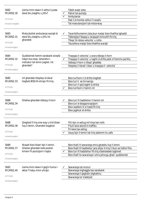| 5682<br>MCARS2.30<br><b>ATTITUDE</b><br>Immarka 2 twegibiet | Liema minn dawn il-vetturi juzaw<br>dwal blu jixeghlu u jitfu?                                               | ✓ | Tabib waqt vista<br>Patrol tal-pulizija<br>Ambulanza<br>Dak li jirmonka vetturi li waqfu<br>Tal-manutenzjoni tal-motorway                                                                                                                     |
|-------------------------------------------------------------|--------------------------------------------------------------------------------------------------------------|---|-----------------------------------------------------------------------------------------------------------------------------------------------------------------------------------------------------------------------------------------------|
| 5683<br>MCARS2.31<br><b>ATTITUDE</b><br>Immarka twegiba 1   | Meta jkollok ambulanza warajk bi<br>dwal blu jixeghlu u jitfu int<br>ghandek:                                | ✔ | Twarrbilha kemm jista jkun malajr biex thalliha tghaddi<br>Tibbrejkja f'daqqa u twaqqaf minnufih fit-triq<br>Tibqa' bl-istess velocita` u rotta<br>Taccellera malajr biex thalliha warajk                                                     |
| 5684<br>MCARS2.32<br>ATTITUDE<br>Immarka twegiba 1          | Quddiemek hemm xarabank wieqfa<br>hdejn bus stop. Ghandha I-<br>indicator tal-lemin jixghel. Int<br>ghandek? | ✓ | Tnaqqas il-velocita` u wara ddoqq il-horn<br>Tnaqqas il-velocita` u taghti d-dritta jekk m'hemmx periklu<br>Iddoqq il-horn u tibqa' ghaddej<br>Itteptep il-fanali l-kbar u tnaggas il- velocita`                                              |
| 5685<br>MCARS2.33<br><b>ATTITUDE</b><br>Immarka twegiba 1   | Int ghandek itteptep id-dwal<br>tieghek BISS lill-ohrajn fit-triq:                                           | ✓ | Biex turihom li d-dritta tieghek<br>Biex turi li se tirriversja<br>Biex turi li qed taghti d-dritta<br>Biex turihom li hemm int                                                                                                               |
| 5686<br>MCARS2.34<br><b>ATTITUDE</b><br>Immarka twegiba 1   | Ghaliex ghandek iddoqq il-horn                                                                               |   | Biex turi lil haddiehor li hemm int<br>Biex turi d-disapprovazzjoni<br>Biex issellem lil xi hadd fit-trig<br>Biex jaghtuk id-dritta                                                                                                           |
| 5688<br>MCARS2.36<br><b>ATTITUDE</b><br>Immarka twegiba 1   | Qieghed fi triq one-way u trid tikser<br>fuq il-lemin. Ghandek toqghod                                       |   | Ftit lejn ix-xellug mil-linja tan-nofs<br>F'kull lane skond it-traffiku<br>Fil-lane tax-xellug<br>Issuq lejn il-lemin tat-triq sakemm hu safe                                                                                                 |
| 5689<br>MCARS2.37<br><b>ATTITUDE</b><br>Immarka twegiba 1   | Wasalt biex tikser lejn il-lemin.<br>Ghaliex ghandek issib postok<br>kmieni fil-pozizzjoni t-tajba           |   | Biex thalli lil sewwieqa ohra jghaddu fuq il-lemin<br>Biex thalli lil haddiehor jara ahjar it-triq li tkun se tidhol fiha<br>Biex turi lil haddiehor fit-triq x'behsiebek taghmel<br>Biex thalli lis-sewwiega l-ohra johorgu ghall- quddiemek |
| 5692<br>MCARS2.40<br>ATTITUDE<br>Immarka twegiba 1          | Liema minn dawn li gejjin huma I-<br>aktar f'riskju minn ohrajn                                              | ✓ | Sewwieqa tal-muturi<br>Sewwieqa mghaggla tax-xarabank<br>Sewwiega li geghdin jitghallmu<br>Sewwiega ta' trakkijiet                                                                                                                            |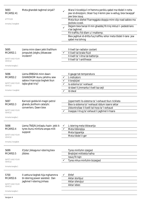| 5693<br>MCARS2.41<br><b>ATTITUDE</b><br>Immarka 2 twegibiet                  | Meta ghandek taghmel sinjali?                                                                              | ✓ | Wara li ticcekkja li m'hemmx periklu qabel ma tibdel ir-rotta<br>jew id-direzzjoni, tikser fuq il-lemin jew ix-xellug, biex twaqqaf<br>jew biex issuq<br>Meta tkun diehel f'karreggjata doppja minn slip road sabiex ma<br>jkollokx iccedi.<br>Dejjem biex twissi lil min ghaddej fit-triq inkluzi l- pedestrians<br>x'se taghmel.<br>Fit-traffiku fid-dlam u l-maltemp.<br>Biex jaghtuk id-dritta fug traffiku iehor meta tibdel il-lane jew<br>qabel ma tohroq |
|------------------------------------------------------------------------------|------------------------------------------------------------------------------------------------------------|---|------------------------------------------------------------------------------------------------------------------------------------------------------------------------------------------------------------------------------------------------------------------------------------------------------------------------------------------------------------------------------------------------------------------------------------------------------------------|
| 5695<br>MCARS3.1<br>SAFETY AND YOUR<br>VEHICLE<br>Immarka twegiba 1          | Liema minn dawn jekk thallihom<br>jongsulek jistghu jikkawzaw<br>incident?                                 |   | Il-livell tar-radiator coolant<br>II-livell tal-brake fluid<br>Il-livell ta' l-ilma tal-batterija<br>Il-livell ta' l-antifreeze                                                                                                                                                                                                                                                                                                                                  |
| 5696<br>MCARS3.2<br>SAFETY AND YOUR<br><b>VEHICLE</b><br>Immarka 4 twegibiet | Liema ERBGHA minn dawn<br>GHANDHOM ikunu jahdmu sew<br>sabiex il-karrozza tieghek tkun<br>tajba ghat-triq? | ✓ | Il-gauge tat-temperatura<br>L-indicators<br>II-brejkijiet<br>Is-sistema ta' I-exhaust<br>id-dawl li jimmarka l-livell taz-zejt<br>Id-dwal                                                                                                                                                                                                                                                                                                                        |
| 5697<br>MCARS3.3<br>SAFETY AND YOUR<br><b>VEHICLE</b><br>Immarka tweqiba 1   | Karrozzi godda bil-magni petrol<br>ghandu jkollhom catalytic<br>converters. Dawn biex                      | ✓ | Jippermetti lis-sistema ta' l-exhaust tkun riciklata<br>Biex is-sistema ta' l-exhaust iddum isservi aktar<br>Jikkontrollaw il-livelli tal-hoss ta' l-exhaust<br>Inaqqas I-hruq ta' exhaust li jaghmel il-hsara                                                                                                                                                                                                                                                   |
| 5698<br>MCARS3.4<br>SAFETY AND YOUR<br><b>VEHICLE</b><br>Immarka 2 twegibiet | Liema TNEJN jintlaqtu hazin jekk it-<br>tyres ikunu minfuha angas milli<br>suppost                         |   | L-istering meta tikkwartja<br>Meta tibbrejkja<br>Meta tipparkja<br>Meta tibdel il-ger                                                                                                                                                                                                                                                                                                                                                                            |
| 5699<br>MCARS3.5<br>SAFETY AND YOUR<br>VEHICLE<br>Immarka twegiba 1          | X'jista' jikkaguna l-istering biex<br>jibbies                                                              |   | Tyres minfuhin izzejjed<br>Brejkijiet mittiekla hafna<br>Issuq fit-tajn<br>Tyres mhux minfuhin bizzejjed                                                                                                                                                                                                                                                                                                                                                         |
| 5700<br>MCARS3.6<br>SAFETY AND YOUR<br><b>VEHICLE</b><br>Immarka twegiba 1   | II-vettura tieghek hija mghammra<br>bl-istering power assisted. Dan<br>jaghmel I-istering jinhass          |   | Ehfef<br>Aktar storbjuz<br>Aktar silenzjuz<br>Aktar iebes                                                                                                                                                                                                                                                                                                                                                                                                        |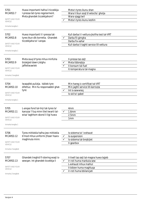| 5701                                             | Huwa importanti hafna li ticcekkja                                            |                                  | Meta t-tyres ikunu shan                      |
|--------------------------------------------------|-------------------------------------------------------------------------------|----------------------------------|----------------------------------------------|
| I-pressa tat-tyres regolarment.<br>MCARS3.7      |                                                                               |                                  | Wara li tkun soqt b'velocita` gholja         |
|                                                  | Meta ghandek ticcekkjahom?                                                    |                                  | Wara vjagg twil                              |
| SAFETY AND YOUR<br><b>VEHICLE</b>                |                                                                               |                                  | Meta t-tyres ikunu keshin                    |
| Immarka twegiba 1                                |                                                                               |                                  |                                              |
| 5702                                             | Huwa importanti li l-pressa tat-                                              |                                  | Kull darba li l-vettura jkollha test tal-VRT |
| MCARS3.8                                         | tyres tkun dik korretta. Ghandek                                              |                                  | Darba fil-gimgha                             |
|                                                  | ticcekkjaha ta' l-anqas                                                       |                                  | Darba fix-xahar                              |
| SAFETY AND YOUR<br><b>VEHICLE</b>                |                                                                               |                                  | Kull darba li taghti service lill-vettura    |
| Immarka twegiba 1                                |                                                                               |                                  |                                              |
| 5703                                             | Meta ssuq b'tyres mhux minfuha                                                |                                  | Il-pressa taz-zejt                           |
| MCARS3.9                                         | bizzejjed dawn jistghu                                                        | ✓                                | Meta tibbrejkja                              |
|                                                  | jaffettwawlek                                                                 |                                  | II-konsum tal-fuel                           |
| SAFETY AND YOUR<br><b>VEHICLE</b>                |                                                                               |                                  | It-temperatura tal-magna                     |
| Immarka 2 twegibiet                              |                                                                               |                                  |                                              |
| 5704                                             | Iwaqqfek pulizija. Isiblek tyre                                               |                                  | Min hareg ic-certifikat tal-VRT              |
| difettuz. Min hu responsabbli ghat-<br>MCARS3.10 |                                                                               | Min jaghti service lill-karrozza |                                              |
|                                                  | tyre:                                                                         | ✓                                | Int is-sewwieq                               |
| SAFETY AND YOUR<br><b>VEHICLE</b>                |                                                                               |                                  | Is-sid ta' qabel                             |
| Immarka twegiba 1                                |                                                                               |                                  |                                              |
| 5705                                             |                                                                               |                                  |                                              |
| MCARS3.11                                        | L-angas fond tal-linji tat-tyres ta'<br>karozza 'l fuq minn tliet kwarti tal- |                                  | 4mm<br>1.6 <sub>mm</sub>                     |
|                                                  | wisa' taghhom skond il-ligi huwa                                              |                                  | 2.5mm                                        |
| SAFETY AND YOUR<br><b>VEHICLE</b>                |                                                                               |                                  | 1 <sub>mm</sub>                              |
| Immarka tweqiba 1                                |                                                                               |                                  |                                              |
|                                                  |                                                                               |                                  |                                              |
| 5706                                             | Tyres mittiekla hafna jew mittiekla                                           |                                  | Is-sistema ta' I-exhaust                     |
| MCARS3.12                                        | b'mod mhux uniformi jfisser hsara                                             | ✓                                | Is-suspension                                |
|                                                  | maghmula minn:                                                                |                                  | Is-sistema tal-brejkijiet                    |
| SAFETY AND YOUR<br><b>VEHICLE</b>                |                                                                               |                                  | II-gearbox                                   |
| Immarka 2 twegibiet                              |                                                                               |                                  |                                              |
| 5707                                             | Ghandek treghid fl-istering waqt is-                                          |                                  | II-livell taz-zejt tal-magna huwa tajjeb     |
| MCARS3.13                                        | sewqan. Int ghandek ticcekkja li                                              |                                  | Ir-roti huma marbuta sew                     |
|                                                  |                                                                               |                                  | L-exhaust mhux mahlul                        |
| SAFETY AND YOUR<br><b>VEHICLE</b>                |                                                                               |                                  | Il-bibien huma maghluqa                      |
| Immarka 2 twegibiet                              |                                                                               |                                  | Ir-roti huma bbilancjati                     |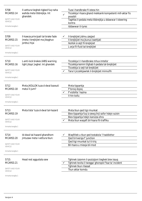| 5708<br>MCARS3.14                 | II-vettura tieghek tigbed fuq naha              |              | Tuza I-handbrake fl-istess hin                                         |
|-----------------------------------|-------------------------------------------------|--------------|------------------------------------------------------------------------|
|                                   | wahda meta tibbrejkja. Int<br>ghandek:          | $\checkmark$ | Ticcekkja I-hsara ghand mekkanik kompetenti mill-aktar fis<br>possibli |
| SAFETY AND YOUR<br><b>VEHICLE</b> |                                                 |              | Taghfas il-pedala meta tibbrejkja u ddawwar l-isteering<br>kontra      |
| Immarka twegiba 1                 |                                                 |              | Iddawwar it-tyres                                                      |
|                                   |                                                 |              |                                                                        |
| 5709                              | II-kawza principali tal-brake fade              |              | II-brejkijiet jishnu zzejjed                                           |
| MCARS3.15                         | (meta I-brejkijiet ma jibqghux<br>jorbtu) hija: |              | II-brejkijiet ma jkunux issettjati                                     |
| SAFETY AND YOUR<br><b>VEHICLE</b> |                                                 |              | Ikollok iz-zejt fil-brejkijiet<br>L-arja fil-fluid tal-brejkijiet      |
| Immarka twegiba 1                 |                                                 |              |                                                                        |
| 5710                              | L-anti-lock brakes (ABS) warning                |              | Ticcekkja li l-handbrake mhux imtella'                                 |
| MCARS3.16                         | light jibqa' jixghel. Int ghandek               |              | Ticcekkja kemm tilghab il-pedala tal-brejkijiet                        |
| SAFETY AND YOUR                   |                                                 |              | Ticcekkja iz-zejt tal-brejkijiet                                       |
| VEHICLE                           |                                                 |              | Tara li jiccekkjawlek il-brejkijiet minnufih                           |
| Immarka twegiba 1                 |                                                 |              |                                                                        |
| 5712                              | Meta JKOLLOK tuza d-dwal baxxuti                |              | Meta tipparkja                                                         |
| MCARS3.18                         | matul il-jum?                                   |              | F'torog dojog                                                          |
| SAFETY AND YOUR                   |                                                 |              | F'vizibilta` hazina                                                    |
| <b>VEHICLE</b>                    |                                                 |              | II-hin kollu                                                           |
| Immarka twegiba 1                 |                                                 |              |                                                                        |
| 5713                              | Meta tista' tuza d-dwal tal-hazard              |              | Meta tkun qed tigi rmunkat                                             |
| MCARS3.19                         |                                                 |              | Biex tipparkja fuq iz-zewg linji sofor hdejn xulxin                    |
| SAFETY AND YOUR                   |                                                 |              | Biex tipparkja hdejn karozza ohra                                      |
| VEHICLE                           |                                                 |              | Meta tkun waqaft bil-hsara fit-traffiku                                |
| Immarka twegiba 1                 |                                                 |              |                                                                        |
| 5714                              | Id-dwal tal-hazard ghandhom                     |              | Waqfitlek u tkun qed tostakola 'l haddiehor                            |
| MCARS3.20                         | jintuzaw meta l-vettura tkun:                   |              | Qed tirriversja f' junction                                            |
| SAFETY AND YOUR                   |                                                 |              | Qed tigi rmunkat tul it-triq                                           |
| <b>VEHICLE</b>                    |                                                 |              | Bil-hsara u miexja bil-mod                                             |
| Immarka twegiba 1                 |                                                 |              |                                                                        |
| 5715                              | Head rest aggustata sew                         |              | Tghinek izzomm il-pozizzjoni tieghek biex issuq                        |
| MCARS3.21                         |                                                 |              | Tghinek tevita li twegga' ghonqok f'kaz ta' incident                   |
| SAFETY AND YOUR                   |                                                 |              | Tghinek tkun rilassat                                                  |
| <b>VEHICLE</b>                    |                                                 |              | Tkun aktar komdu                                                       |
| Immarka twegiba 1                 |                                                 |              |                                                                        |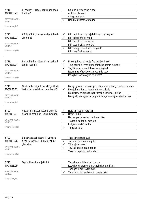| 5716<br>MCARS3.22                 | X'inaqqas ir-riskju li tilwi ghonqok<br>f'habta? |   | Collapsible steering wheel<br>Anti-lock brakes                        |
|-----------------------------------|--------------------------------------------------|---|-----------------------------------------------------------------------|
|                                   |                                                  |   | Air-sprung seat                                                       |
| SAFETY AND YOUR<br><b>VEHICLE</b> |                                                  |   | Head rest issettjata tajjeb                                           |
| Immarka twegiba 1                 |                                                  |   |                                                                       |
| 5717                              | Kif tista' int bhala sewwieq tghin I-            | ✓ | Billi taghti service tajjeb lill-vettura tieghek                      |
| MCARS3.23                         | ambjent?                                         |   | Billi taccellera bil-mod                                              |
|                                   |                                                  |   | Billi taccellera bil-qawwi                                            |
| SAFETY AND YOUR<br><b>VEHICLE</b> |                                                  |   | Billi ssuq b'aktar velocita`                                          |
|                                   |                                                  |   | Billi tnaqqas il-velocita` tieghek                                    |
| Immarka 3 twegibiet               |                                                  |   | Billi tuza fuel bic-comb                                              |
|                                   |                                                  |   |                                                                       |
| 5718                              | Biex tghin I-ambjent tista' tevita li            | ✔ | Ma toqghodx tirrejzja fuq gerijiet baxxi                              |
| MCARS3.24                         | tahli I-fuel billi                               | ✓ | Tkun zgur li t-tyres ikunu minfuha kemm suppost                       |
|                                   |                                                  |   | Taghti service sew lill- vettura tieghek                              |
| SAFETY AND YOUR<br><b>VEHICLE</b> |                                                  |   | Izzomm roof rack vojta mwahhla sew                                    |
|                                   |                                                  |   | Issuq b'velocita`oghla fejn tista'                                    |
| Immarka 3 twegibiet               |                                                  |   |                                                                       |
| 5719                              | Ghaliex it-testijiet tal- VRT jinkludu           |   | Biex jizguraw li l-magni petrol u diesel johorgu l-istess duhhan      |
| MCARS3.25                         | test strett ghall-hrug ta' exhaust?              |   | Biex jghinu jharsu l-ambjent mit-tniggis                              |
|                                   |                                                  |   | Biex jaraw b'liema fornitur ta' fuel jahdmu l-aktar                   |
| SAFETY AND YOUR                   |                                                  |   | Biex jifdu l-ispejjes tat-taghmir tal-garaxx li jqum hafna flus       |
| <b>VEHICLE</b>                    |                                                  |   |                                                                       |
| Immarka twegiba 1                 |                                                  |   |                                                                       |
| 5721                              | Vetturi bil-mutur jistghu jaghmlu                |   | Hela tar-rizorsi naturali                                             |
| MCARS3.27                         | hsara lill-ambjent. Dan jikkaguna                |   | Hsara lill-bini                                                       |
|                                   |                                                  |   | Uzu angas ta' vetturi ta' I-elettriku                                 |
| SAFETY AND YOUR<br><b>VEHICLE</b> |                                                  |   | Trasport pubbliku mtejjeb                                             |
|                                   |                                                  |   | Riskji angas ta' sahha                                                |
| Immarka 3 twegibiet               |                                                  |   | Tniggis fl-arja                                                       |
|                                   |                                                  |   |                                                                       |
| 5722                              | Biex tnaggas il-hsara li l-vettura               |   | Tuza toroq traffikuzi                                                 |
| MCARS3.28                         | tieghek taghmel lill-ambjent int                 | ✓ | Tahseb sewwa minn qabel                                               |
|                                   | ghandek:                                         |   | Tibbrejkja kmieni                                                     |
| SAFETY AND YOUR<br><b>VEHICLE</b> |                                                  |   | Tevita li taccellera f'daqqa                                          |
|                                   |                                                  |   | Tuza torog dojog sekondarji                                           |
| Immarka 3 twegibiet               |                                                  |   |                                                                       |
|                                   |                                                  |   |                                                                       |
| 5723<br>MCARS3.29                 | Tghin lill-ambjent jekk int                      |   | Taccellera u tibbrejka f'daqqa                                        |
|                                   |                                                  |   | Issuq kontinwament bic-choke kollu miftuh                             |
| SAFETY AND YOUR                   |                                                  |   | Tnaqqas il-pressa tat-tyres<br>Tmur bil-mixi jew bir-rota meta tista' |
| VEHICLE                           |                                                  |   |                                                                       |
| Immarka twegiba 1                 |                                                  |   |                                                                       |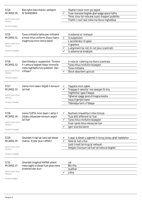| 5724<br>MCARS3.30<br>SAFETY AND YOUR<br><b>VEHICLE</b>                        | Biex tghin biex thares I-ambjent<br>M'GHANDEKX:                                                                               | ✓            | Tbattal il-boot minn piz zejjed<br>Tuza I-karozza tieghek ghal vjaggi qosra hafna<br>Timxi, tmur bir-rota jew tuza t-trasport pubbliku<br>Tnehhi r-roof rack meta ma tkunx mghobbija       |
|-------------------------------------------------------------------------------|-------------------------------------------------------------------------------------------------------------------------------|--------------|--------------------------------------------------------------------------------------------------------------------------------------------------------------------------------------------|
| Immarka twegiba 1                                                             |                                                                                                                               |              |                                                                                                                                                                                            |
| 5725<br>MCARS3.31<br>SAFETY AND YOUR<br><b>VEHICLE</b><br>Immarka 3 twegibiet | Tyres mittiekla hafna jew mittiekla<br>b'mod mhux uniformi jfissru hsara<br>maghmula minn liema tlieta?                       | $\checkmark$ | Is-sistema ta' I-exhaust<br>Is-suspension<br>L-accelleratur (II-gass)<br>II-gearbox<br>L-alignment tar-roti (Ir-roti jkun iccentrati)<br>Is-sistema tal-brejkijiet                         |
| 5726<br>MCARS3.32<br>SAFETY AND YOUR<br><b>VEHICLE</b><br>Immarka twegiba 1   | Qed tittestja s- suspension. Tinnota<br>li l-vettura tieghek tibqa' timmolla<br>meta taghfasha fuq quddiem. Dan<br>x'ifisser? |              | Ir-rota ta' I-istering ma tkunx iccentrata<br>Tyres mhux minfuhin bizzejjed<br>Tyres mittiekla<br>Shock absorbers spiccuti                                                                 |
| 5727<br>MCARS3.33<br>SAFETY AND YOUR<br><b>VEHICLE</b><br>Immarka 2 twegibiet | Liema minn dawn itejjeb il-konsum<br>tal-fuel                                                                                 |              | Tippjana minn qabel<br>Tnaqqas il-velocita` mis-sewqan fit-triq<br>Taghfsilha I-gass f'daqqa<br>Tghamel vjaggi qosra b'magna kiesha<br>Issuq b'gerijiet baxxi<br>Tibbrejkja tard u f'daqqa |
| 5728<br>MCARS3.34<br>SAFETY AND YOUR<br><b>VEHICLE</b><br>Immarka 3 twegibiet | Liema TLIETA minn dawn I-aktar li<br>jistghu jikkawzaw konsum zejjed<br>tal-fuel                                              |              | Roofrack imwahhla li mhix tintuza<br>Tuza ditti differenti ta' fuel<br>Tyres mhux minfuhin bizzejjed<br>Tuza I-grad mhux xieraq tal-fuel<br>Igorr pizz bla bzonn                           |
| 5729<br>MCARS3.35<br>SAFETY AND YOUR<br><b>VEHICLE</b><br>Immarka 2 twegibiet | Ghandek it-tap tat-tank tad-diesel<br>mahlul. X'jista' jkun l-effett?                                                         |              | li jaqa' d-diesel u jaghmel it-toroq jizolqu ghall haddiehor<br>Hela ta' fuel u flus<br>Izzid il-livell tal-hrug ta' exhaust<br>Ittejjeb il-konsum tal-fuel tal-vettura tieghek            |
| 5731<br>MCARS3.37<br>SAFETY AND YOUR<br>VEHICLE<br>Immarka twegiba 1          | Ghandek toqghod HAFNA attent<br>meta taghti d-diesel fuel ghax meta<br>jinxtered dan ikun:                                    |              | car<br>Bla riha<br>Iwahhal<br>Jizloq                                                                                                                                                       |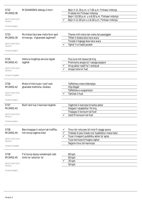| 5732<br>MCARS3.38<br><b>SAFETY AND YOUR</b><br><b>VEHICLE</b><br>Immarka twegiba 1 | M'GHANDEKX iddoqq il-horn                                           |              | Bejn il-11.30 p.m. s-7.00 a.m. f'inhawi mibnija<br>Fl-ebda hin f'inhawi mibnija<br>Bejn I-10.00 p.m. u s-6.00 a.m. f'inhawi mibnija<br>Bejn il-11.00 pm u s-6.00 a.m. f'inhawi mibnija                 |
|------------------------------------------------------------------------------------|---------------------------------------------------------------------|--------------|--------------------------------------------------------------------------------------------------------------------------------------------------------------------------------------------------------|
| 5733<br>MCARS3.39<br>SAFETY AND YOUR<br><b>VEHICLE</b><br>Immarka twegiba 1        | Ma tistax tara sew meta tkun qed<br>tirriversja. X'ghandek taghmel? | $\checkmark$ | Thares mill-mera tan-naha tal-passiggier<br>Tiftah il-bieba biex tara wara<br>Tnizzel il-hgiega biex tara wara<br>Tghid 'il xi hadd jaralek                                                            |
| 5735<br>MCARS3.41<br>SAFETY AND YOUR<br><b>VEHICLE</b><br>Immarka 2 twegibiet      | Vettura moghtija service tajjeb<br>taghtik                          |              | Flus lura mit-taxxa tat-triq<br>Premiums angas ta' l-assigurazzjoni<br>Hrug aktar nadif ta' I-exhaust<br>Angas hela ta' fuel                                                                           |
| 5736<br>MCARS3.42<br>SAFETY AND YOUR<br><b>VEHICLE</b><br>Immarka twegiba 1        | Meta m'intix tuza r-roof rack<br>ghandek tnehhiha. Ghaliex          |              | Taffettwa meta tibbrejkja<br>Hija Ilegali<br>Taffettwa s-suspension<br>Tahlilek il-fuel                                                                                                                |
| 5737<br>MCARS3.43<br>SAFETY AND YOUR<br><b>VEHICLE</b><br>Immarka twegiba 1        | Roof rack fuq il-karozza tieghek:                                   |              | Taghmel il-karozza tirranka aktar<br>Ittejjeb I-istabbilita` fit-triq<br>Tnaggas il-konsum tal-fuel<br>Izzid fil-konsum tal-fuel                                                                       |
| 5738<br>MCARS3.44<br>SAFETY AND YOUR<br><b>VEHICLE</b><br>Immarka 3 twegibiet      | Biex tnaqqas il-volum tat-traffiku<br>mit-toroq taghna tista'       | ✓            | Tmur bir-rota jew bil-mixi fi vjaggi qosra<br>Trikkeb lil jew tirkeb ma' haddiehor meta tista'<br>Tuza t-trasport pubbliku aktar ta' spiss<br>Tuza karrozza b'magna izghar<br>Dejjem tmur bil-karrozza |
| 5739<br>MCARS3.45<br>SAFETY AND YOUR<br><b>VEHICLE</b>                             | F'xi toroq dojoq residenzjali ssib<br>limiti ta' velocita` ta'      |              | 80 kph<br>60 kph<br>35 kph<br>50 kph                                                                                                                                                                   |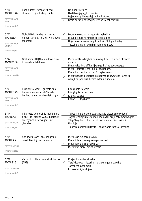| 5740                              | Road humps (tumbati fit-triq),                                                                          |              | Orib pontijiet biss                                                                                                                                                                     |
|-----------------------------------|---------------------------------------------------------------------------------------------------------|--------------|-----------------------------------------------------------------------------------------------------------------------------------------------------------------------------------------|
| MCARS3.46                         | chicanes u djuq fit-triq issibhom:                                                                      |              | Uzati biex jaghgglu t-traffiku                                                                                                                                                          |
|                                   |                                                                                                         |              | Dejjem waqt li ghaddej xoghol fit-toroq                                                                                                                                                 |
| SAFETY AND YOUR<br><b>VEHICLE</b> |                                                                                                         |              | Bhala mizuri biex inaqqsu l-velocita` tat-traffiku                                                                                                                                      |
| Immarka twegiba 1                 |                                                                                                         |              |                                                                                                                                                                                         |
| 5741                              | Tidhol fi triq fejn hemm ir-road                                                                        |              | Izzomm velocita` mnaqqsa t-triq kollha                                                                                                                                                  |
| MCARS3.47                         | humps (tumbati fit-triq). X'ghandek                                                                     |              | Is-suq bil-mod fil-hinijiet ta' I-iskola biss                                                                                                                                           |
| SAFETY AND YOUR                   | taghmel?                                                                                                |              | Dejjem izzomm ma' I-oghla velocita` li taghtik il-ligi<br>Taccellera malajr bejn kull hump (tumbata)                                                                                    |
| <b>VEHICLE</b>                    |                                                                                                         |              |                                                                                                                                                                                         |
| Immarka twegiba 1                 |                                                                                                         |              |                                                                                                                                                                                         |
| 5742<br>MCARS3.48                 | Ghal liema TNEJN minn dawn tista'<br>tuza d-dwal tal- hazard                                            | $\checkmark$ | Meta I-vettura tieghek tkun waqfitlek u tkun qed tikkawza<br>ostaklu                                                                                                                    |
| SAFETY AND YOUR                   |                                                                                                         |              | Meta twissi lit-traffiku li jkun gej li b' hsiebek twaqqaf                                                                                                                              |
| <b>VEHICLE</b>                    |                                                                                                         |              | Meta l-indicators ma jkunux qed jahdmu                                                                                                                                                  |
| Immarka 2 twegibiet               |                                                                                                         |              | Meta tkun double parked fi triq two-way<br>Meta tnaggas il-velocita` biex tavza lis-sewwiega l-ohra ta'                                                                                 |
|                                   |                                                                                                         |              | warajk bil-periklu li hemm aktar 'il quddiem                                                                                                                                            |
|                                   |                                                                                                         |              |                                                                                                                                                                                         |
| 5743                              | Il-vizibbilta` waqt il-gurnata hija                                                                     |              | Il-fog lights ta' wara                                                                                                                                                                  |
| MCARS3.49                         | hazina u ma tantx tista' tara l-<br>boghod hafna. Int ghandek tixghel:                                  | $\checkmark$ | II-fog lights ta' quddiem<br>Id-dwal baxxuti                                                                                                                                            |
| SAFETY AND YOUR<br><b>VEHICLE</b> |                                                                                                         |              | Il-fanali u I-fog lights                                                                                                                                                                |
| Immarka twegiba 1                 |                                                                                                         |              |                                                                                                                                                                                         |
| 5744<br>MCARS4.1                  | II-karrozza tieghek hija mghammra<br>b'anti-lock brakes (ABS). Ingalghet<br>emergenza biex twaqqaf. Int | ✓            | Tigbed il-handbrake biex tnaqqas id-distanza biex tieqaf<br>Taghfas malajr u bis-sahha I-pedala tal-brejk sakemm twaqqaf<br>Tibqa' taghfas u titlaq il-foot brake malajr biex tevita li |
| <b>SAFETY MARGINS</b>             | ghandek:                                                                                                |              | tiskiddja                                                                                                                                                                               |
| Immarka twegiba 1                 |                                                                                                         |              | Tibbrejkja normali u tevita li ddawwar ir-rota ta' l-istering                                                                                                                           |
| 5745                              | Anti-lock brakes (ABS) inaggsu c-                                                                       |              | Meta ssuq fuq toroq tajbin                                                                                                                                                              |
| MCARS4.2                          | cans li tiskiddja l-aktar meta:                                                                         |              | Meta tibbrejkja waqt sewqan normali                                                                                                                                                     |
|                                   |                                                                                                         |              | Meta tibbrejkja f'emergenza                                                                                                                                                             |
| <b>SAFETY MARGINS</b>             |                                                                                                         |              | Meta tkun niezel nizliet wegfin                                                                                                                                                         |
| Immarka twegiba 1                 |                                                                                                         |              |                                                                                                                                                                                         |
| 5746<br>MCARS4.3                  | Vetturi li jkollhom l-anti-lock brakes<br>(ABS)                                                         | ✓            | Ma jkollhomx handbrake<br>Tista' ddawwar l-istering meta tkun qed tibbrejkja                                                                                                            |
|                                   |                                                                                                         |              | Taccellera aktar malajr                                                                                                                                                                 |
| <b>SAFETY MARGINS</b>             |                                                                                                         |              | Impossibli li jiskiddjaw                                                                                                                                                                |
| Immarka twegiba 1                 |                                                                                                         |              |                                                                                                                                                                                         |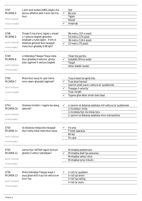| 5747<br>MCARS4.4<br><b>SAFETY MARGINS</b><br>Immarka 2 twegibiet | L-anti-lock brakes (ABS) jistghu ma<br>jkunux effettivi jekk il-wicc tat-triq<br>ikun:                                                                                        | Sod<br>Biz-zrar<br>✓<br>Tajjeb<br>Niexef<br>Imxarrab                                                                                                                        |
|------------------------------------------------------------------|-------------------------------------------------------------------------------------------------------------------------------------------------------------------------------|-----------------------------------------------------------------------------------------------------------------------------------------------------------------------------|
| 5748<br>MCARS4.5<br><b>SAFETY MARGINS</b><br>Immarka twegiba 1   | Tinsab fi triq b'wicc tajjeb u niexef<br>u I-vettura tieghek ghandha<br>brejkijiet u tyres tajbin. X'inhi d-<br>distanza generali biex twaqqaf<br>meta tkun ghaddej b'48 kph? | 96 metru (315-il pied)<br>53 metru (174 pied)<br>36 metru (118-il pied)<br>23 metru (75 pied)<br>$\checkmark$                                                               |
| 5749<br>MCARS4.6<br><b>SAFETY MARGINS</b><br>Immarka twegiba 1   | Li tibbrejkja f'daqqa f'liwja meta<br>tkun ghaddej b'velocita` gholja<br>jista' jaghmel il-vettura tieghek                                                                    | Tikser bla periklu<br>Instabbli (Mhux soda)<br>✓<br>Tiegaf<br>Aktar stabbli (soda)                                                                                          |
| 5750<br>MCARS4.7<br><b>SAFETY MARGINS</b><br>Immarka 3 twegibiet | Meta tkun issuq fic-cpar liema<br>minn dawn ghandek taghmel?                                                                                                                  | Tuza d-dwal tal-genb biss<br>Tuza dwal baxxuti<br>Izzomm ezatt wara I-vettura ta' quddiemek<br>Tnaqqas il-velocita`<br>Tuza I-bright<br>Tipjana ghal aktar zmien biex tasal |
| 5753<br>MCARS4.10<br><b>SAFETY MARGINS</b><br>Immarka twegiba 1  | Ghalxiex tirreferi r-regola taz-zewg<br>sekondi?                                                                                                                              | Li zzomm id-distanza adattata mill-vettura ta' quddiemek<br>Li ticcekkja l-mirja<br>Li ticcekkja fejn ma tistax tara<br>Li zzomm id-distanza adattata minn mal-bankina      |
| 5754<br>MCARS4.11<br><b>SAFETY MARGINS</b><br>Immarka twegiba 1  | Id-distanza medja biex twaqqaf<br>tkun hafna itwal meta tkun issuq:                                                                                                           | Fix-xita<br>F'irjieh qawwija<br><b>Bil-lejl</b><br>Fic-cpar                                                                                                                 |
| 5755<br>MCARS4.12<br><b>SAFETY MARGINS</b><br>Immarka twegiba 1  | Liema hija I-AKTAR raguni komuni<br>ghaliex il-vetturi jiskiddjaw?                                                                                                            | Minhabba pedestrians<br>Minhabba zball tas-sewwieq<br>Minhabba vetturi ohra<br>Minhabba tyres mikulin                                                                       |
| 5756<br>MCARS4.13<br><b>SAFETY MARGINS</b><br>Immarka twegiba 1  | Meta tibbrejkja f'daqqa waqt li<br>ssuq ghad-dritt il-piz tal-vettura se<br>jmur fuq                                                                                          | Ir-roti ta' quddiem<br>✓<br>Ir-roti tal-lemin<br>Ir-roti tax-xellug<br>Ir-roti ta' wara                                                                                     |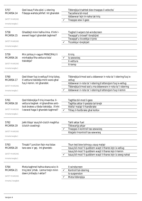| 5757<br>MCARS4.14<br><b>SAFETY MARGINS</b><br>Immarka twegiba 1   | Qed issuq f'xita qliel. L-istering<br>f'daqqa wahda jehfief. Int ghandek                                                                               | Tibbrejkja b'sahtek biex tnaggas il-velocita`<br>Taccellera bil-mod<br>Iddawwar lejn in-naha tat-triq<br>Tnaggas sew il-gass                                                                                                                                    |
|-------------------------------------------------------------------|--------------------------------------------------------------------------------------------------------------------------------------------------------|-----------------------------------------------------------------------------------------------------------------------------------------------------------------------------------------------------------------------------------------------------------------|
| 5758<br>MCARS4.15<br><b>SAFETY MARGINS</b><br>Immarka twegiba 1   | Ghaddejt minn hafna ilma. X'inhi I-<br>ewwel haga li ghandek taghmel?                                                                                  | Tixghel il-wipers tal-windscreen<br>Twaqqaf u tnixxef I-brejkijiet<br>Twaqqaf u ticcekkja t-tyres<br>Ticcekkja I-brejkijiet                                                                                                                                     |
| 5759<br>MCARS4.16<br><b>SAFETY MARGINS</b><br>Immarka twegiba 1   | Min johlog ir-raguni PRINCIPALI li<br>minhabba fiha vettura tista'<br>tiskiddja?                                                                       | It-trig<br>Is-sewwieg<br>II-vettura<br>It-temp                                                                                                                                                                                                                  |
| 5760<br>MCARS4.17<br><b>SAFETY MARGINS</b><br>Immarka twegiba 1   | Oed tikser fuq ix-xellug fi triq tizloq.<br>Il-vettura tiskiddja minn wara ghal<br>fuq il-lemin. Int ghandek:                                          | Tibbrejkja b'mod sod u ddawwar ir-rota ta' l-istering fuq ix-<br>xellug<br>Iddawwar ir-rota ta' I-istering b'attenzjoni fuq ix-xellug<br>Tibbrejkja b'mod sod u ma ddawwarx ir-rota ta' I-istering<br>Iddawwar ir-rota ta' I-istering b'attenzjoni fug il-lemin |
| 5761<br>MCARS4.18<br><b>SAFETY MARGINS</b><br>Immarka twegiba 1   | Qed tibbrejkja fi triq imxarrba. II-<br>vettura tieghek m'ghandhiex anti-<br>lock brakes u tibda tiskiddja. X'inhi<br>I-ewwel haga li ghandek taghmel? | Taghfas bil-mod il-gass<br>Taghfas aktar il-pedala tal-brejk<br>Ittella' malajr il-handbrake<br>Titlaq il-footbrake ghal kollox<br>✓                                                                                                                            |
| 5762<br>MCARS4.19<br><b>SAFETY MARGINS</b><br>Immarka twegiba 1   | Jekk tibqa' ssuq bil-clutch maghfus<br>(clutch coasting):                                                                                              | Tahli aktar fuel<br>Tikkwartja ahjar<br>Tnaqqas il-kontroll tas-sewwieq<br>Ittejjeb il-kontroll tas-sewwieq                                                                                                                                                     |
| 5763<br>MCARS4.20<br><b>SAFETY MARGINS</b><br>Immarka twegiba 1   | Tinsab f' junction fejn ma tistax<br>tara sew x' gej. Int ghandek:                                                                                     | Tkun lest biex tohrog u ssuq malajr<br>Issuq bil-mod 'il quddiem waqt li thares lejn ix-xellug<br>Issuq bil-mod 'il quddiem waqt li thares lejn il-lemin<br>Issuq bil-mod 'il quddiem waqt li thares lejn iz-zewq nahat                                         |
| 5764<br>MCARS4.21<br><b>SAFETY MARGINS</b><br>Immarka 2 twegibiet | Meta taghmel hafna shana wicc it-<br>triq jista' jirtab. Liema tnejn minn<br>dawn jintlaqtu l-aktar?                                                   | II-windscreen<br>Kontroll tal-istering<br>✓<br>Is-suspension<br>Meta tibbrejkja                                                                                                                                                                                 |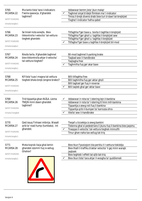| 5765<br>MCARS4.22<br><b>SAFETY MARGINS</b><br>Immarka twegiba 1   | Ma tantx tista' tara l-indicators<br>f'xemx qawwija. X'ghandek<br>taghmel?                      | $\checkmark$ | Iddawwar kemm jista' jkun malajr<br>Taghmel sinjal b'idejk flimkien ma' l-indicator<br>Tmiss il-brejk diversi drabi biex turi d-dawl tal-brejkijiet<br>Tixghel I-indicator hafna gabel                                                |
|-------------------------------------------------------------------|-------------------------------------------------------------------------------------------------|--------------|---------------------------------------------------------------------------------------------------------------------------------------------------------------------------------------------------------------------------------------|
| 5766<br>MCARS4.23<br><b>SAFETY MARGINS</b><br>Immarka twegiba 1   | Se tinzel nizla wieqfa. Biex<br>tikkontrolla l-velocita` tal-vettura<br>tieghek ghandek:        |              | Titfaghha f'ger baxx u tevita li taghfas il-brejkijiet<br>Titfaghha f'ger gholi u taghfas il-brejkijiet sew<br>Titfaghha f'ger gholi u taghfas il-brejkijiet<br>Titfagha f'ger baxx u taghfas il-brejkijiet bil-mod                   |
| 5767<br>MCARS4.24<br><b>SAFETY MARGINS</b><br>Immarka twegiba 1   | Niezla twila. X'ghandek taghmel<br>biex tikkontrolla ahjar il-velocita`<br>tal-vettura tieghek? |              | Bil-mod taghmel il-parking brake<br>Taqbad sew il-handbrake<br>Taqtagha free<br>Taghmilha fuq ger akar baxx                                                                                                                           |
| 5768<br>MCARS4.25<br><b>SAFETY MARGINS</b><br>Immarka twegiba 1   | Kif tista' tuza l-magna tal-vettura<br>tieghek bhala brejk (engine brake)?                      |              | Billi titfaghha free<br>Billi taghmilha fuq ger aktar gholi<br>Billi taghzel ger fuq ir-reverse<br>Billi taqleb ghal ger aktar baxx                                                                                                   |
| 5769<br>MCARS4.26<br><b>SAFETY MARGINS</b><br>Immarka 2 twegibiet | Trid tipparkja ghan-NIZLA. Liema<br>TNEJN minn dawn ghandek<br>taghmel?                         | ✓<br>✓       | Iddawwar ir-rota ta' I-istering lejn il-bankina<br>Iddawwar ir-rota ta' I-istering lil hinn mill-bankina<br>Tipparkja z-zewg roti fuq il-bankina<br>Tipparkja qrib il-bumper ta' karrozza ohra<br>Ittella' sew il-handbrake           |
| 5770<br>MCARS4.27<br><b>SAFETY MARGINS</b><br>Immarka twegiba 1   | Qed issuq f'inhawi mibnija. Wasalt<br>qrib ta' road hump (tumbata). Int<br>ghandek:             |              | Tieqaf u ticcekkja iz-zewg bankini<br>Tistenna ghal xi pedestrians li jkunu fuq il-bankina biex jaqsmu<br>Tnaqqas il-velocita` tal-vettura tieghek minnufih<br>Tmur ghan-naha tax-xellug tat-triq                                     |
| 5771<br>MCARS4.28<br><b>SAFETY MARGINS</b><br>Immarka twegiba 1   | Meta toqrob liwja ghal-lemin<br>ghandek izzomm fuq ix-xellug.<br>Ghaliex?                       |              | Biex tkun f'pozizzjoni bla periklu li l-vettura tiskiddja<br>Biex thalli t-traffiku b'aktar velocita` li gej minn warajk<br>jaqbzek<br>Biex teghleb I-effett tal-qlib tat-triq<br>Biex tkun tista' tara ahjar il-wesgha ta' quddiemek |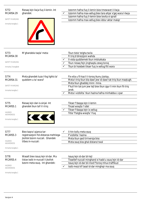| 5772<br>MCARS4.29<br>SAFETY MARGINS<br>Immarka twegiba 1                   | Riesaq lejn liwja fuq il-lemin. Int<br>ghandek:                                                                          | $\checkmark$ | Izzomm hafna fuq il-lemin biex tmewwet il-liwja<br>Izzomm hafna max-xellug biex tara ahjar x'gej wara l-liwja<br>Izzomm hafna fuq il-lemin biex tevita xi sprall<br>Izzomm hafna max-xellug biex iddur aktar malajr                                                              |
|----------------------------------------------------------------------------|--------------------------------------------------------------------------------------------------------------------------|--------------|----------------------------------------------------------------------------------------------------------------------------------------------------------------------------------------------------------------------------------------------------------------------------------|
| 5773<br>MCARS4.30<br>SAFETY MARGINS<br>Immarka 3 twegibiet                 | M'ghandekx taqla' meta:                                                                                                  |              | Tkun tiela' telgha twila<br>Fi triq b'direzzjoni wahda<br>Il-vista quddiemek tkun imblukkata<br>Tkun riesaq fejn jinghaqdu zewg toroq<br>Tkun bi hsiebek tikser fuq ix-xellug ftit wara                                                                                          |
| 5774<br>MCARS4.31<br><b>SAFETY MARGINS</b><br>Immarka twegiba 1            | Meta ghandek tuza I-fog lights ta'<br>quddiem u ta' wara?                                                                |              | Fix-xita u fil-kaz li t-toroq ikunu jizolqu.<br>Meta t-triq tkun bla dawl jew id-dawl tat-triq ikun maqtugh.<br>Meta tkun ghaddej minn mina.<br>F'kull hin tal-jum jew lejl biex tkun zgur li min ikun fit-triq<br>jarak.<br>Meta I-vizibilta` tkun hazina hafna minhabba c-cpar |
| 5775<br>MCARS5.1<br><b>HAZARD</b><br>AWARENESS<br>Immarka twegiba 1        | Riesaq lejn dan is-sinjal. Int<br>ghandek tkun taf li t-triq:                                                            |              | Tikser f'daqqa lejn il-lemin<br>Tinzel wiegfa 'l isfel<br>Tikser f'daqqa lejn ix-xellug<br>Titla' f'telgha wieqfa 'l fuq                                                                                                                                                         |
| 5777<br>MCARS5.3<br><b>HAZARD</b><br><b>AWARENESS</b><br>Immarka twegiba 1 | Biex tagra l-pjanca tar-<br>registrazzjoni fid-distanza mehtiega<br>jkollok bzonn nuccali. Ghandek<br>tilbes in-nuccali: | ✓            | Il-hin kollu meta ssuq<br>F'vizibilta` hazina<br>Meta tkun ged tirriversja biss<br>Meta ssuq biss ghal distanzi twal                                                                                                                                                             |
| 5778<br>MCARS5.4<br><b>HAZARD</b><br>AWARENESS<br>Immarka twegiba 1        | Wasalt biex issuq lejn id-dar. Ma<br>tistax issib in-nuccali li jkollok<br>bzonn meta ssuq. Int ghandek:                 |              | Issuq lejn id-dar bil-lejl<br>Tissellef nuccali minghand xi hadd u ssuq lejn id-dar<br>Issuq lejn id-dar bil-mod f'toroq mhux traffikuzi<br>Issib mezz kif tasal id-dar minghajr ma ssuq                                                                                         |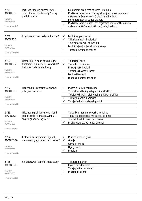| 5779<br>MCARS5.5<br><b>HAZARD</b><br>AWARENESS<br>Immarka twegiba 1    | IKOLLOK tilbes in-nuccali jew il-<br>contact lenses meta ssug f'torog<br>pubblici meta:                |              | Ikun hemm problema ta' vista fil-familja<br>Ma tistax taqra numru ta' registrazzjoni ta' vettura minn<br>distanza ta' 36 metru (120 pied) minghajrhom<br>Int id-detentur ta' badge orangjo<br>Ma tistax taqra n-numru tar-registrazzjoni ta' vettura minn<br>distanza ta' 20.5 metri (67 pied) minghajrhom |
|------------------------------------------------------------------------|--------------------------------------------------------------------------------------------------------|--------------|------------------------------------------------------------------------------------------------------------------------------------------------------------------------------------------------------------------------------------------------------------------------------------------------------------|
| 5780<br>MCARS5.6<br><b>HAZARD</b><br>AWARENESS<br>Immarka 3 twegibiet  | X'jigri meta tixrob l-alkohol u ssuq?                                                                  | ✓            | Ikollok angas kontroll<br>Tikkalkola hazin il-velocita<br>Tkun aktar konxju tal-periklu<br>Ikollok rejazzjonijiet aktar mghaggla<br>Thossok kunfidenti zzejjed                                                                                                                                             |
| 5781<br>MCARS5.7<br><b>HAZARD</b><br>AWARENESS<br>Immarka 3 twegibiet  | Liema TLIETA minn dawn jistghu<br>finalment ikunu effetti tax-xorb ta'<br>I-alkohol meta wiehed isuq   | ✓            | Tiddeciedi hazin<br>Tizdied il-kunfidenza<br>Ma taghrafx il-kuluri<br>Tirrejagixxi aktar fil-pront<br>Izzid I-attenzjoni<br>Jonqos il-kontroll tas-sensi                                                                                                                                                   |
| 5782<br>MCARS5.8<br><b>HAZARD</b><br>AWARENESS<br>Immarka 3 twegibiet  | Li tixrob kull kwantita ta' alkohol<br>jista' jwassal biex:                                            | $\checkmark$ | Jaghmlek kunfidenti zzejjed<br>Tkun aktar attent ghall-perikli tat-traffiku<br>Tirrejagixxi iktar malajr ghall-perikli tat-traffiku<br>Tikkalkola hazin il-velocita`<br>Tirrejagixxi bil-mod ghall-perikli                                                                                                 |
| 5783<br>MCARS5.9<br><b>HAZARD</b><br>AWARENESS<br>Immarka twegiba 1    | Mistieden ghal riceviment. Taf li<br>jkollok issuq fil-ghaxija. X'inhu l-<br>ahjar li ghandek taghmel? |              | Tiekol ikla shuna max-xorb alkoholiku<br>Tiehu ftit halib qabel ma tixrob l-alkohol<br>Tevita li thallat ix-xorb alkoholiku<br>M'ghandekx tixrob l-ebda alkohol                                                                                                                                            |
| 5784<br>MCARS5.10<br><b>HAZARD</b><br>AWARENESS<br>Immarka 3 twegibiet | X'aktar jista' serjament jaljenak<br>meta ssuq ghajr ix-xorb alkoholiku?                               | ✓            | Muzika b'volum gholi<br>Ghejja<br><b>Contact lenses</b><br><b>Hgieg tinted</b><br>Medicini                                                                                                                                                                                                                 |
| 5785<br>MCARS5.11<br><b>HAZARD</b><br>AWARENESS                        | Kif jaffettwak I-alkohol meta ssuq?                                                                    |              | Tikkoordina ahjar<br>Jaghmlek aktar zvelt<br>Tirrejagixxi aktar malajr<br>Ma tibqax attent                                                                                                                                                                                                                 |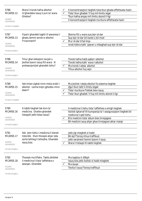| 5786<br>MCARS5.12<br><b>HAZARD</b><br>AWARENESS<br>Immarka 2 twegibiet      | Wara li tixrob hafna alkohol<br>m'ghandekx issuq il-jum ta' wara.<br>Ghaliex?                                                   |              | II-koncentrazzjoni tieghek tista tkun ghada effettwata hazin<br>Tista' tkun ghadek 'il fuq mil-limitu legal<br>Tkun hafna angas mil-limitu skond il-ligi<br>II-koncentrazzjoni tieghek ma tkunx effettwata hazin                                             |
|-----------------------------------------------------------------------------|---------------------------------------------------------------------------------------------------------------------------------|--------------|--------------------------------------------------------------------------------------------------------------------------------------------------------------------------------------------------------------------------------------------------------------|
| 5787<br>MCARS5.13<br><b>HAZARD</b><br>AWARENESS<br>Immarka twegiba 1        | X'parir ghandek taghti lil sewwieq li<br>ghadu kemm xorob xi alkohol<br>f'riceviment?                                           |              | Stenna ftit u wara suq lejn id-dar<br>Suq lejn id-dar bil-kwiet u bil-mod<br>Mur id-dar b'tal-linja<br>Ixrob kikkra kafe` qawwi u mbaghad suq lejn id-dar                                                                                                    |
| 5788<br>MCARS5.14<br><b>HAZARD</b><br><b>AWARENESS</b><br>Immarka twegiba 1 | Tmur ghal okkazjoni socjali u<br>jkollok bzonn issuq ftit wara. Xi<br>prekawzjonijiet ghandek tiehu?                            | $\checkmark$ | Tixrob hafna halib qabel I-alkohol<br>Tixrob hafna kafe` wara l-alkohol<br>Ma tixrob I-ebda alkohol<br>Tihux alkohol fuq xejn                                                                                                                                |
| 5789<br>MCARS5.15<br><b>HAZARD</b><br>AWARENESS<br>Immarka 2 twegibiet      | Ilek tmien sighat minn meta xrobt I-<br>alkohol. Liema tnejn jghoddu minn<br>dawn?                                              | $\checkmark$ | Ma jkollok I-ebda alkohol fis-sistema tieghek<br>Zgur tkun taht il-limitu legali<br>Tista' ma tkunx f'siktek biex issuq<br>Tista' tkun ghadek 'il fuq mil-limitu skond il-liqi                                                                               |
| 5790<br>MCARS5.16<br><b>HAZARD</b><br>AWARENESS<br>Immarka twegiba 1        | It-tabib tieghek tak kors ta'<br>medicina. Ghaliex ghandek<br>tistagsih jekk tistax issug?                                      |              | Il-medicina li tiehu tista' taffettwa s-smigh tieghek<br>Ikollok tgharraf lill-kumpanija ta' l-assigurazzjoni tieghek bil-<br>medicina li qed tiehu<br>B'xi medicini tista' ddum biex tirrejagixxi<br>Bil-medicini ssuq ahjar ghax tirrejagixxi aktar malajr |
| 5791<br>MCARS5.17<br><b>HAZARD</b><br>AWARENESS<br>Immarka twegiba 1        | Ilek jiem tiehu I-medicina li kienet<br>tistordik. Illum thossok ahjar izda<br>xorta tehtieg li tehodha. Ghandek<br>issug biss: | $\checkmark$ | Jekk jigi mieghek xi hadd<br>Bil-lejl f'torog mhux traffikuzi<br>Jekk verament hemm bzonn li ssug<br>Wara li tistaqsi lit-tabib tieghek                                                                                                                      |
| 5792<br>MCARS5.18<br><b>HAZARD</b><br>AWARENESS<br>Immarka twegiba 1        | Thossok ma tiflahx. Tabib jiktiblek<br>il-medicina li tista' taffettwa s-<br>sewqan. Ghandek:                                   | ✓            | Ma taqbizx it-30kph<br>Issuq biss jekk ikollok xi hadd mieghek<br>Ma ssuqx<br>Tevita li ssuq f'toroq traffikuzi                                                                                                                                              |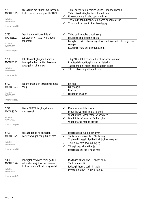| 5793<br>MCARS5.19<br><b>HAZARD</b><br><b>AWARENESS</b><br>Immarka 2 twegibiet<br>5795<br>MCARS5.21<br>HAZARD<br>AWARENESS<br>Immarka twegiba 1 | Meta tkun ma tiflahx, ma thossokx<br>I-istess waqt is-sewqan. IKOLLOK:<br>Qed tiehu medicina li tista'<br>taffettwak kif issuq. X'ghandek<br>taghmel? |                   | Tiehu mieghek il-medicina kollha li ghandek bzonn<br>Tiehu biss dozi izghar ta' kull medicina<br>Ma ssuqx wara li tiehu certi medicini<br>Tkellem lit-tabib tieghek kull darba qabel ma ssuq<br>Tkun medikament f'siktek biex issug<br>Tiehu parir mediku qabel issuq<br>Issuq biss ghal distanzi qosra<br>Issuq biss jekk ikollok mieghek wiehed li ghandu I-licenzja tas-<br>sewqan<br>Issuq biss meta veru jkollok bzonn |
|------------------------------------------------------------------------------------------------------------------------------------------------|-------------------------------------------------------------------------------------------------------------------------------------------------------|-------------------|-----------------------------------------------------------------------------------------------------------------------------------------------------------------------------------------------------------------------------------------------------------------------------------------------------------------------------------------------------------------------------------------------------------------------------|
| 5796<br>MCARS5.22<br><b>HAZARD</b><br>AWARENESS<br>Immarka twegiba 1                                                                           | Jekk thossok ghajjien I-ahjar hu li<br>twaqqaf mill-aktar fis. Sakemm<br>twaqqaf int ghandek:                                                         |                   | Tibqa' tbiddel il-velocita` biex tikkoncentra ahjar<br>Ittaptap bil-mod fuq ir-rota ta' l-istering<br>Taccellera biex tfittex issib post fejn tieqaf<br>Tiftah it-twieqi ghall-arja friska                                                                                                                                                                                                                                  |
| 5797<br>MCARS5.23<br><b>HAZARD</b><br>AWARENESS<br>Immarka twegiba 1                                                                           | Iddum aktar biex tirrejagixxi meta<br>ssuq:                                                                                                           |                   | Fix-xita<br>Bil-ghaggla<br>Fic-cpar<br>Jekk tkun ghajjien                                                                                                                                                                                                                                                                                                                                                                   |
| 5798<br>MCARS5.24<br><b>HAZARD</b><br>AWARENESS<br>Immarka 3 twegibiet                                                                         | Liema TLIETA jistghu jaljenawk<br>meta ssuq?                                                                                                          |                   | Meta tuza mobile phone<br>Meta thares lejn il-mera tal-genb<br>Waqt li tuza l-washers tal-windscreen<br>Waqt li tisma' muzika b'volum gholi<br>Waqt li tara l-mappa tat-triq                                                                                                                                                                                                                                                |
| 5799<br>MCARS5.25<br><b>HAZARD</b><br>AWARENESS<br>Immarka 3 twegibiet                                                                         | Meta toqghod fil-pozizzjoni<br>korretta waqt li ssuq tkun tista':                                                                                     | $\checkmark$<br>✓ | Isserrah idejk fuq il-gear lever<br>Tahkem sewwa r-rota ta' l-istering<br>Tkellem lill-passiggieri kollha li jkollok mieghek<br>Tkun tista' tara sew mill-hqieq<br>Tilhaq il-pedali bla tbatija<br>Isserrah rasek fuq il-head rest                                                                                                                                                                                          |
| 5800<br>MCARS5.26<br><b>HAZARD</b><br>AWARENESS<br>Immarka twegiba 1                                                                           | Johroglok sewwieq minn go triq-<br>sekondarja u jidhol quddiemek.<br>Ikollok twaqqaf f'salt. Int ghandek                                              |                   | Ma taghtix kaz I-izball u tibqa' kalm<br>Taqbzu minnufih<br>Iddoqq il-horn u turih li rrabjajt<br>Itteptep id-dawl u turih li rrabjak                                                                                                                                                                                                                                                                                       |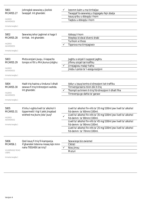| 5801                                   | Johroglok sewwieq u jkollok                                                 |   | Izzomm kalm u ma tirritaljax                                                                   |
|----------------------------------------|-----------------------------------------------------------------------------|---|------------------------------------------------------------------------------------------------|
| MCARS5.27                              | twaqqaf. Int ghandek:                                                       |   | Twaqqaf lis-sewwieq u tispjegalu fejn zbalja                                                   |
|                                        |                                                                             |   | Issuq qribu u ddoqqlu I-horn                                                                   |
| HAZARD<br>AWARENESS                    |                                                                             |   | Taqbzu u ddoqqlu I-horn                                                                        |
| Immarka twegiba 1                      |                                                                             |   |                                                                                                |
| 5802                                   | Sewwieq iehor jaghmel xi haga li                                            |   | Iddogg il-horn                                                                                 |
| MCARS5.28                              | tirritak. Int ghandek:                                                      |   | Itteptep id-dwal diversi drabi                                                                 |
| <b>HAZARD</b>                          |                                                                             |   | Turihom xi thoss                                                                               |
| AWARENESS                              |                                                                             |   | Tipprova ma tirrejagixxix                                                                      |
| Immarka twegiba 1                      |                                                                             |   |                                                                                                |
| 5803                                   | Meta anzjani jsugu, il-kapacita                                             |   | Jaghtu s-sinjali li suppost jaghtu                                                             |
| MCARS5.29                              | tongos xi ftit u MA jkunux jistghu:                                         |   | Jifhmu sinjali tat-traffiku                                                                    |
|                                        |                                                                             | ✓ | Jirrejagixxu malajr hafna                                                                      |
| <b>HAZARD</b><br>AWARENESS             |                                                                             |   | Jiksbu l-polza ta' l-assigurazzjoni                                                            |
| Immarka twegiba 1                      |                                                                             |   |                                                                                                |
| 5804                                   | Hadt triq hazina u tinduna li dhalt                                         |   | Iddur u issuq kontra d-direzzjoni tat-traffiku                                                 |
| MCARS5.30                              | sewwa fi triq b'direzzjoni wahda.                                           |   | Tirriversja barra minn dik it-triq                                                             |
| HAZARD                                 | Int ghandek:                                                                |   | Tkompli sa tmiem it-triq fid-direzzjoni li dhalt fiha                                          |
| AWARENESS                              |                                                                             |   | Tirreversja go dahla ta' garaxx                                                                |
| Immarka twegiba 1                      |                                                                             |   |                                                                                                |
| 5805<br>MCARS5.31                      | X'inhu l-oghla livell ta' alkohol li<br>tippermetti I-ligi li jekk jinqabad |   | Livell ta' alkohol fin-nifs ta' 20 mg/100ml jew livell ta' alkohol<br>fid-demm ta' 60mm/100ml. |
| HAZARD                                 | wiehed ma jkunx jista' jsuq?                                                | ✓ | Livell ta' alkohol fin-nifs ta' 35 mg/100ml jew livell ta' alkohol<br>fid-demm ta' 80mm/100ml. |
| AWARENESS<br>Immarka twegiba 1         |                                                                             |   | Livell ta' alkohol fin-nifs ta' 45 mg/100ml jew livell ta' alkohol<br>fid-demm ta' 90mm/100ml. |
|                                        |                                                                             |   | Livell ta' alkohol fin-nifs ta' 25 mg/100ml jew livell ta' alkohol<br>fid-demm ta' 70mm/100ml. |
|                                        |                                                                             |   |                                                                                                |
| 5806                                   | Qed issuq fi triq fil-kampanja.                                             |   | Sewwieqa biz-zwiemel                                                                           |
| MCARS6.1                               | X'ghandek tistenna riesaq lejk minn                                         |   | Ciklisti                                                                                       |
|                                        | naha TIEGHEK tat-triq?                                                      | ✓ | Nies jimxu                                                                                     |
| <b>VULNERABLE ROAD</b><br><b>USERS</b> |                                                                             |   | Muturi                                                                                         |
| Immarka twegiba 1                      |                                                                             |   |                                                                                                |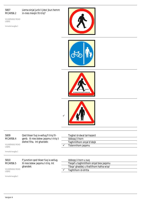#### 5807 MCARS6.2

Liema sinjal jurik li jista' jkun hemm in-nies mexjin fit-triq?

VULNERABLE ROAD USERS

Immarka twegiba 1









| 5809                                   | Oed tikser fuq ix-xellug fi triq fil- | Tixghel id-dwal tal-hazard              |  |
|----------------------------------------|---------------------------------------|-----------------------------------------|--|
| MCARS6.4                               | genb. Xi nies bdew jagsmu t-triq li   | Iddogg il-horn                          |  |
|                                        | diehel fiha. Int ghandek:             | Taghmlilhom sinjal b'idejk              |  |
| <b>VULNERABLE ROAD</b><br><b>USERS</b> |                                       | Tistennihom jagsmu                      |  |
|                                        |                                       |                                         |  |
| Immarka twegiba 1                      |                                       |                                         |  |
|                                        |                                       |                                         |  |
|                                        |                                       |                                         |  |
| 5810                                   | F'junction ged tikser fug ix-xellug.  | Iddogg il-horn u sug                    |  |
| MCARS6.5                               | Xi nies bdew jagsmu t-triq. Int       | Tiegaf u taghmlilhom sinjal biex jagsmu |  |
|                                        | ghandek:                              | Tibqa' ghaddej u thallilhom hafna wisa' |  |
| <b>VULNERABLE ROAD</b><br><b>USERS</b> |                                       | Taghtihom id-dritta                     |  |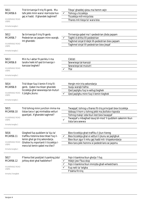| Trid tirriversja fi triq fil-genb. Ma<br>5811<br>tafx jekk minn wara I-karrozza hux<br>MCARS6.6 | $\checkmark$                                                           | Tibqa' ghaddej qiesu ma hemm xejn<br>Tohrog u ticcekkja |                                                                             |
|-------------------------------------------------------------------------------------------------|------------------------------------------------------------------------|---------------------------------------------------------|-----------------------------------------------------------------------------|
|                                                                                                 | gej xi hadd. X'ghandek taghmel?                                        |                                                         | Ticcekkja mill-mirja biss                                                   |
| <b>VULNERABLE ROAD</b><br><b>USERS</b>                                                          |                                                                        |                                                         | Thares mit-tiega ta' wara biss                                              |
|                                                                                                 |                                                                        |                                                         |                                                                             |
| Immarka twegiba 1                                                                               |                                                                        |                                                         |                                                                             |
| 5812                                                                                            | Se tirriversja fi triq fil-genb.                                       |                                                         | Tirriversja qabel ma'l-pedestrian jibda jaqsam                              |
| MCARS6.7                                                                                        | Pedestrian se jagsam minn warajk.                                      | ✓                                                       | Taghti d-dritta lill-pedestrian                                             |
|                                                                                                 | Int ghandek:                                                           |                                                         | Taghmel sinjal b'idejk lill-pedestrian biex jaqsam                          |
| <b>VULNERABLE ROAD</b><br><b>USERS</b>                                                          |                                                                        |                                                         | Taghmel sinjal lill-pedestrian biex jieqaf                                  |
|                                                                                                 |                                                                        |                                                         |                                                                             |
| Immarka twegiba 1                                                                               |                                                                        |                                                         |                                                                             |
| 5813                                                                                            | Min hu l-aktar fil-periklu li ma                                       |                                                         | Ciklisti                                                                    |
| MCARS6.8                                                                                        | tarahx hekk kif ged tirriversja I-                                     |                                                         | Sewwieqa tal-karozzi                                                        |
|                                                                                                 | karozza tieghek?                                                       |                                                         | Sewwieqa tal-mututri                                                        |
| <b>VULNERABLE ROAD</b><br><b>USERS</b>                                                          |                                                                        | ✓                                                       | Tfal                                                                        |
| Immarka tweqiba 1                                                                               |                                                                        |                                                         |                                                                             |
|                                                                                                 |                                                                        |                                                         |                                                                             |
| 5814                                                                                            | Trid tikser fuq il-lemin fi triq fil-                                  |                                                         | Hergin min triq sekondarja                                                  |
| MCARS6.9                                                                                        | genb. Qabel ma tikser ghandek                                          |                                                         | Isuqu warajk hafna                                                          |
|                                                                                                 | ticcekkja ghal sewwiega tal-muturi                                     |                                                         | Qed jaqilghu fuq ix-xellug tieghek                                          |
| <b>VULNERABLE ROAD</b><br><b>USERS</b>                                                          | li jistghu jkunu:                                                      | $\checkmark$                                            | Qed jaqilghu minn fuq il-lemin tieghek                                      |
| Immarka twegiba 1                                                                               |                                                                        |                                                         |                                                                             |
|                                                                                                 |                                                                        |                                                         |                                                                             |
| 5815                                                                                            | Trid tohrog minn junction imma ma                                      |                                                         | Twaqqaf, tohrog u thares fit-triq principali biex ticcekkja                 |
| MCARS6.10                                                                                       | tistax tara x' gej minhabba vetturi                                    |                                                         | Iddogg il-horn u tohrog jekk ma jkollokx risposta                           |
|                                                                                                 | pparkjati. X'ghandek taghmel?                                          |                                                         | Tohrog malajr izda tkun lest biex twaqqaf                                   |
| <b>VULNERABLE ROAD</b><br><b>USERS</b>                                                          |                                                                        |                                                         | Twaqqaf u mbaghad issuq bil-mod 'il quddiem sakemm tkun<br>tista tara sewwa |
| Immarka twegiba 1                                                                               |                                                                        |                                                         |                                                                             |
|                                                                                                 |                                                                        |                                                         |                                                                             |
| 5816                                                                                            | Qieghed fug quddiem ta' kju ta'                                        |                                                         | Biex ticcekkja ghat-traffiku li jkun hiereg                                 |
| MCARS6.11                                                                                       | traffiku tistenna biex tikser fuq il-                                  | ✓                                                       | Biex ticcekkja ghal xi vetturi li jkunu se jaqilghuk                        |
| <b>VULNERABLE ROAD</b>                                                                          | lemin ghal go trig sekondarja.<br>Ghaliex hu mportanti li ticcekkja l- |                                                         | Biex tkun zgur li mhu gej hadd mit- triqsekondarja                          |
| <b>USERS</b>                                                                                    | mera tal-lemin qabel ma tilwi?                                         |                                                         | Biex tara jekk hemmx xi pedestrians se jagsmu                               |
| Immarka twegiba 1                                                                               |                                                                        |                                                         |                                                                             |
|                                                                                                 |                                                                        |                                                         |                                                                             |
| 5817                                                                                            | F'liema tliet postijiet il-parking jista'                              |                                                         | Fejn il-bankina tkun gholja 'l fuq                                          |
| MCARS6.12                                                                                       | johlog xkiel ghal haddiehor?                                           | $\checkmark$                                            | Hdejn jew f'bus stop                                                        |
|                                                                                                 |                                                                        |                                                         | Fejn il-bankina tkun imnizzla ghall-wheelchairs                             |
| <b>VULNERABLE ROAD</b><br><b>USERS</b>                                                          |                                                                        |                                                         | Fug nett ta' telgha                                                         |
| Immarka 3 twegibiet                                                                             |                                                                        |                                                         | F'dahla fit-triq                                                            |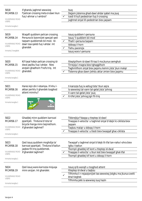| 5818<br>MCARS6.13<br><b>VULNERABLE ROAD</b><br><b>USERS</b><br>Immarka twegiba 1<br>5819<br>MCARS6.14<br><b>VULNERABLE ROAD</b><br><b>USERS</b><br>Immarka 2 twegibiet | X'ghandu jaghmel sewwieq<br>f'pelican crossing meta d-dawl ikun<br>fuq I-ahmar u I-ambra?<br>Waqaft quddiem pelican crossing.<br>Persuna bi bzonnijiet specjali qed<br>taqsam quddiemek bil-mod. Id-<br>dawl issa qaleb fuq l-ahdar. Int<br>ghandek | Isuq<br>Dejjem jistenna ghad-dawl ahdar qabel ma jsuq<br>Icedi Iil kull pedestrian fuq il-crossing<br>Jaghmel sinjal lill-pedestrian biex jagsam<br>Issuq quddiem I-persuna<br>Issuq 'il quddiem bil-mod<br>Thalli I-persuna taqsam<br>$\checkmark$<br>Iddoqq il-horn<br>Tiehu pacenzja<br>Issuq wara I-persuna |
|------------------------------------------------------------------------------------------------------------------------------------------------------------------------|-----------------------------------------------------------------------------------------------------------------------------------------------------------------------------------------------------------------------------------------------------|-----------------------------------------------------------------------------------------------------------------------------------------------------------------------------------------------------------------------------------------------------------------------------------------------------------------|
| 5820<br>MCARS6.15<br><b>VULNERABLE ROAD</b><br><b>USERS</b><br>Immarka twegiba 1                                                                                       | Kif tasal hdejn pelican crossing id-<br>dwal jaqilbu fuq l-ahdar. Nies<br>anzjani ghadhom f'nofs triq. Int<br>ghandek:                                                                                                                              | Itteptpilhom id-dawl fil-kaz li ma jkunux semghuk<br>Tirrejzja I-magna biex tghaggilhom<br>Taghmlilhom sinjal biex jaqsmu kemm jista' jkun malajr<br>Tistenna ghax dawn jiehdu aktar zmien biex jaqsmu                                                                                                          |
| 5821<br>MCARS6.16<br><b>VULNERABLE ROAD</b><br><b>USERS</b><br>Immarka twegiba 1                                                                                       | Hares lejn din I-istampa. X'inhu I-<br>akbar periklu li ghandek toqqhod<br>attent minnhu?                                                                                                                                                           | Il-karozza fuq ix-xellug tista' tkun sejra<br>Is-sewwieq tal-vann tal-gelat jista' johrog<br>II-vann tal-gelat jista' jsuq<br>It-tifel jista' johrog jigri fit-triq                                                                                                                                             |
| 5822<br>MCARS6.17<br><b>VULNERABLE ROAD</b><br><b>USERS</b><br>Immarka twegiba 1                                                                                       | Ghaddej minn quddiem karrozzi<br>pparkjati. Tinduna b'rota ta'<br>bicycle hierga minn bejniethom.<br>X'ghandek taghmel?                                                                                                                             | Tibbrejkja f'daqqa u tteptep id-dawl<br>Tnaqqas il-velocita` u taqhmel sinjal b'idejk lic-ciklista biex<br>jaqsam<br>Taqbzu malajr u ddoqq il-horn<br>Tnaqqas il-velocita` u tlesti biex twaqqaf ghac-ciklista                                                                                                  |
| 5823<br>MCARS6.18<br><b>VULNERABLE ROAD</b><br><b>USERS</b><br>Immarka twegiba 1                                                                                       | Qed issuq quddiem moghdija ta'<br>karrozzi pparkjati. Tinduna b'ballun<br>jaqbez fit-triq quddiemek.<br>X'ghandek taghmel?                                                                                                                          | Twaqqaf u taghmel sinjal b'idejk lit-tfal tan-naha l-ohra biex<br>igibu I-ballun<br>Tkompli ghaddej kif kont u tteptep id-dwal<br>Tnaqqas il-velocita` u tkun lest biex twaqqaf ghat-tfal<br>Tkompli ghaddej kif kont u ddogg il-horn                                                                           |
| 5824<br>MCARS6.19<br><b>VULNERABLE ROAD</b><br><b>USERS</b><br>Immarka twegiba 1                                                                                       | Qed issuq wara karrozza misjuqa<br>minn anzjan. Int ghandek:                                                                                                                                                                                        | Issuq qrib warajh u toqghod attent<br>Itteptep id-dwal u taqbzu<br>Tifhimha li r-rejazzjonijiet tas-sewwieq jistghu ma jkunux zvelti<br>bhal tieghek<br>Tifhimha jekk is-sewwieq isuq hazin                                                                                                                     |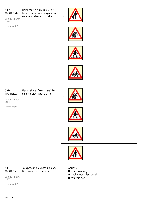#### 5825 MCARS6.20

Liema tabella turik li jista' jkun hemm pedestrians mexjin fit-triq anke jekk m'hemmx bankina?

VULNERABLE ROAD USERS

Immarka twegiba 1









#### 5826 MCARS6.21

Liema tabella tfisser li jista' jkun hemm anzjani jaqsmu t-triq?

VULNERABLE ROAD USERS

Immarka twegiba 1



 $\checkmark$ 







| 5827      | Tara pedestrian b'bastun abjad. |
|-----------|---------------------------------|
| MCARS6.22 | Dan ifisser li dik il-persuna:  |

Anzjana Nieqsa mis-smiegh Ghandha bzonnijiet specjali  $\checkmark$  Nieqsa mid-dawl

VULNERABLE ROAD USERS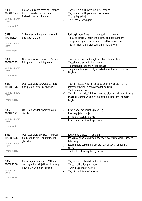| 5828                                   | Riesag lejn zebra crossing. Jistenna                                | Taghmel sinjal lill-persuna biex tistenna                                                                                              |
|----------------------------------------|---------------------------------------------------------------------|----------------------------------------------------------------------------------------------------------------------------------------|
| MCARS6.23                              | biex jagsam hemm persuna                                            | Taghmel sinjal lill-persuna biex taqsam                                                                                                |
|                                        | f'wheelchair. Int ghandek:                                          | Tkompli ghaddej                                                                                                                        |
| <b>VULNERABLE ROAD</b><br><b>USERS</b> |                                                                     | Tkun lest biex twaqqaf                                                                                                                 |
| Immarka twegiba 1                      |                                                                     |                                                                                                                                        |
| 5829                                   | X'ghandek taghmel meta anzjani                                      | Iddoqq il-horn fil-kaz li jkunu neqsin mis-smigh                                                                                       |
| MCARS6.24                              | qed jaqsmu t-triq?                                                  | Tiehu pacenzja u thallihom jaqsmu bil-pass taghhom                                                                                     |
| <b>VULNERABLE ROAD</b>                 |                                                                     | Tirrejzja I-magna biex turihom li qed tistenniehom                                                                                     |
| <b>USERS</b>                           |                                                                     | Taghmlilhom sinjal biex turihom li int rajthom                                                                                         |
| Immarka twegiba 1                      |                                                                     |                                                                                                                                        |
| 5830                                   | Qed issuq wara sewwieq ta' mutur                                    | Twaqqaf u turihom b'idejk in-naha l-ohra tat-triq                                                                                      |
| MCARS6.25                              | fi triq mhux lixxa. Int ghandek:                                    | Taccellera biex taqbizhom malajr                                                                                                       |
| <b>VULNERABLE ROAD</b>                 |                                                                     | Tippretendi li jistennew lilek tghaddi                                                                                                 |
| <b>USERS</b>                           |                                                                     | Toqghod attent ghax jistghu jikkalkolaw hazin il-velocita`<br>tieghek                                                                  |
| Immarka twegiba 1                      |                                                                     |                                                                                                                                        |
| 5831<br>MCARS6.26                      | Qed issuq wara sewwieq ta mutur<br>fi triq mhux lixxa. Int ghandek: | Taghtih l-istess wisa' bhas-soltu ghax il-wicc tat-triq ma<br>jaffettwahhomx lis-sewwieqa tal-mututri                                  |
| <b>VULNERABLE ROAD</b>                 |                                                                     | Taqbzu mal-ewwel                                                                                                                       |
| <b>USERS</b>                           |                                                                     | Taghtih hafna wisa' fil-kaz li jserrep biex jevita l-hofor fit-triq<br>Ma thallix hafna wisa' biex tkun zgur li jista' jarak fil-mirja |
| Immarka twegiba 1                      |                                                                     | tieghu                                                                                                                                 |
|                                        |                                                                     |                                                                                                                                        |
| 5832                                   | QATT m'ghandek tipprova taqla'                                      | Ezatt qabel ma ddur fuq ix-xellug                                                                                                      |
| MCARS6.27                              | ciklista                                                            | F'karreggjata doppja                                                                                                                   |
|                                        |                                                                     | Fi triq b'direzzjoni wahda                                                                                                             |
| <b>VULNERABLE ROAD</b><br><b>USERS</b> |                                                                     | Ezatt gabel ma ddur fuq il-lemin                                                                                                       |
| Immarka twegiba 1                      |                                                                     |                                                                                                                                        |
| 5833                                   | Qed issuq wara ciklista. Trid tikser                                | Iddur mac-ciklista fil-junction                                                                                                        |
| MCARS6.28                              | fuq ix-xellug ftit 'il quddiem. Int<br>ghandek:                     | Issuq ma' genb ic-ciklista u toqghod mieghu sa wara l-ghaqda<br>tat-torog                                                              |
| <b>VULNERABLE ROAD</b><br><b>USERS</b> |                                                                     | Izzomm lura sakemm ic-ciklista jkun ghadda l-ghaqda tat-<br>torog                                                                      |
| Immarka twegiba 1                      |                                                                     | Taqbez lic-ciklista qabel I-junction                                                                                                   |
|                                        |                                                                     |                                                                                                                                        |
| 5834                                   | Riesaq lejn roundabout. Ciklista                                    | Taghmel sinjal lic-ciklista biex jaqsam                                                                                                |
| MCARS6.29                              | qed jaghmillek sinjal li se jikser fuq                              | Twissih billi ddoqqlu il-horn                                                                                                          |
|                                        | il-lemin. X'ghandek taghmel?                                        | Taqla' fuq il-lemin tieghu                                                                                                             |
| <b>VULNERABLE ROAD</b><br><b>USERS</b> |                                                                     | Taghti lic-ciklista hafna wisa'                                                                                                        |
|                                        |                                                                     |                                                                                                                                        |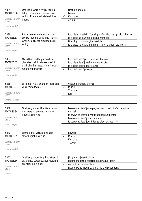| 5835                                   | Qed issuq wara tlett ciklisti. Jigu                                 |              | Dritt 'il quddiem                                                                                 |
|----------------------------------------|---------------------------------------------------------------------|--------------|---------------------------------------------------------------------------------------------------|
| MCARS6.30                              | hdejn roundabout fil-lane tax-<br>xellug. F'liema naha tahseb li se |              | Lemin                                                                                             |
|                                        |                                                                     |              | Kull naha                                                                                         |
| <b>VULNERABLE ROAD</b><br><b>USERS</b> | jmorru?                                                             |              | Xellug                                                                                            |
| Immarka twegiba 1                      |                                                                     |              |                                                                                                   |
| 5836                                   | Riesag lejn roundabout u tara                                       |              | Ic-ciklista jahseb Ii I-Kodici ghat-Traffiku ma jghoddx ghar-roti                                 |
| MCARS6.31                              | ciklista jaghmel sinjal ghall-lemin.                                |              | Ic-ciklista se jdur fuq ix-xellug minnflok                                                        |
| <b>VULNERABLE ROAD</b><br><b>USERS</b> | Ghaliex ic-ciklista qieghed fuq ix-<br>xellug?                      | ✓            | Ghax hija triq iqsar ghac- ciklista<br>Ic-ciklista huwa aktar kajman (slow) u aktar jista' jkorri |
| Immarka twegiba 1                      |                                                                     |              |                                                                                                   |
| 5837                                   | Meta tkun qed taqbez ciklista                                       |              | Ic-ciklista jista' jkollu jdur fuq il-lemin                                                       |
| MCARS6.32                              | ghandek thallilu l-istess wisa' li                                  |              | Ic-ciklista jista' jinzel minn fuq ir-rota                                                        |
|                                        | thalli ghal-karrozza. X'inhi l-aktar                                |              | Ic-ciklista jista' jibdel il-lanes                                                                |
| <b>VULNERABLE ROAD</b><br><b>USERS</b> | raquni importanti?                                                  |              | Ic-ciklista jista' jserrep                                                                        |
| Immarka twegiba 1                      |                                                                     |              |                                                                                                   |
| 5838                                   | Lil liema TNEJN ghandek thalli izjed                                |              | Vetturi li jnaddfu t-toroq                                                                        |
| MCARS6.33                              | wisa' meta taqla'?                                                  |              | Muturi                                                                                            |
| <b>VULNERABLE ROAD</b>                 |                                                                     |              | <b>Tractors</b>                                                                                   |
| <b>USERS</b>                           |                                                                     |              | Roti                                                                                              |
| Immarka 2 twegibiet                    |                                                                     |              |                                                                                                   |
| 5839<br>MCARS6.34                      | Ghaliex ghandek thalli izjed wisa'<br>meta taqla' sewwieq ta' mutur |              | Is-sewwieg jista' jkun gieghed isug b'velocita` aktar minn<br>normal                              |
|                                        | f'gurnata bir-rih?                                                  |              | Is-sewwieq jista' jigi mbuttat ghal quddiemek                                                     |
| <b>VULNERABLE ROAD</b><br><b>USERS</b> |                                                                     |              | Is-sewwieq jista' jieqaf f'daqqa                                                                  |
| Immarka twegiba 1                      |                                                                     |              | Is-sewwieg jista' jdur f'daqqa biex jiskansa r-rih                                                |
|                                        |                                                                     |              |                                                                                                   |
| 5840                                   | Liema tip ta' vettura tintlagat I-                                  |              | <b>Bowser</b>                                                                                     |
| MCARS6.35                              | aktar b'irjieh qawwija?                                             |              | Mutur                                                                                             |
|                                        |                                                                     |              | Karrozza                                                                                          |
| <b>VULNERABLE ROAD</b><br><b>USERS</b> |                                                                     |              | Tractor                                                                                           |
| Immarka twegiba 1                      |                                                                     |              |                                                                                                   |
| 5841                                   | Ghaliex ghandek toqghod attent I-                                   |              | Jistghu ma jarawkx iddur                                                                          |
| MCARS6.36                              | aktar ghas-sewwieqa tal-muturi u                                    |              | Jistghu jnaqqsu l-velocita` biex ihalluk iddur                                                    |
| <b>VULNERABLE ROAD</b>                 | ciklisti fil-junctions?                                             | $\checkmark$ | Aktar difficli li tilmahhom                                                                       |
| <b>USERS</b>                           |                                                                     |              | Jistghu jkunu jridu jiksru ghal go trig sekondarja                                                |
| Immarka 1                              |                                                                     |              |                                                                                                   |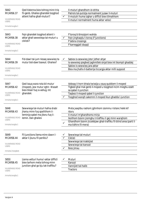| 5842                                   | Qed tistenna biex tohrog minn triq                                  |              | II-muturi ghandhom id-dritta                                                                        |
|----------------------------------------|---------------------------------------------------------------------|--------------|-----------------------------------------------------------------------------------------------------|
| MCARS6.37                              | fil-genb. Ghaliex ghandek toqghod<br>attent hafna ghall-muturi?     | $\checkmark$ | Patrols tal-pulizija normalment juzaw il-muturi<br>Il-mututri huma izghar u difficli biex tilmahhom |
| <b>VULNERABLE ROAD</b><br><b>USERS</b> |                                                                     |              | II-muturi normalment huma aktar veloci                                                              |
| Immarka twegiba 1                      |                                                                     |              |                                                                                                     |
| 5843                                   | Fejn ghandek toqghod attent I-                                      |              | F'toroq b'direzzjoni wahda                                                                          |
| MCARS6.38                              | aktar ghall sewwiega tal-muturi u                                   |              | Fejn jinghaqdu t-toroq (F'junctions)                                                                |
|                                        | ciklisti?                                                           |              | F'zebra crossings                                                                                   |
| <b>VULNERABLE ROAD</b><br><b>USERS</b> |                                                                     |              | F'karreggjati doppji                                                                                |
| Immarka twegiba 1                      |                                                                     |              |                                                                                                     |
| 5844                                   | Fid-dawl tal-jum riesaq sewwieq ta                                  |              | Sabiex is-sewwieq jista' jidher ahjar                                                               |
| MCARS6.39                              | mutur bid-dawl baxxut. Ghaliex?                                     |              | Is-sewwieq qieghed jaghmillek sinjal biex int tkompli ghaddej                                       |
|                                        |                                                                     |              | Sabiex is-sewwieg jara aktar                                                                        |
| <b>VULNERABLE ROAD</b><br><b>USERS</b> |                                                                     |              | Biex ma jhallix il-batterija ticcargja aktar milli suppost                                          |
| Immarka twegiba 1                      |                                                                     |              |                                                                                                     |
|                                        |                                                                     |              |                                                                                                     |
| 5847                                   | Qed issuq wara rota bil-mutur                                       |              | Iddoqq il-horn bhala twissija u ssuq quddiem il-moped                                               |
| MCARS6.42                              | (moped), jew mutur zghir. Wasalt                                    |              | Tigbed ghal mal-genb il-moped u togghod incim mieghu ezatt                                          |
|                                        | biex tikser fuq ix-xellug. Int                                      |              | sa qabel il-junction                                                                                |
| <b>VULNERABLE ROAD</b><br><b>USERS</b> | ghandek:                                                            |              | Taqbez il-moped qabel il-junction                                                                   |
|                                        |                                                                     |              | Toqqhod warajh sakemm il-moped ikun ghadda l-junction                                               |
| Immarka twegiba 1                      |                                                                     |              |                                                                                                     |
| 5848<br>MCARS6.43                      | Sewwieqa tal-muturi hafna drabi<br>jharsu minn fuq spallithom il-   |              | Meta jxaqilbu rashom jghinhom izommu l-bilanc hekk kif<br>iduru                                     |
|                                        | leminija qabel ma jiksru fuq il-                                    |              | II-muturi m'ghandhomx mirja                                                                         |
| <b>VULNERABLE ROAD</b><br><b>USERS</b> | lemin. Dan ghaliex                                                  |              | Ikollhom bzonn jisimghu t-traffiku li gej minn warajhom                                             |
| Immarka twegiba 1                      |                                                                     |              | Ghandhom bzonn jiccekkjaw ghat-traffiku fil-blind area (parti li<br>ma tidhirx fil-mera)            |
|                                        |                                                                     |              |                                                                                                     |
| 5849                                   | Fil-junctions liema minn dawn I-                                    |              | Sewwiega tal-muturi                                                                                 |
| MCARS6.44                              | aktar li jkunu fil-periklu?                                         |              | Ciklisti                                                                                            |
|                                        |                                                                     |              | Sewwieqa tat-trakkijiet                                                                             |
| <b>VULNERABLE ROAD</b><br><b>USERS</b> |                                                                     |              | Sewwiega tal-karozzi                                                                                |
|                                        |                                                                     |              | Nies jimxu                                                                                          |
| Immarka 3 twegibiet                    |                                                                     |              |                                                                                                     |
|                                        |                                                                     |              |                                                                                                     |
| 5850<br>MCARS6.45                      | Liema vetturi huma I-aktar difficli<br>biex tarhom meta tohrog minn |              | Muturi<br>Karozzi                                                                                   |
|                                        | junction ghal go kju tat-traffiku?                                  |              | Vannijiet tal-halib                                                                                 |
| <b>VULNERABLE ROAD</b>                 |                                                                     |              | <b>Tractors</b>                                                                                     |
| <b>USERS</b>                           |                                                                     |              |                                                                                                     |
| Immarka twegiba 1                      |                                                                     |              |                                                                                                     |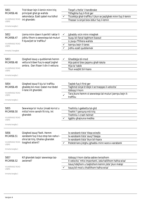| 5851                                   | Trid tikser lejn il-lemin minn trig                                   |              | Tiegaf u ttella' I-handbrake                                        |
|----------------------------------------|-----------------------------------------------------------------------|--------------|---------------------------------------------------------------------|
| MCARS6.46                              | principali ghal go wahda                                              |              | Titfaghha fuq il-first ger                                          |
|                                        | sekondarja. Ezatt qabel ma tidhol                                     | $\checkmark$ | Ticcekkja ghat-traffiku li jkun se jagilghek minn fug il-lemin      |
| <b>VULNERABLE ROAD</b><br><b>USERS</b> | int ghandek:                                                          |              | Thassar is-sinjal biex iddur fug il-lemin                           |
| Immarka twegiba 1                      |                                                                       |              |                                                                     |
| 5852                                   | Liema minn dawn il-perikli l-aktar li                                 | $\checkmark$ | Jghaddu vicin minn mieghek                                          |
| MCARS6.47                              | jidhlu fihom is-sewwieqa tal-muturi                                   |              | Isuqu bil-fanal taghhom baxxut                                      |
| <b>VULNERABLE ROAD</b>                 | fi kjuwijiet ta' traffiku?                                            |              | Li jsuqu f'filliera wahda                                           |
| <b>USERS</b>                           |                                                                       |              | Iserrpu bejn il-lanes<br>Jidhlu ezatt quddiemek                     |
| Immarka 3 twegibiet                    |                                                                       |              |                                                                     |
|                                        |                                                                       |              |                                                                     |
| 5853                                   | Qieghed issuq u quddiemek hemm                                        |              | Ghaddejja bil-mod                                                   |
| MCARS6.48                              | vettura b'dawl fuq is-saqaf jixghel                                   |              | Hija patrol biex jaqsmu ghall-iskola                                |
|                                        | ambra. Dan ifisser li din il-vettura:                                 |              | Hija ta' tabib                                                      |
| <b>VULNERABLE ROAD</b><br><b>USERS</b> |                                                                       |              | Tkun waqfet bil-hsara                                               |
|                                        |                                                                       |              |                                                                     |
| Immarka twegiba 1                      |                                                                       |              |                                                                     |
|                                        |                                                                       |              |                                                                     |
| 5854<br>MCARS6.49                      | Qieghed issuq fi kju ta' traffiku<br>ghaddej bil-mod. Qabel ma tibdel |              | Taqleb fuq il-first ger                                             |
|                                        | il-lane int ghandek:                                                  |              | Taghmel sinjal b'idejk li se tnaqqas il-velocita`<br>Iddogg il-horn |
| <b>VULNERABLE ROAD</b>                 |                                                                       |              | Tara jkunx hemm xi sewwieqa tal-muturi jserrpu bejn it-             |
| <b>USERS</b>                           |                                                                       |              | traffiku                                                            |
| Immarka twegiba 1                      |                                                                       |              |                                                                     |
|                                        |                                                                       |              |                                                                     |
| 5855                                   | Sewwieqa ta' mutur jinsab korrut u                                    |              | Tnehhilu I-gakketta tal-gild                                        |
| MCARS6.50                              | mitluf minn sensih fit-trig. Int                                      |              | Tnehhi 'l persuna mit-triq                                          |
| <b>VULNERABLE ROAD</b>                 | ghandek                                                               |              | Tnehhilu I-crash helmet                                             |
| <b>USERS</b>                           |                                                                       |              | Iggiblu ghajnuna medika                                             |
| Immarka twegiba 1                      |                                                                       |              |                                                                     |
| 5856                                   | Qieghed issuq f'belt. Hemm                                            |              | Ix-xarabank tista' tibqa wieqfa                                     |
| MCARS6.51                              | xarabank fuq il-bus stop tan-naha l-                                  |              | Ix-xarabank tista' ssuq f'daqqa                                     |
|                                        | ohra tat-triq. Ghaliex ghandek                                        |              | Ix-xarabank tista' tkun bil-hsara                                   |
| <b>VULNERABLE ROAD</b><br><b>USERS</b> | togghod attent?                                                       |              | Pedestrians jistghu jghaddu minn wara x-xarabank                    |
| Immarka twegiba 1                      |                                                                       |              |                                                                     |
|                                        |                                                                       |              |                                                                     |
| 5857                                   | Kif ghandek taqla' sewwieqa taz-                                      |              | Iddoqq il-horn darba sabiex twissihom                               |
| MCARS6.52                              | zwiemel?                                                              |              | Il-velocita` mhix importanti, izda hallilhom hafna wisa'            |
|                                        |                                                                       |              | Issuq hdejhom u taqbizhom kemm jista' jkun malajr                   |
| <b>VULNERABLE ROAD</b><br><b>USERS</b> |                                                                       |              | Issuq bil-mod u thallilhom hafna wisa'                              |
| Immarka twegiba 1                      |                                                                       |              |                                                                     |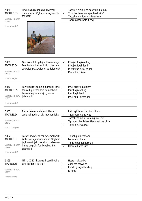| 5858<br>MCARS6.53<br>VULNERABLE ROAD<br><b>USERS</b><br>Immarka twegiba 1          | Tinduna b'rikkieba biz-zwiemel<br>quddiemek. X'ghandek taghmel L-<br>EWWEL?                                                                                     | $\checkmark$ | Taghmel sinjal li se ddur fuq il-lemin<br>Tkun lest biex tnaqqas il-velocita`<br>Taccellera u ddur madwarhom<br>Tohrog ghan-nofs it-triq                       |
|------------------------------------------------------------------------------------|-----------------------------------------------------------------------------------------------------------------------------------------------------------------|--------------|----------------------------------------------------------------------------------------------------------------------------------------------------------------|
| 5859<br>MCARS6.54<br><b>VULNERABLE ROAD</b><br><b>USERS</b><br>Immarka twegiba 1   | Qed issuq fi triq dejqa fil-kampanja.<br>Fejn issibha l-aktar difficli biex tara<br>sewwieqa taz-zwiemel quddiemek?                                             | ✓            | F'liwjiet fuq ix-xellug<br>F'liwjiet fuq il-lemin<br>Meta tkun tiela' telgha<br>Meta tkun niezel                                                               |
| 5860<br>MCARS6.55<br><b>VULNERABLE ROAD</b><br><b>USERS</b><br>Immarka twegiba 1   | Sewwieq ta' ziemel qieghed fil-lane<br>tax-xellug riesaq lejn roundabout.<br>Is-sewwieq ta' warajh ghandu<br>jistenna li:                                       | ✓            | Imur dritt 'il quddiem<br>Idur fuq ix-xellug<br>Idur fuq il-lemin<br>Imur f'kull direzzjoni                                                                    |
| 5861<br>MCARS6.56<br><b>VULNERABLE ROAD</b><br><b>USERS</b><br>Immarka 2 twegibiet | Riesag lejn roundabout. Hemm iz-<br>zwiemel quddiemek. Int ghandek :                                                                                            | $\checkmark$ | Iddoqq il-horn biex twissihom<br>Thallilhom hafna wisa'<br>Taccellera malajr kemm jista' jkun<br>Tqishom bhallikieku kienu vettura ohra<br>Tlesti biex twaqqaf |
| 5862<br>MCARS6.57<br><b>VULNERABLE ROAD</b><br><b>USERS</b><br>Immarka twegiba 1   | Tara xi sewwieqa taz-zwiemel hekk<br>kif tersaq lejn roundabout. Qeghdin<br>jaghmlu sinjal li se jduru mal-lemin<br>imma qeghdin fuq ix-xellug. Int<br>ghandek: |              | Tidhol quddiemhom<br>Izzomm qribhom<br>Tibqa' ghaddej normali<br>Izzomm hafna lura                                                                             |
| 5863<br>MCARS6.58<br><b>VULNERABLE ROAD</b><br><b>USERS</b><br>Immarka twegiba 1   | Min L-IZJED jikkawza il-parti l-kbira<br>ta' l-incidenti fit-triq?                                                                                              | ✓            | Hsara mekkanika<br>Zball tas-sewwieq<br>Kundizzjonijiet tat-triq<br>It-temp                                                                                    |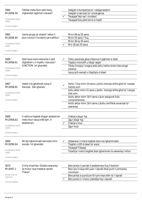| 5864                                   | Tahbat meta tkun qed issuq.                            |              | Issejjah il-kumpanija ta' l-assigurazzjoni                                        |
|----------------------------------------|--------------------------------------------------------|--------------|-----------------------------------------------------------------------------------|
| MCARS6.59                              | X'ghandek taghmel I-ewwel?                             |              | Issejjah is-servizzi ta' l-emergenza                                              |
| <b>VULNERABLE ROAD</b>                 |                                                        |              | Twaqqaf fejn sar I-incident                                                       |
| <b>USERS</b>                           |                                                        |              | Twaqqaf biss jekk korra xi hadd                                                   |
| Immarka twegiba 1                      |                                                        |              |                                                                                   |
| 5865                                   | Liema grupp ta' etajiet l-aktar li                     |              | Minn 46 sa 55 sena                                                                |
| MCARS6.60                              | jkun involut f'incidenti tat-traffiku?                 |              | Minn 55 sena 'I fuq                                                               |
|                                        |                                                        |              | Minn 36 sa 45 sena                                                                |
| <b>VULNERABLE ROAD</b><br><b>USERS</b> |                                                        |              | Mit-18 sal-25 sena                                                                |
|                                        |                                                        |              |                                                                                   |
| Immarka twegiba 1                      |                                                        |              |                                                                                   |
| 5866                                   | Qed issuq wara sewwieq li qed                          |              | Tiehu pacenzja ghax tistenna li jaghmel xi zball                                  |
| MCARS6.61                              | jitghallem u li tiqaflu l-karozza f                    |              | Taqbzu minnufih u tibqa' sejjer                                                   |
|                                        | JUNCTION. Int ghandek:                                 |              | Tibda tirrejzja l-magna jekk jiehu hafna zmien biex jerga'                        |
| <b>VULNERABLE ROAD</b><br><b>USERS</b> |                                                        |              | jistartja                                                                         |
|                                        |                                                        |              | Issuq qrib warajh u tteptiplu d-dawl                                              |
| Immarka tweqiba 1                      |                                                        |              |                                                                                   |
|                                        |                                                        |              |                                                                                   |
| 5867<br>MCARS6.62                      | Habib irid jghallmek issuq il-<br>karozza. Dan ghandu: | ✓            | Ikollu 'I fuq minn 25 sena u jkollu licenzja shiha ghal ta' l-anqas<br>hames snin |
|                                        |                                                        |              | kollu aktar minn 21 sena u jkollu licenzja shiha ghal ta' l-anqas                 |
| <b>VULNERABLE ROAD</b>                 |                                                        |              | tliet snin                                                                        |
| <b>USERS</b>                           |                                                        |              | Ikollu aktar minn 18-il sena u jkun assigurat fully                               |
| Immarka twegiba 1                      |                                                        |              | comprehensive                                                                     |
|                                        |                                                        |              | Ikollu aktar minn 18-il sena u jkollu certifikat avvanzat ta'                     |
|                                        |                                                        |              | sewwieg                                                                           |
|                                        |                                                        |              |                                                                                   |
| 5868                                   | II-vettura tieghek ittajjar pedestrian                 |              | X'aktarx jibqa' haj                                                               |
| MCARS6.63                              | meta tkun issuq b'60 kph. Il-                          |              | Zgur jibqa' haj                                                                   |
|                                        | pedestrian:                                            |              | X'aktarx imut                                                                     |
| <b>VULNERABLE ROAD</b>                 |                                                        |              | Zgur imut                                                                         |
| <b>USERS</b>                           |                                                        |              |                                                                                   |
| Immarka twegiba 1                      |                                                        |              |                                                                                   |
|                                        |                                                        |              |                                                                                   |
| 5869                                   | Bil-lejl tghammxek karrozza minn                       | $\checkmark$ | Iddawwar il-mera tieghek biex ma tghammxekx                                       |
| MCARS6.64                              | warajk. Int ghandek:                                   |              | Tixghel u titfi d-dawl ta' wara                                                   |
|                                        |                                                        |              | Twaqqaf f'daqqa                                                                   |
| <b>VULNERABLE ROAD</b><br><b>USERS</b> |                                                        |              | Tissettja I-mera tieghek biex tghammex lis-sewwieg I-iehor                        |
|                                        |                                                        |              |                                                                                   |
| Immarka twegiba 1                      |                                                        |              |                                                                                   |
|                                        |                                                        |              |                                                                                   |
| 5870                                   | It-triq imxarrba. Ghaliex sewwieq                      |              | Biex jevita li jxarrab il-pedestrians fuq il-bankini                              |
| MCARS7.1                               | ta mutur isuq madwar spralli                           |              | Biex iqis il-liwja billi juza' l-ispralli bhal punt li jimmarka                   |
| OTHER TYPE OF                          | f'liwja?                                               |              | minnhom<br>Biex jevita xi puncture fit-tyre max-xifer ta' I-isprall               |
| <b>VEHICLES</b>                        |                                                        |              | Biex jevita li l-mutur jiskiddja fuq l-ispralli                                   |
| Immarka twegiba 1                      |                                                        |              |                                                                                   |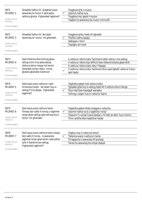| 5871<br>MCARS7.2<br>OTHER TYPE OF<br><b>VEHICLES</b><br>Immarka twegiba 1<br>5872<br>MCARS7.3<br>OTHER TYPE OF | Ghaddej hafna rih. Qieghed wara<br>sewwieq ta mutur li qed jaqla'<br>vettura gholja. X'ghandek taghmel?<br>Ghaddej hafna rih. Se taqla'<br>sewwieg ta' mutur. Int ghandek: | ✓ | Toqghod qrib il-mutur<br>Izzomm hafna lura<br>Toqghod ma' genb il-mutur<br>Taqbez lis-sewwieq tal-mutur minnufih<br>Toqghod qribu hekk kif tghaddi<br>Thallilu hafna spazju<br>Iddoqqlu I-horn                                                                   |
|----------------------------------------------------------------------------------------------------------------|----------------------------------------------------------------------------------------------------------------------------------------------------------------------------|---|------------------------------------------------------------------------------------------------------------------------------------------------------------------------------------------------------------------------------------------------------------------|
| <b>VEHICLES</b><br>Immarka twegiba 1                                                                           |                                                                                                                                                                            |   | Taqilghu bil-mod                                                                                                                                                                                                                                                 |
| 5873<br>MCARS7.4<br>OTHER TYPE OF<br><b>VEHICLES</b><br>Immarka twegiba 1                                      | Oed tistenna biex tohrog ghax-<br>xellug minn triq sekondarja.<br>Vettura kbira riesqa mil-lemin.<br>Ghandek zmien iddur, imma<br>ghaliex ghandek tistenna?                |   | II-vettura I-kbira tista' facilment tahbi vetturi mix-xelluq<br>Il-vettura I-kbira hija difficcli biex tikkontrollaha ghad-dritt<br>Il-vettura l-kbira tista' ddur f'daqqa<br>Il-vettura I-kbira tista' facilment tkun qed tghatti vettura li tkun<br>qed taqla' |
| 5874<br>MCARS7.5<br>OTHER TYPE OF<br><b>VEHICLES</b><br>Immarka twegiba 1                                      | Qed issuq wara vettura li qed<br>tirmonka trailer. Se tikser fug ix-<br>xellug fi triq dejqa. X'ghandek<br>taghmel?                                                        |   | Taqbizha qabel mal-vettura ddur<br>Tghaddi ghal fuq ix-xellug hekk kif il-vettura tkun hierga<br>Tkun lest biex twaqqaf warajha<br>Tohrog u taqla' fuq in-naha ta' barra                                                                                         |
| 5875<br>MCARS7.6<br>OTHER TYPE OF<br><b>VEHICLES</b><br>Immarka twegiba 1                                      | Qed issuq wara vettura twila.<br>Tersaq lejn salib it-toroq u taghmel<br>sinjal ghax-xellug izda tohrog fuq il-<br>lemin. Int ghandek:                                     |   | Taqbizha qabel tibda tnaqqas il-velocita`<br>Izzomm hafna lura u taghtiha I-wisa'<br>Tassumi li s-sinjal huwa zbaljat u fil-fatt se ddur fuq il-lemin<br>Tmur gribha biex tagbizha malajr                                                                        |
| 5876<br>MCARS7.7<br>OTHER TYPE OF<br><b>VEHICLES</b><br>Immarka twegiba 1                                      | Qed issuq wara vettura twila riesqa<br>lejn salib it-toroq. Is-sewwieq<br>jaghmel sinjal ghal-lemin izda jidhol<br>qrib il-bankina tax-xelluq.<br>X'ghandek taghmel?       |   | Taqbzu fuq in-naha tal-lemin<br>Tistenna wara I-vettura t-twila<br>Tirrapporta s-sewwieq lill-pulizija<br>Twissi lis-sewwieg bis-sinjal zbaljat                                                                                                                  |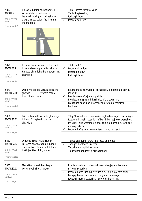### 5877 MCARS7.8

OTHER TYPE OF VEHICLES

Riesaq lejn mini-roundabout. Ilvettura t-twila quddiem qed taghmel sinjal ghax-xellug imma qieghda f'pozizzjoni fuq il-lemin. Int ghandek:

| Tiehu I-istess rotta tal-vann |
|-------------------------------|
| Tagla' fug ix-xellug          |
| Iddogg il-horn                |
| Izzomm sew lura               |
|                               |



| 5878                             | Izzomm hafna lura meta tkun qed                                        |              | Tibda taqla'                                                                                                                        |
|----------------------------------|------------------------------------------------------------------------|--------------|-------------------------------------------------------------------------------------------------------------------------------------|
| MCARS7.9                         | tistenna biex taqla' vettura kbira.                                    | ✓            | Izzomm aktar lura                                                                                                                   |
|                                  | Karozza ohra tidhol bejnietkom. Int                                    |              | Itteptep id-dawl                                                                                                                    |
| OTHER TYPE OF<br><b>VEHICLES</b> | ghandek:                                                               |              | Iddogg il-horn                                                                                                                      |
| Immarka twegiba 1                |                                                                        |              |                                                                                                                                     |
| 5879<br>MCARS7.10                | Qabel ma taqbez vettura kbira int<br>ghandek<br>izzomm hafna           |              | Biex taghti lis-sewwiega l-ohra spazju bla periklu jekk iridu<br>jaqbzuk                                                            |
|                                  | lura. Ghaliex dan?                                                     | $\checkmark$ | Biex tara sew x'gej minn quddiem                                                                                                    |
| OTHER TYPE OF<br><b>VEHICLES</b> |                                                                        |              | Biex izzomm spazju fil-kaz li tieqaf u tregga' lura                                                                                 |
| Immarka twegiba 1                |                                                                        |              | Biex taghti spazju halli taccellera biex tagla' malajr fil-<br>kantunieri                                                           |
|                                  |                                                                        |              |                                                                                                                                     |
| 5880<br>MCARS7.11                | Triq taqbez vettura twila ghaddejja<br>bil-mod fi triq traffikuza. Int |              | Tibqa' lura sakemm is-sewwieq jaghmillek sinjal biex taqilghu<br>Itteptep il-fanali I-kbar lit-traffiku li jkun gej biex iwarrablek |
|                                  | ghandek:                                                               |              | Issuq mill-qrib warajha u tibqa' ssuq fuq barra biex tara x'gej                                                                     |
| OTHER TYPE OF<br>VEHICLES        |                                                                        |              | minn quddiem                                                                                                                        |
|                                  |                                                                        |              | Izzomm hafna lura sakemm tara li m'hu gej hadd                                                                                      |
| Immarka twegiba 1                |                                                                        |              |                                                                                                                                     |
| 5881                             | Qieghed issuq f'nizla. Hemm                                            |              | Tigbed ghal-lemin wara l-karrozza pparkjata                                                                                         |
| MCARS7.12                        | karrozza pparkjata fuq in-naha l-                                      |              | Tnaqqas il-velocita` u ccedi                                                                                                        |
|                                  | ohra tat-triq. Resqin lejk bil-mod                                     |              | Taccellera u taqbizha malajr                                                                                                        |
| OTHER TYPE OF<br><b>VEHICLES</b> | trakkijiet kbar. Int ghandek:                                          |              | Tibqa' ghaddej ghax id-dritta tieghek                                                                                               |
| Immarka twegiba 1                |                                                                        |              |                                                                                                                                     |
| 5882<br>MCARS7.13                | Meta tkun wasalt biex taqbez<br>vettura twila int ghandek:             |              | Itteptep id-dwal u tistenna lis-sewwieq jaghmillek sinjal li<br>m'hemmx periklu                                                     |
|                                  |                                                                        | $\checkmark$ | Izzomm hafna lura mill-vettura biex tkun tista' tara ahjar                                                                          |
| OTHER TYPE OF<br><b>VEHICLES</b> |                                                                        |              | Issuq qrib il-vettura sabiex taqilghu aktar malajr                                                                                  |
|                                  |                                                                        |              | Iddoqq il-horn biex turi lis-sewwieq li hemm int                                                                                    |
| Immarka twegiba 1                |                                                                        |              |                                                                                                                                     |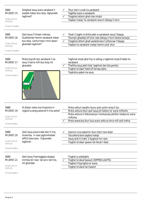| 5884<br>MCARS7.15<br>OTHER TYPE OF<br><b>VEHICLES</b><br>Immarka 2 twegibiet | Qieghed issuq wara xarabank li<br>waqfet hdejn bus stop. Xghandek<br>taghmel?                                       |              | Tkun lest li ccedi lix-xarabank<br>Taghfas wara x-xarabank<br>Toqghod attent ghal-nies mixjin<br>Taqbez malajr lix-xarabank wara li ddoqq il-horn                                                                                                         |
|------------------------------------------------------------------------------|---------------------------------------------------------------------------------------------------------------------|--------------|-----------------------------------------------------------------------------------------------------------------------------------------------------------------------------------------------------------------------------------------------------------|
| 5885<br>MCARS7.16<br>OTHER TYPE OF<br><b>VEHICLES</b><br>Immarka 2 twegibiet | Qed issuq f'inhawi mibnija.<br>Quddiemek hemm xarabank hdejn<br>bus stop. Liema tnejn minn dawn<br>ghandek taghmel? | $\checkmark$ | Tlesti li taghti d-dritta jekk ix-xarabank issuq f'daqqa<br>Tkompli ghaddej kif kont izda ddogg il-horn bhala twissija<br>Togghod attent ghall-pedestrians li jitfaccaw f'daqqa<br>Taqbez lix-xarabank malajr kemm jista' jkun                            |
| 5886<br>MCARS7.17<br>OTHER TYPE OF<br><b>VEHICLES</b><br>Immarka twegiba 1   | Meta toqrob lejn xarabank li se<br>ssuq il-barra mill-bus stop int<br>ghandek:                                      | ✓            | Taghmel sinjal ghal fuq ix-xellug u taghmel sinjal b'idejk lix-<br>xarabank<br>Thalliha ssuq jekk tista' taghmel dan bla periklu<br>Tixghel id-dawl hekk kif tersaq lejha<br>Taqbizha qabel ma ssuq                                                       |
| 5888<br>MCARS7.19<br>OTHER TYPE OF<br><b>VEHICLES</b><br>Immarka tweqiba 1   | Xi jfisser meta ma tinzammx ir-<br>regola ta zewg sekondi fi triq xotta?                                            |              | Meta vetturi weqfin ikunu qrib xulxin wisq fi kju<br>Meta vettura tkun qed issuq bil-bibien ta' wara miftuhin<br>Meta vettura li tikkonsenja l-merkanzija jkollha l-bieba ta' wara<br>miftuha<br>Meta sewwieq ikun isuq wara vettura ohra mill-qrib hafna |
| 5889<br>MCARS7.20<br>OTHER TYPE OF<br><b>VEHICLES</b><br>Immarka twegiba 1   | Qed issuq wara trakk kbir fi triq<br>imxarrba. Ir-raxx jaghmilhielek<br>difficli biex tara. X'ghandek<br>taghmel:   |              | Izzomm lura sakemm tkun tista' tara ahjar<br>Taccellera biex taqbez malajr<br>Issuq qrib it-trakk 'il boghod mir-raxx<br>Tixghel id-dawl qawwi tal-fanali l-kbar                                                                                          |
| 5890<br>MCARS7.21<br>OTHER TYPE OF<br><b>VEHICLES</b><br>Immarka twegiba 1   | Qed issuq f'karreggjata doppja<br>mimlija bir-raxx tal-wicc tat-triq.<br>Int ghandek                                |              | Tixghel is-sidelights<br>Tixghel id-dwal baxxuti (DIPPED LIGHTS)<br>Tixghel il-fog lights ta' wara<br>Tixghel id-dwal tal-hazard                                                                                                                          |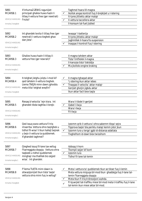| 5891<br>MCARS8.1<br><b>VEHICLE HANDLING</b><br>Immarka 2 twegibiet | X'inhumaZ-ZEWG ragunijiet<br>principali ghaliex huwa hazin li<br>titlaq il-vettura free (ger newtrali)<br>f'nizla?                                                       | $\checkmark$<br>✓ | Taghmel hsara lill-magna<br>Ikollok angas kontroll fuq il-brejkijiet u l-istering<br>It-tyres jittieklu aktar malajr<br>Il-vettura taccellera aktar<br>Il-konsum tal-fuel jizdied               |
|--------------------------------------------------------------------|--------------------------------------------------------------------------------------------------------------------------------------------------------------------------|-------------------|-------------------------------------------------------------------------------------------------------------------------------------------------------------------------------------------------|
| 5892<br>MCARS8.2                                                   | Int ghandek tevita li titlaq free (ger<br>newtrali) I-vettura tieghek ghax<br>dan jista':                                                                                |                   | Iwaqqa' I-batterija<br>It-tyres jittieklu aktar malajr<br>Jaghmillek il-hsara fis-suspension                                                                                                    |
| <b>VEHICLE HANDLING</b><br>Immarka twegiba 1                       |                                                                                                                                                                          |                   | Inaqqas il-kontroll fuq l-istering                                                                                                                                                              |
| 5893<br>MCARS8.3<br><b>VEHICLE HANDLING</b><br>Immarka twegiba 1   | Ghaliex huwa hazin li titlaq il-<br>vettura free (ger newrali)?                                                                                                          |                   | II-magna tahdem aktar<br>Tista' tintfielek il-magna<br>Il-karozza tista' tiskiddja<br>Ma jkollokx engine braking                                                                                |
| 5894<br>MCARS8.4<br><b>VEHICLE HANDLING</b><br>Immarka 2 twegibiet | It-telghat jistghu jolqtu I-mod kif<br>ged tahdem il-vettura tieghek.<br>Liema TNEJN minn dawn jghoddu<br>meta titla' telghat weqfin?                                    | ✓                 | Il-magna tghaqad aktar<br>'L-istering ikun aktar iebes<br>Tnaqqas il-velocita` aktar malajr<br>Gerijiet gholjin jigbdu aktar<br>Ikun aktar facli biex taqla                                     |
| 5895<br>MCARS8.5<br><b>VEHICLE HANDLING</b><br>Immarka twegiba 1   | Riesaq b'velocita` lejn kisra. Int<br>ghandek tibda taghfas il-brejk:                                                                                                    |                   | Wara li tibdel il-gerijiet<br>Qabel I-liwja<br>Wara I-liwja<br>Fil-liwja                                                                                                                        |
| 5896<br>MCARS8.6<br><b>VEHICLE HANDLING</b><br>Immarka twegiba 1   | Qed issuq wara vettura fi triq<br>imxarrba. Vettura ohra taqilghek u<br>tidhol fil-wisa' li tkun hallejt bejnek<br>u bejn il-vettura ta quddiemek.<br>X'ghandek taghmel? | ✓                 | Izzomm qrib il-vettura l-ohra sakemm tibqa' sejra<br>Tipprova taqla' bla periklu malajr kemm jista' jkun<br>Izzomm lura u terga' ggib id-distanza adattata<br>Tixghelhom id-dawl biex twissihom |
| 5897<br>MCARS8.7<br><b>VEHICLE HANDLING</b><br>Immarka twegiba 1   | Qieghed issuq fil-lane tax-xellug<br>f'karreggjata doppja. Vettura ohra<br>taqbzek u tidhol quddiemek<br>minghajr ma thallilek biz-zejjed<br>wisa'. Int ghandek:         |                   | Iddoqq il-horn<br>Tkompli sejjer kif kont<br>Izzomm lura<br>Tidhol fil-lane tal-lemin                                                                                                           |
|                                                                    |                                                                                                                                                                          |                   |                                                                                                                                                                                                 |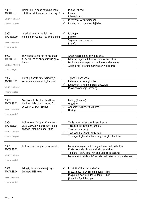| 5899<br>MCARS8.9<br><b>VEHICLE HANDLING</b><br>Immarka 3 twegibiet  | Liema TLIETA minn dawn ikollhom<br>effett fuq id-distanza biex twaqqaf?                                  | $\checkmark$      | Id-dawl fit-triq<br>It-temp<br>Il-hin tal-jum<br>It-tyres tal-vettura tieghek<br>Il-velocita` li tkun ghaddej biha                                                                                                     |
|---------------------------------------------------------------------|----------------------------------------------------------------------------------------------------------|-------------------|------------------------------------------------------------------------------------------------------------------------------------------------------------------------------------------------------------------------|
| 5900<br>MCARS8.10<br><b>VEHICLE HANDLING</b><br>Immarka twegiba 1   | Ghaddej minn xita qliel. It-tul<br>medju biex twaqqaf facilment ikun:                                    |                   | Id-doppju<br>L-istess<br>Sa ghaxar darbiet aktar<br>In-nofs                                                                                                                                                            |
| 5901<br>MCARS8.11<br><b>VEHICLE HANDLING</b><br>Immarka twegiba 1   | Sewwiega tal-muturi huma aktar<br>fil-periklu minn ohrajn fit-triq ghax<br>huma                          |                   | Aktar veloci minn sewwiega ohra<br>Iktar facli li jieqfu bil-hsara minn vetturi ohra<br>Ikollhom angas esperjenza minn sewwiega ohra<br>Aktar difficli li tarahom minn sewwiega ohra                                   |
| 5902<br>MCARS8.12<br><b>VEHICLE HANDLING</b><br>Immarka twegiba 1   | Biex tigi f'postok meta tiskiddja l-<br>vettura minn wara int ghandek:                                   |                   | Tigbed il-handbrake<br>Iddawwar I-istering kontra<br>Iddawwar I-istering fl-istess direzzjoni<br>Ma ddawwar xejn l-istering                                                                                            |
| 5903<br>MCARS8.13<br><b>VEHICLE HANDLING</b><br>Immarka twegiba 1   | Qed issuq f'xita qliel. Il-vettura<br>tieghek tibda bhal tizzerzaq fuq<br>wicc I-ilma. Dan jissejjah.    |                   | Fading (Tisfuma)<br>Weaving<br>Aquaplaning (Izzicc fuq I-ilma)<br>Hosing                                                                                                                                               |
| 5904<br>MCARS8.14<br><b>VEHICLE HANDLING</b><br>Immarka 2 twegibiet | Ikollok issuq fic-cpar. X'inhuma I-<br>aktar ZEWG hwejjeg importanti li<br>ghandek taghmel gabel titlag? | $\checkmark$<br>✓ | Timla sa fuq ir-radiator bl-antifreeze<br>Ticcekkja li d-dwal ged jahdmu<br>Ticcekkja I-batterija<br>Tkun zgur li t-twieqi huma ndaf<br>Tkun zgur li ghandek il-warning triangle fil-vettura                           |
| 5905<br>MCARS8.15<br><b>VEHICLE HANDLING</b><br>Immarka twegiba 1   | Ikollok issuq fic-cpar. Int ghandek:                                                                     |                   | Izzomm zewg sekondi 'I boghod minn vetturi I-ohra<br>Ma tuzax id-demisters u windscreen wipers<br>Tippjana li tiehu aktar hin ghal vjagg li se taghmel<br>Izzomm vicin id-dwal ta' wara ta' vetturi ohra ta' quddiemek |
| 5906<br>MCARS8.16<br><b>VEHICLE HANDLING</b><br>Immarka twegiba 1   | Il-foglights ta' quddiem jistghu<br>jintuzaw BISS jekk:                                                  |                   | Il-vizibilita` tkun hazina hafna<br>Jintuza hoss ta' twissija mal-fanali l-kbar<br>Ma jkunux qawwija daqs il-fanali l-kbar<br>Jitwahhlu fuq il-bumper                                                                  |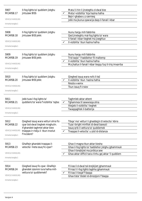| 5907<br>MCARS8.17<br><b>VEHICLE HANDLING</b><br>Immarka twegiba 1                      | II-fog lights ta' quddiem jistghu<br>jintuzaw BISS                                                                                                                                                                            | ✓ | Matul il-hin li jinxteghlu d-dwal biss<br>Meta l-vizibilita` hija hazina hafna<br>Bejn I-ghabex u z-zernieq<br>Jekk ma jkunux qawwija daqs il-fanali l-kbar                                                                                                            |
|----------------------------------------------------------------------------------------|-------------------------------------------------------------------------------------------------------------------------------------------------------------------------------------------------------------------------------|---|------------------------------------------------------------------------------------------------------------------------------------------------------------------------------------------------------------------------------------------------------------------------|
| 5908<br>MCARS8.18<br><b>VEHICLE HANDLING</b><br>Immarka twegiba 1                      | II-fog lights ta' quddiem jistghu<br>jintuzaw BISS jekk:                                                                                                                                                                      |   | Ikunu hargu mill-fabbrika<br>Qed jinxteghlu mal-fog lights ta' wara<br>II-fanali I-kbar tieghek ma jixeghlux<br>Il-vizibilita` tkun hazina hafna                                                                                                                       |
| 5909<br>MCARS8.19<br><b>VEHICLE HANDLING</b><br>Immarka twegiba 1                      | II-fog lights ta' quddiem jistghu<br>jintuzaw BISS jekk:                                                                                                                                                                      |   | Ikunu hargu mill-fabbrika<br>Trid taqla' 'I haddiehor fil-maltemp<br>Il-vizibilita` tkun hazina hafna<br>Ma jhallux il-fanali l-kbar ileqqu fuq it-triq imxarrba                                                                                                       |
| 5910<br>MCARS8.20<br><b>VEHICLE HANDLING</b><br>Immarka twegiba 1                      | II-fog lights ta' quddiem jistghu<br>jintuzaw BISS jekk:                                                                                                                                                                      |   | Qieghed issuq wara nofs il-lejl<br>Il-vizibilita` tkun hazina hafna<br>Niezla x-xemx<br>Tkun issug fl-irxiex                                                                                                                                                           |
| 5911<br>MCARS8.21<br><b>VEHICLE HANDLING</b><br>Immarka twegiba 1                      | Jekk tuza I-fog lights ta'<br>quddiem/ta' wara f'vizibilita` tajba:                                                                                                                                                           | ✓ | Taghmlek aktar attent<br>Tghammex lil sewwiega ohra<br>Ittejjeb il-vizibilita` tieghek<br>Twaqqaqhlek il-batterija                                                                                                                                                     |
| 5912<br>MCARS8.22<br><b>VEHICLE HANDLING</b><br>Immarka twegiba 1<br>5913<br>MCARS8.23 | Qieghed issuq wara vetturi ohra fic-<br>cpar bid-dwal tieghek mixghulin.<br>X'ghandek taghmel aktar biex<br>tnaqqas ir-riskju li tkun involut<br>f'incident?<br>Ghalfejn ghandek tnaqqas il-<br>velocita` meta ssuq fic-cpar? |   | Tibqa' ma' vetturi li ghaddejjin b'velocita` kbira<br>Tuza I-bright minflok id-dwal baxxuti<br>Issuq qrib il-vettura ta' quddiemek<br>Tnaggas il-velocita` u zzid id-distanza<br>Ghax il-magna tkun aktar kiesha<br>Ghax il-fog lights ta' haddiehor jistghu jghammxuk |
| <b>VEHICLE HANDLING</b><br>Immarka twegiba 1<br>5914<br>MCARS8.24                      | Qieghed issuq fic-cpar. Ghalfejn<br>ghandek izzomm lura hafna mill-                                                                                                                                                           |   | Ghax il-brejkijiet ma jorbtux sew<br>Ghax aktar difficli tara x'inhu gej aktar 'il quddiem<br>Fil-kas li d-dwal tal-brejkijiet jghammxuk<br>Fil-kaz li l-fog lights taghha jghammxuk                                                                                   |
| <b>VEHICLE HANDLING</b><br>Immarka twegiba 1                                           | vettura ta' quddiemek?                                                                                                                                                                                                        |   | Fil-kas li tieqaf f'daqqa<br>Ghax tista' tibdel id-direzzjoni f'daqqa                                                                                                                                                                                                  |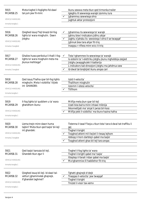| 5915<br>MCARS8.25<br><b>VEHICLE HANDLING</b><br>Immarka twegiba 1<br>5916<br>MCARS8.26 | Meta tixghel il-foglights fid-dawl<br>tal-jum jew fil-mini:<br>Qieghed issuq f'lejl bnazzi bil-fog<br>lights ta' wara mixghulin. Dawn |              | Ikunu sewwa meta tkun qed tirmonka trailer<br>Igieghlu lil sewwieqa warajk izommu lura<br>Jqhammxu sewwieqa ohra<br>Jaghtuk aktar protezzjoni<br>Jqhammxu lis-sewwieqa ta' warajk<br>Jghinu biex l-indicators jidhru ahjar                 |
|----------------------------------------------------------------------------------------|---------------------------------------------------------------------------------------------------------------------------------------|--------------|--------------------------------------------------------------------------------------------------------------------------------------------------------------------------------------------------------------------------------------------|
| <b>VEHICLE HANDLING</b><br>Immarka 2 twegibiet                                         | jistghu:                                                                                                                              |              | Jaghtu x'jahsbu lis- sewwieqa l-ohra li se twaqqaf<br>Jghinuk biex tara ahjar fit-triq<br>Inaqqsu r-rifless minn wicc it-triq                                                                                                              |
| 5917<br>MCARS8.27<br><b>VEHICLE HANDLING</b><br>Immarka 2 twegibiet                    | Ghaliex huwa perikoluz li thalli I-foq<br>lights ta' wara mixghulin meta ma<br>jkunux mehtiega?                                       | $\checkmark$ | Tista' tghammex lis-sewwieqa ta' warajk<br>Is-sistemi ta' l-elettriku jistghu jkunu mghobbija zzejjed<br>Jistghu jwaqqghulek il-batterija<br>L-indicators tad-direzzjoni jistghu ma jahdmux sew<br>Id-dwal tal-brejkijiet ikunu angas cari |
| 5918<br>MCARS8.28<br><b>VEHICLE HANDLING</b><br>Immarka twegiba 1                      | Qed issuq f'hafna cpar bil-fog lights<br>mixghulin. Meta l-vizibilita` titjieb<br>int GHANDEK:                                        |              | Izzid il-velocita`<br>Thallihom mixghulin<br>Izzomm I-istess velocita<br>Titfihom                                                                                                                                                          |
| 5919<br>MCARS8.29<br><b>VEHICLE HANDLING</b><br>Immarka twegiba 1                      | Il-fog lights ta' quddiem u ta' wara<br>ghandhom ikunu:                                                                               |              | Mitfija meta jkun cpar bil-lejl<br>Uzati biss barra minn inhawi mibnija<br>Ikkonnettjati ma' sinjal li jwissi bil-hoss<br>Mitfija jekk il-vizibilita` ma tkunx hazina hafna                                                                |
| 5920<br>MCARS8.30<br><b>VEHICLE HANDLING</b><br>Immarka 2 twegibiet                    | Liema tnejn minn dawn huma<br>tajbin? Meta tkun ged tagla' bil-lejl<br>int ghandek:                                                   |              | Tistenna li tasal f'liwja u tkun tista' tara d-dwal tat-traffiku li<br>gej<br>Tixghel il-bright<br>Togghod attent mil-liwjiet li riesaq lejhom<br>Iddoqq il-horn darbtejn qabel ma taqla'<br>Toqghod attent ghax bil-lejl tara angas       |
| 5921<br>MCARS8.31<br><b>VEHICLE HANDLING</b><br>Immarka twegiba 1                      | Qed taqla' karozza bil-lejl.<br>Ghandek tkun zgur li                                                                                  |              | Tixghel il-fog lights ta' wara<br>Tixghel il-bright qabel ma' taqla'<br>Itteptep il-fanali l-kbar qabel ma taqla'<br>Ma tghammixx lil haddiehor fit-triq                                                                                   |
| 5922<br>MCARS8.32<br><b>VEHICLE HANDLING</b><br>Immarka twegiba 1                      | Qieghed issuq bil-lejl. Id-dawl tal-<br>vetturi jghammixlek ghajnejk.<br>X'ghandek taghmel?                                           |              | Tghatti ghajnejk b'idejk<br>Tnaqqas il-velocita` jew twaqqaf<br>Tixghel il-bright<br>Tnizzel il-visor tax-xemx                                                                                                                             |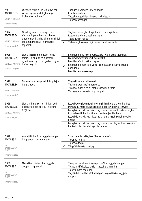| 5923<br>MCARS8.33<br><b>VEHICLE HANDLING</b><br>Immarka twegiba 1                   | Qieghed issuq bil-lejl. Id-dawl tal-<br>vetturi jghammixlek ghajnejk.<br>X'ghandek taghmel?                                                               | ✓            | Tnaggas il-velocita` jew twaggaf<br>Itteptep id-dwal<br>Taccellera quddiem il-karrozza li riesqa<br>Tibbrejkja f'daqqa                                                                                                                                                                                                                                                                                                                                 |
|-------------------------------------------------------------------------------------|-----------------------------------------------------------------------------------------------------------------------------------------------------------|--------------|--------------------------------------------------------------------------------------------------------------------------------------------------------------------------------------------------------------------------------------------------------------------------------------------------------------------------------------------------------------------------------------------------------------------------------------------------------|
| 5924<br>MCARS8.34<br><b>VEHICLE HANDLING</b><br>Immarka twegiba 1                   | Ghaddej minn triq dejqa bil-lejl.<br>Vettura li qeghdha ssuq bil-mod<br>quddiemek ilha ghal xi hin bis-sinjal<br>tal-lemin mixghul. X'ghandek<br>taghmel? | ✓            | Taghmel sinjal ghal fuq il-lemin u ddoqq il-horn<br>Itteptep id-dwal qabel ma taqla'<br>Taqla' fuq ix-xellug<br>Tistenna ghas-sinjal li jithassar qabel ma taqla'                                                                                                                                                                                                                                                                                      |
| 5925<br>MCARS8.35<br><b>VEHICLE HANDLING</b><br>Immarka 2 twegibiet                 | Liema TNEJN minn dawn huma<br>tajbin? Id-dahliet fejn jistghu<br>jghaddu zewg vetturi go triq dejqa<br>hafna qeghdin:                                     | ✓            | Biex tidhol fiha jekk il-karrozza ta' warajk trid taqilghek<br>Biex iddawwar fiha jekk tkun intlift<br>Biex tiegaf u ticcekkja trigtek<br>Biex tidhol fihom jekk vettura li riesqa trid tkompli tibqa'<br>ghaddejja<br>Biex tistrieh mis-sewqan                                                                                                                                                                                                        |
| 5926<br>MCARS8.36<br><b>VEHICLE HANDLING</b><br>Immarka twegiba 1                   | Tara vettura riesga lejk fi trig dejga.<br>Int ghandek:                                                                                                   |              | Tixghel id-dwal tal-hazard<br>Taghmel waqfa ta' emergenza<br>Twaqqaf f'dahla fejn tistghu tghaddu t-tnejn<br>Tirriversja lura ghat-triq principali                                                                                                                                                                                                                                                                                                     |
| 5928<br>MCARS8.38<br><b>VEHICLE HANDLING</b><br>Immarka tweqiba 1                   | Liema minn dawn juri li tkun qed<br>tikkontrolla bla periklu l-vettura<br>tieghek?                                                                        | $\checkmark$ | Issuq b'zewg idejn fuq I-istering il-hin kollu u tnehhi id biss<br>minn fuqu meta tkun se taqleb il-ger jew tixghel xi swicc<br>Issuq b'id wahda fuq l-istering u l-ohra mdendla mit-tieqa ghal<br>frisk u biex tidher kunfidenti jew ixxejjer lill-hbieb<br>Issuq b'id wahda fuq l-istering u l-ohra tuzaha ghall-mobile<br>phone<br>Issuq b'id wahda fuq l-istering u l-ohra fuq il-gear lever kwazi l-<br>hin kollu biex taqleb il-gerijiet malajr. |
| 5929<br>MCARS9.1<br><b>DUAL</b><br>CARRIAGEWAY<br><b>RULES</b><br>Immarka twegiba 1 | Wara li tidhol f'karreggjata doppja<br>int ghandek normalment:                                                                                            |              | 'Issuq il-vettura tieghek fil-lane tan-nofs<br>Tirranga I-mirja<br>Tipprova tagla<br>Tibqa' fil-lane tax-xellug                                                                                                                                                                                                                                                                                                                                        |
| 5930<br>MCARS9.2<br><b>DUAL</b><br>CARRIAGEWAY<br><b>RULES</b><br>Immarka twegiba 1 | Meta tkun diehel f'karreggjata<br>doppja int ghandek                                                                                                      |              | Twaqqaf qabel ma tinghaqad ma' karreggjata doppja<br>Twaqqaf kif tispicca t-triq li taccellera minnha<br>Tmur fil-hard shoulder<br>Taghti d-dritta lit-traffiku li diga` qieghed fil-karreggjata<br>doppja                                                                                                                                                                                                                                             |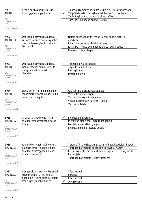| 5931<br>MCARS9.3<br><b>DUAL</b><br>CARRIAGEWAY<br><b>RULES</b><br>Immarka twegiba 1   | Regola bazika ghal meta ssuq<br>f'karreggjata doppja hija li:                                                                               | Tipprova zzomm velocita` ta' 50kph biex tevita kongestjoni<br>Tibqa' fil-lane tax-xellug kemm-il darba m'intix se taqla'<br>Taqla' fuq in-naha li l-anqas ikollha traffiku<br>Tuza I-lane li I-angas ghandu traffiku                                         |
|---------------------------------------------------------------------------------------|---------------------------------------------------------------------------------------------------------------------------------------------|--------------------------------------------------------------------------------------------------------------------------------------------------------------------------------------------------------------------------------------------------------------|
| 5932<br>MCARS9.4<br><b>DUAL</b><br>CARRIAGEWAY<br><b>RULES</b><br>Immarka twegiba 1   | Qed issuq f'karreggjata doppja. Il-<br>karrozza ta' quddiemek tixghel id-<br>dwal tal-hazard ghal ftit tal-hin.<br>Dan jurik li:            | Hemm spezzjoni dwar il-velocita` mill-pulizija aktar 'il<br>quddiem<br>Il-karrozza l-ohra se tibdel il-karreggjata<br>It-traffiku li riesaq qed inaqqas jew se jieqaf f'daqqa<br>Is-sewwieg iridek tagla                                                     |
| 5933<br>MCARS9.5<br><b>DUAL</b><br>CARRIAGEWAY<br><b>RULES</b><br>Immarka twegiba 1   | Qed issuq f'karreggjata doppja.<br>Ikollok tnaggas hafna I-velocita`<br>malajr minhabba periklu. Int<br>ghandek:                            | Tixghel id-dwal tal-hazard<br>Tixghel il-fanali I-kbar<br>Iddoqq il-horn<br>Itteptep id-dwal                                                                                                                                                                 |
| 5934<br>MCARS9.6<br><b>DUAL</b><br>CARRIAGEWAY<br><b>RULES</b><br>Immarka 2 twegibiet | Liema vetturi normalment ikunu<br>mghammra b'bozoz jixeghlu kulur<br>ambra fug is-sagaf?                                                    | Ghassiesa tax-xatt (Coast Guards)<br>$\checkmark$<br>Vetturi ta' manutenzjoni<br>Tim tat-trasfussjoni tad-demm<br>Vetturi li jirmunkaw karrozzi li jieqfu<br>Vettura ta' tabib                                                                               |
| 5935<br>MCARS9.7<br><b>DUAL</b><br>CARRIAGEWAY<br>RULES<br>Immarka twegiba 1          | Ghalfejn ghandek tuza I-hard<br>shoulder ta' karreggjata b'hafna<br>lanes                                                                   | Biex tiegaf f'emergenza<br>Meta tkun diehel mal-karreggjata doppja<br>Biex tieqaf meta tkun ghajjien<br>Biex titlaq mill-karreggjata doppja                                                                                                                  |
| 5936<br>MCARS9.8<br>DUAL<br>CARRIAGEWAY<br><b>RULES</b><br>Immarka twegiba 1          | Wara li tkun waqfitlek il-vettura<br>tkun trid terga' tidhol mill-hard<br>shoulder f'karreggjata b'hafna<br>lanes. Int ghandek:             | Tistenna fil-hard shoulder sakemm xi hadd iteptiplek id-dawl<br>Tohrog fil-karreggjata billi tixghel id-dwal tal-hazard<br>Ittella' I-velocita` fuq il-hard shoulder qabel ma tohroq fuq il-<br>✓<br>karreggjata<br>Tohrog fil-karreggjata u wara taccellera |
| 5937<br>MCARS9.9<br><b>DUAL</b><br>CARRIAGEWAY<br><b>RULES</b><br>Immarka twegiba 1   | L-anqas distanza ta' hin li ghandek<br>izzomm bejnek u I-vettura ta'<br>quddiemek f'kundizzjonijiet tajbin<br>ta' l-angas ghandha tkun ta': | Tliet sekondi<br>Sekonda<br>Erba' sekondi<br>zewg sekondi                                                                                                                                                                                                    |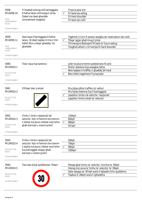| 5938<br>MCARS9.10<br><b>DUAL</b><br>CARRIAGEWAY<br><b>RULES</b><br>Immarka twegiba 1<br>5939<br>MCARS9.11<br><b>DUAL</b> | Fi hsiebek tohrog mill-karreggjata<br>b'hafna lanes mill-harga li jmiss.<br>Qabel ma tasal ghandek<br>normalment toqghod:<br>Qed issuq f'karreggjata b'hafna<br>lanes. Bi zball taqbez it-triq li trid<br>tidhol fiha u tibqa' ghaddej. Int<br>ghandek: |              | F'liema lane trid<br>Fil-lane tax-xellug<br>Fil-hard shoulder<br>Fil-lane tan-nofs<br>Taghmel U-turn fl-ewwel wesgha tar-reservation tan-nofs<br>Tibqa' sejjer ghall-hrug li jmiss<br>Tirriversja b'attenzjoni fil-lane ta' fuq ix-xellug |
|--------------------------------------------------------------------------------------------------------------------------|---------------------------------------------------------------------------------------------------------------------------------------------------------------------------------------------------------------------------------------------------------|--------------|-------------------------------------------------------------------------------------------------------------------------------------------------------------------------------------------------------------------------------------------|
| CARRIAGEWAY<br><b>RULES</b><br>Immarka twegiba 1                                                                         |                                                                                                                                                                                                                                                         |              | Togghod attent u tirriversja fil-hard shoulder                                                                                                                                                                                            |
| 5940<br>MCARS10.1<br>RULES OF THE<br><b>ROAD</b><br>Immarka twegiba 1                                                    | Tista' ssuq fuq bankina:                                                                                                                                                                                                                                |              | Jekk ma jkunx hemm pedestrians fil-qrib<br>Meta I-bankina hija wiesgha hafna<br>Biex tagbez it-traffiku li ghaddej bil-mod<br>Biex tidhol legalment fi proprjeta`                                                                         |
| 5941<br>MCARS10.2<br>RULES OF THE<br><b>ROAD</b><br>Immarka twegiba 1                                                    | X'ifisser dan is-sinjal                                                                                                                                                                                                                                 |              | Ma jistax jidhol traffiku ta' vetturi<br>Ma tistax tistenna fuq il-karreggjata<br>Japplika l-limitu tal-velocita` nazzjonali<br>Japplika I-limitu lokali ta' velocita'                                                                    |
| 5942<br>MCARS10.3<br>RULES OF THE<br><b>ROAD</b><br>Immarka twegiba 1                                                    | X'inhu I-limitu nazzjonali tal-<br>velocita` fejn m'hemmx bini kemm-<br>il darba ma jkunx indikat mod iehor<br>ghall-karrozzi u motorcycles?                                                                                                            | ✓            | 100kph<br>60kph<br>80kph<br>50 kph                                                                                                                                                                                                        |
| 5943<br>MCARS10.4<br>RULES OF THE<br>ROAD<br>Immarka twegiba 1                                                           | X'inhu l-limitu nazzjonali tal-<br>velocita` fejn m'hemmx bini kemm-<br>il darba ma jkunx indikat mod iehor<br>fuq karreggjati doppji ghall-<br>karrozzi u motorcycles?                                                                                 | $\checkmark$ | 50kph<br>70kph<br>80kph<br>100kph                                                                                                                                                                                                         |
| 5944<br>MCARS10.5<br>RULES OF THE<br>ROAD<br>Immarka twegiba 1                                                           | Tara das-sinjal quddiemek. Ifisser:                                                                                                                                                                                                                     |              | Riesaq ghal-limitu ta' velocita` minima ta' 30kph<br>Hiereg miz-zona ta' limitu ta' velocita` ta' 30kph<br>Ibda naqqas sa' 30 kph wara li tghaddi minn quddiemu<br>Taqbisx it-30kph wara li tqhaddiha                                     |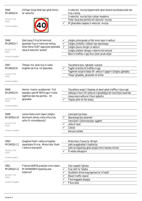| 5945<br>MCARS10.6<br><b>RULES OF THE</b><br>ROAD<br>Immarka twegiba 1                  | X'ifisser sinjal bhal dan ghal-limitu<br>ta' velocita`                                                                                 |                                                        | II-velocita` murija tippermetti ghal diversi kondizzjonijiet tat-<br>triq u temp<br>Il-velocita` murija hija l-ahjar massimu<br>Tista' ssuq bla periklu bil-velocita` murija<br>M'ghandekx taqbez il-velocita` murija         |
|----------------------------------------------------------------------------------------|----------------------------------------------------------------------------------------------------------------------------------------|--------------------------------------------------------|-------------------------------------------------------------------------------------------------------------------------------------------------------------------------------------------------------------------------------|
| 5946<br>MCARS10.7<br>RULES OF THE<br>ROAD<br>Immarka 3 twegibiet                       | Qed issuq fi triq bil-karrozzi<br>pparkjati fuq in-naha tax-xellug.<br>Ghal liema TLIET ragunijiet ghandek<br>issuq b'velocita` baxxa? | $\checkmark$                                           | Jistghu johorgulek xi tfal minn bejn il-vetturi<br>Jistghu jinfethu I-bibien tas-sewwieqa<br>Jistghu jkunu hergin xi vetturi<br>Jistghu jibdew idoqqu l-alarms tal-karozzi<br>Biex it-traffiku li gej ikun jista' jarak ahjar |
| 5947<br>MCARS10.8<br>RULES OF THE<br>ROAD<br>Immarka twegiba 1                         | Tiltaga' ma' xkiel fug in-naha<br>tieghek tat-trig. Int ghandek:                                                                       |                                                        | Taccellera biex tghaddi l-ewwel<br>Taghti d-dritta lit-traffiku li gej<br>Taghmel sinjal b'idejk lill- vetturi li gejjin li jistghu jghaddu<br>Tibqa' ghaddej, ghandek id-dritta                                              |
| 5948<br>MCARS10.9<br><b>RULES OF THE</b><br><b>ROAD</b><br>Immarka twegiba 1           | Hemm tractor quddiemek. Trid<br>taqilghu izda M'INTIX zgur li tista'<br>taghmel dan bla periklu. Int<br>ghandek:                       |                                                        | Taccellera waqt li tteptep id-dawl ghat-traffiku li jkun gej<br>Iddoqq il-horn lill-vettura li ghaddejja bil-mod biex twarrab<br>Issuq wara vettura li tkun qabzitu<br>Taqlax jekk int fid-dubju                              |
| 5949<br><b>MCARS10.10</b><br><b>RULES OF THE</b><br><b>ROAD</b><br>Immarka 3 twegibiet | Liema tlieta minn dawn jistghu<br>facilment jiehdu rotta mhux tas-<br>soltu fir-roundabouts?                                           | $\checkmark$<br>$\checkmark$<br>$\checkmark$           | Vannijiet tal-hobz<br>Sewwiega biz-zwiemel<br>Vannijiet li jikkonsenjaw oggetti<br>vetturi twal<br>Ciklisti<br>Karozzi estate                                                                                                 |
| 5950<br><b>MCARS10.11</b><br>RULES OF THE<br><b>ROAD</b><br>Immarka twegiba 1          | Qieghed thalli I-vettura tieghek<br>ipparkjata fit-triq. Meta tista' thalli<br>I-vettura startjata?                                    |                                                        | Meta tkun f'zona ta' 40 kph<br>Jekk waqghatlek il-batterija<br>Jekk se tipparkja ghal angas minn hames minuti<br>FI-ebda okkazjoni                                                                                            |
| 5951<br><b>MCARS10.12</b><br>RULES OF THE<br>ROAD<br>Immarka 5 twegibiet               | F'liema HAMES postijiet minn dawn<br>M'GHANDEKX tipparkja jew<br>tistenna?                                                             | ✓<br>✓<br>$\checkmark$<br>$\checkmark$<br>$\checkmark$ | Fejn taqleb f'gholja<br>Fug nett ta' telgha<br>Quddiem drive-way/garaxx ta' xi hadd<br><b>Biswit traffic island</b><br>F'karreggjata doppja<br>F'bus stop                                                                     |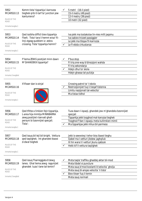| 5952<br>MCARS10.13<br>RULES OF THE<br><b>ROAD</b><br>Immarka twegiba 1<br>5953<br><b>MCARS10.14</b><br>RULES OF THE<br><b>ROAD</b> | Kemm tista' tipparkja I-karrozza<br>tieghek qrib it-tarf ta' junction jew<br>kantuniera?<br>Qed issibha difficli biex tipparkja<br>f'belt. Tista' tara li hemm wisa' fil-<br>linji zigzag quddiem iz- zebra<br>crossing. Tista' tipparkja hemm? | $\checkmark$ | 5 metri (16-il pied)<br>15-il metru (49 pied)<br>12-il metru (39 pied)<br>10 metri (32 pied)<br>Iva jekk ma tostakolax lin-nies milli jaqsmu<br>Iva sabiex tnizzel passiggier<br>Le jekk ma tibqax fil-karrozza<br>Le fl-ebda cirkustanza |
|------------------------------------------------------------------------------------------------------------------------------------|-------------------------------------------------------------------------------------------------------------------------------------------------------------------------------------------------------------------------------------------------|--------------|-------------------------------------------------------------------------------------------------------------------------------------------------------------------------------------------------------------------------------------------|
| Immarka twegiba 1<br>5954<br><b>MCARS10.15</b>                                                                                     | F'liema ZEWG postijiet minn dawn<br>M'GHANDEKX tipparkja?                                                                                                                                                                                       |              | F'bus stop<br>Fi triq one-way b'direzzjoni wahda                                                                                                                                                                                          |
| RULES OF THE<br>ROAD<br>Immarka 2 twegibiet                                                                                        |                                                                                                                                                                                                                                                 |              | Fi triq sekondarja<br>Hdejn dhul ta' skola<br>Hdejn ghassa tal-pulizija                                                                                                                                                                   |
| 5955<br><b>MCARS10.16</b><br>RULES OF THE<br>ROAD<br>Immarka twegiba 1                                                             | X'ifisser dan is-sinjal                                                                                                                                                                                                                         |              | Crossing patrol ta' I-iskola<br>Restrizzjonijiet fuq li tieqaf tistenna<br>Limitu nazzjonali tal-velocita`<br>Ma tistax tidhol                                                                                                            |
| 5956<br><b>MCARS10.17</b><br>RULES OF THE<br>ROAD<br>Immarka twegiba 1                                                             | Qed tfittex x'imkien fejn tipparkja.<br>L-area hija mimlija MINNBARRA<br>zewg postijiet rizervati ghall-<br>persuni bi bzonnijiet specjali.<br>Tista':                                                                                          |              | Tuza dawn I-ispazji, ghandek jew m'ghandekx bzonnijiet<br>specjali<br>Tipparkja jekk toqghod mal-karozza tieghek<br>Toqqhod f'dan I-ispazju meta kullimkien mimli<br>Ma tipparkjax jekk mhux bil-permess                                  |
| 5957<br><b>MCARS10.18</b><br>RULES OF THE<br>ROAD<br>Immarka twegiba 1                                                             | Qed issuq bil-lejl bil-bright. Vettura<br>ged taqilghek. Int ghandek tbaxxi<br>d-dwal tieghek                                                                                                                                                   | $\checkmark$ | Jekk is-sewwieq I-iehor biss ibaxxi tieghu<br>Qabel ma I-vetturi jibdew jaghqiluk<br>Xi hin wara li l-vetturi jkunu qabzuk<br>Hekk kif il-vettura taqilghek                                                                               |
| 5958<br><b>MCARS10.19</b><br>RULES OF THE<br>ROAD<br>Immarka 2 twegibiet                                                           | Qed issuq f'karreggjata b'zewg<br>lanes. Ghal liema zewg ragunijiet<br>ghandek tuza I-lane tal-lemin?                                                                                                                                           |              | Meta taqla' traffiku ghaddej aktar bil-mod<br>Meta tibdel xi puncture<br>Meta ssuq b'mod kostanti b'velocita` gholja<br>Meta ssuq bl-angas velocita` li tista'<br>Biex tikser fuq il-lemin<br>Meta ssuq normali                           |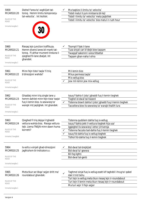| 5959<br><b>MCARS10.20</b><br>RULES OF THE<br>ROAD<br>Immarka twegiba 1          | Diehel f'area ta' xoghlijiet tat-<br>toroq. Hemm limitu temporanju<br>tal-velocita`. Int ikollok:                                                       |              | Ma taqbizx il-limitu ta' velocita`<br>Tobdi matul il-jum minbarra bil-lejl<br>Tobdi I-limitu ta' velocita` meta jaqbillek<br>Tobdi I-limitu ta' velocita` biss matul ir-rush hour                                                                                         |
|---------------------------------------------------------------------------------|---------------------------------------------------------------------------------------------------------------------------------------------------------|--------------|---------------------------------------------------------------------------------------------------------------------------------------------------------------------------------------------------------------------------------------------------------------------------|
| 5960<br><b>MCARS10.21</b><br>RULES OF THE<br>ROAD<br>Immarka twegiba 1          | Riesaq lejn junction traffikuza.<br>Hemm diversi lanes bil-marki tat-<br>torog. Fl-ahhar mument tinduna li<br>qieghed fil-lane zbaljat. Int<br>ghandek: |              | Tkompli f'dak il-lane<br>Tuza sinjali cari b'idejk biex taqsam<br>Twaqqaf sakemm I-area titbattal<br>Tagsam ghan-naha I-ohra                                                                                                                                              |
| 5961<br><b>MCARS10.22</b><br>RULES OF THE<br><b>ROAD</b><br>Immarka twegiba 1   | Minn fejn tista' taqla' fi triq<br>b'direzzjoni wahda?                                                                                                  |              | Mil-lemin biss<br>Mhux permess taqla'<br>Mix-xellug biss<br>Jew mil-lemin jew mix-xellug                                                                                                                                                                                  |
| 5962<br><b>MCARS10.23</b><br><b>RULES OF THE</b><br>ROAD<br>Immarka twegiba 1   | Ghaddej minn triq single lane u<br>hemm dahliet minn fejn tista' taqla'<br>fuq il-lemin biss. Is-sewwieq ta'<br>warajk irid jagilghek. Int ghandek:     |              | Issuq f'dahla li jista' jghaddi fuq il-lemin tieghek<br>Tixghel id-dwal tal-hazard<br>Tistenna biswit dahla li jista' jghaddi fuq il-lemin tieghek<br>Taccellera biex lis-sewwieq ta' warajk thallih lura                                                                 |
| 5963<br><b>MCARS10.24</b><br>RULES OF THE<br><b>ROAD</b><br>Immarka 2 twegibiet | Qieghed fi triq dejqa li tghaddi<br>vettura wahda biss. Riesqa vettura<br>lejk. Liema TNEJN minn dawn huma<br>korretti?                                 | $\checkmark$ | Tistenna quddiem dahla fuq ix-xellug<br>Issuq f'dahla jekk il-vettura tieghek hija usa'<br>Iggieghel lis-sewwieq I-iehor jirriversja<br>Tistenna faccata tad-dahla fuq il-lemin tieghek<br>Issuq fid-dahla fuq ix-xellug tieghek<br>Tidhol fid-dahla fuq il-lemin tieghek |
| 5964<br>MCARS10.25<br>RULES OF THE<br>ROAD<br>Immarka twegiba 1                 | Is-soltu s-sinjali ghad-direzzjoni<br>jaghtuhom bl-indicators u:                                                                                        |              | Bid-dwal tal-brejkijiet<br>Bid-dwal ta' gewwa<br><b>Bil-fog lights</b><br>Bid-dwal tal-genb                                                                                                                                                                               |
| 5965<br><b>MCARS10.26</b><br>RULES OF THE<br>ROAD<br>Immarka twegiba 1          | Meta tkun se tibqa' sejjer dritt ma'<br>roundabout ghandek:                                                                                             | ✓            | Taghmel sinjal fuq ix-xellug ezatt kif taghddi l-hrug ta' qabel<br>dak li trid tiehu<br>Turi lejn ix-xellug meta tkun riesaq lejn ir-roundabout<br>Turi lejn il-lemin meta tkun riesaq lejn ir-roundabout<br>Ma turi xejn 'il fejn sejjer                                 |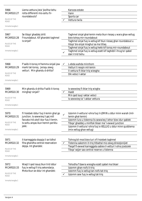| 5966<br><b>MCARS10.27</b><br>RULES OF THE<br><b>ROAD</b><br>Immarka twegiba 1<br>5967 | Liema vettura jista' jkollha tiehu<br>rotta differenti mis-soltu fir-<br>roundabouts?<br>Se tibqa' ghaddej dritt                                                |              | Karozza estate<br>Vann<br>Sports car<br>Vettura twila<br>Taghmel sinjal ghal-lemin meta tkun riesaq u wara ghax-xellug                                                                                                                                                                               |
|---------------------------------------------------------------------------------------|-----------------------------------------------------------------------------------------------------------------------------------------------------------------|--------------|------------------------------------------------------------------------------------------------------------------------------------------------------------------------------------------------------------------------------------------------------------------------------------------------------|
| MCARS10.28<br>RULES OF THE<br>ROAD<br>Immarka twegiba 1                               | f'roundabout. Kif ghandek taghmel<br>is-sinjal?                                                                                                                 |              | biex tohoq mir-roundabout<br>Taghmel sinjal fuq ix-xellug kif tkun riesaq ghar-roundabout u<br>tibqa' bis-sinjal mixghul sa ma titlaq<br>Taghmel sinjal fuq ix-xellug hekk kif toroq mir-roundabout<br>Taghmel sinjal fuq ix-xellug ezatt kif taghddi I-hrug ta' qabel<br>dak li trid tiehu          |
| 5968<br><b>MCARS10.29</b><br>RULES OF THE<br>ROAD<br>Immarka twegiba 1                | F'salib it-toroq m'hemmx sinjali jew<br>marki tat-toroq. Jersqu zewg<br>vetturi. Min ghandu d-dritta?                                                           | ✓            | L-ebda wahda minnhom<br>Vetturi li resqin mil-lemin<br>Il-vettura fl-iktar triq wiesgha<br>Dik veloci I-aktar                                                                                                                                                                                        |
| 5969<br><b>MCARS10.30</b><br>RULES OF THE<br><b>ROAD</b><br>Immarka twegiba 1         | Min ghandu d-dritta f'salib it-toroq<br>minghajr sinjali?                                                                                                       | ✓            | Is-sewwieq fl-iktar triq wisgha<br>Hadd<br>Min qed isuq I-aktar veloci<br>Is-sewwieq ta' I-akbar vettura                                                                                                                                                                                             |
| 5970<br><b>MCARS10.31</b><br>RULES OF THE<br>ROAD<br>Immarka twegiba 1                | Fi hsiebek iddur fuq il-lemin ghal go<br>junction. Is-sewwieg li gej mill<br>faccata irid ukoll idur fuq il-lemin.<br>Is-soltu angas ikun hemm periklu<br>jekk: |              | Izzomm il-vettura l-ohra fuq il-LEMIN u ddur minn warah (mil-<br>lemin ghal-lemin)<br>Izzomm lura u tistenna lis-sewwieg I-iehor biex idur qablek<br>Tibqa' ghaddej u minflok tikser ma' I-ewwel junction<br>Izzomm il-vettura l-ohra fuq ix-XELLUG u ddur minn quddiema<br>(mix-xellug ghax-xellug) |
| 5971<br>MCARS10.32<br>RULES OF THE<br>ROAD<br>Immarka twegiba 1                       | II-karreggjata doppja li se tidhol<br>fiha ghandha central reservation<br>dejqa. Int ghandek:                                                                   |              | Tohrog bil-mod biex turi x'fi hsiebek taghmel<br>Tistenna sakemm it-triq titbattal miz-zewq direzzjonijiet<br>Tieqaf fl-ewwel karreggjata sabiex il-vetturi l-ohra jcedulek<br>Tibqa' sejjer sas-central reserve u tistenna                                                                          |
| 5972<br><b>MCARS10.33</b><br>RULES OF THE<br>ROAD<br>Immarka twegiba 1                | Waqt li qed issuq tkun trid iddur<br>fuq ix-xellug fi triq sekondarja.<br>Meta tkun se ddur int ghandek:                                                        | $\checkmark$ | Tehodha f'dawra wiesgha ezatt qabel ma tikser<br>Izzomm ghan-nofs it-trig<br>Izzomm fuq ix-xellug tan-nofs tat-triq<br>Izzomm sew fug ix-xellug tat-trig                                                                                                                                             |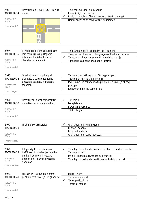| 5973<br><b>MCARS10.34</b><br>RULES OF THE<br><b>ROAD</b><br>Immarka twegiba 1   | Tista' tidhol fil-BOX JUNCTION biss<br>meta:                                                                                                            | Tkun tehtieg iddur fuq ix-xellug<br>It-traffic light juri I-ahdar<br>It-triq li trid tohrog fiha, ma tkunx bit-traffiku wieqaf<br>✓<br>Hemm angas minn zewg vetturi quddiemek                         |
|---------------------------------------------------------------------------------|---------------------------------------------------------------------------------------------------------------------------------------------------------|-------------------------------------------------------------------------------------------------------------------------------------------------------------------------------------------------------|
| 5974<br><b>MCARS10.35</b><br>RULES OF THE<br>ROAD<br>Immarka twegiba 1          | Xi hadd qed jistenna biex jaqsam<br>miz-zebra crossing. Qeghdin<br>jistennew fuq il-bankina. Int<br>ghandek normalment:                                 | Tinjorahom hekk kif ghadhom fuq il-bankina<br>Twaqqaf qabel ma tmiss il-linji zigzag u thallihom jaqsmu<br>Twaqqaf thallihom jaqsmu u tistenna bil-pacenzja<br>Tghaddi malajr qabel ma jibdew jaqsmu  |
| 5975<br><b>MCARS10.36</b><br>RULES OF THE<br><b>ROAD</b><br>Immarka twegiba 1   | Ghaddej minn triq principali<br>traffikuza u ssib li ghaddej fid-<br>direzzjoni zbaljata. X'ghandek<br>taghmel?                                         | Taghmel dawra three point fit-triq principali<br>Taghmel U-turn fit-triq principali<br>Iddur minn triq sekondarja fuq il-lemin u tirriversja fit-triq<br>principali<br>Iddawwar minn triq sekondrarja |
| 5976<br><b>MCARS10.37</b><br>RULES OF THE<br><b>ROAD</b><br>Immarka twegiba 1   | Tista' tnehhi s-seat belt ghal ftit<br>meta tkun se timmanuvra biex:                                                                                    | Tirriversja<br>Issuq bil-mod<br>F'waqfa f'emergenza<br>Tibda t-telgha                                                                                                                                 |
| 5977<br><b>MCARS10.38</b><br>RULES OF THE<br>ROAD<br>Immarka twegiba 1          | M'ghandekx tirriversja:                                                                                                                                 | Ghal aktar milli hemm bzonn<br>Fi nhawi mibnija<br>Fi triq sekondarja<br>Ghal aktar minn tul ta' karrozza                                                                                             |
| 5978<br><b>MCARS10.39</b><br>RULES OF THE<br><b>ROAD</b><br>Immarka twegibiet 1 | Int ipparkjat fi triq principali<br>traffikuza. X'inhu l-ahjar mod bla<br>periklu li ddawwar il-vettura<br>tieghek biex tmur fid-direzzjoni<br>opposta? | Tidhol go triq sekondarja mhux traffikuza biex iddur minnha<br>✓<br>Taghmel U-turn<br>Issib lil xi hadd biex iwaqqaflek it-traffiku<br>Tidhol go triq sekondarja u tirriversja fit-triq principali    |
| 5979<br><b>MCARS10.40</b><br>RULES OF THE<br>ROAD<br>Immarka twegiba 1          | Meta M'INTIX zgur li m'hemmx<br>periklu biex tirriversja int ghandek:                                                                                   | Iddog il-horn<br>Tirriversja bil-mod<br>Tohrog u ticcekkja<br>✓<br>Tirrejzja I-magna                                                                                                                  |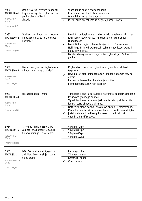| 5980<br><b>MCARS10.41</b><br>RULES OF THE<br><b>ROAD</b><br>Immarka twegiba 1  | Qed tirriversja I-vettura tieghek fi<br>triq sekondarja. Meta jkun l-akbar<br>periklu ghat-traffiku li jkun<br>qhaddej? |              | Wara li tkun dhalt f' triq sekondarja<br>Ezatt qabel ma fil-fatt tibda l-manuvra<br>Wara li tkun lestejt il-manuvra<br>Meta I-quddiem tal-vettura tieghek johrog il-barra                                                                                                                                                                                                                                                                  |
|--------------------------------------------------------------------------------|-------------------------------------------------------------------------------------------------------------------------|--------------|--------------------------------------------------------------------------------------------------------------------------------------------------------------------------------------------------------------------------------------------------------------------------------------------------------------------------------------------------------------------------------------------------------------------------------------------|
| 5981<br><b>MCARS10.42</b><br>RULES OF THE<br>ROAD<br>Immarka 2 twegibiet       | Ghaliex huwa importanti li zzomm<br>il-posizzjoni t-tajba fit-triq (Road<br>Position)?                                  | $\checkmark$ | Biex int tkun fuq in-naha t-tajba tat-triq qabel u wara li tikser<br>fuq il-lemin jew ix-xellug, f'junctions u meta toqrob lejn<br>roundabouts<br>Biex inti tkun dejjem fil-lane it-tajjeb fi triq b'hafna lanes.<br>Halli tibqa' fil-lane li tkun ghazilt sakemm qed issuq skond il-<br>limitu ta' velocita`.<br>Biex hadd ma jista' jaqbzek jekk ikunu ghaddejjin b'velocita`<br>gholja.                                                 |
| 5982<br><b>MCARS10.43</b><br>RULES OF THE<br>ROAD<br>Immarka twegiba 1         | Liema dwal ghandek tixghel meta<br>tghaddi minn mina u ghaliex?                                                         |              | M'ghandekx bzonn dawl ghax il-mini ghandhom id-dawl<br>taghhom<br>Dawl baxxut biex jghinek tara sew kif ukoll tintlemah sew mill-<br>ohrajn<br>Id-dwal tal-hazard biex hadd ma jsuq qribek<br>II-bright biex tara sew fejn int sejjer                                                                                                                                                                                                      |
| 5983<br><b>MCARS10.44</b><br>RULES OF THE<br>ROAD<br>Immarka 2 twegibiet       | Meta tista' taqla' f'mina?                                                                                              |              | Tghaddi mil-lane ta' barra jekk il-vettura ta' quddiemek fil-lane<br>ta' gewwa ghaddejja bil-mod.<br>Tghaddi mil-lane ta' gewwa jekk il-vettura ta' quddiemek fil-<br>lane ta' barra ghaddejja bil-mod.<br>Qatt f'cirkustanzi normali ghax huwa pprojbit li taqla' f'mina.<br>Meta tkun waqfet xi vettura jew hemm xi periklu wieqaf li jkun<br>jostakola I-lane li qed issuq fiha wara li tkun iccekkjajt u<br>ghamilt sinjal kif suppost |
| 5984<br><b>MCARS10.45</b><br>RULES OF THE<br><b>ROAD</b><br>Immarka twegieba 1 | X'inhuma I-limiti nazzjonali tal-<br>velocita` ghall-karozzi u muturi<br>f'inhawi mibnija u bnadi ohra?                 |              | 40kph u 70kph<br>50kph u 80kph<br>30kph u 60kph<br>45kph u 100kph                                                                                                                                                                                                                                                                                                                                                                          |
| 5985<br>MCARS11.1<br>ROAD AND TRAFFIC<br><b>SIGNS</b><br>Immarka twegiba 1     | IKOLLOK tobdi sinjali li jaghtu l-<br>ordnijiet. Dawn is-sinjali jkunu<br>hafna drabi:                                  |              | Rettangoli blue<br>Trijangoli homor<br>Rettangoli hodor<br>Crieki homor                                                                                                                                                                                                                                                                                                                                                                    |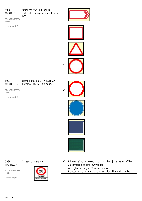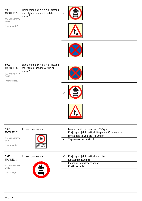Liema minn dawn is-sinjali jfisser li ma jistghux jidhlu vetturi bilmutur?

ROAD AND TRAFFIC SIGNS

Immarka twegiba 1



 $\checkmark$ 





5990 MCARS11.6

SIGNS

ROAD AND TRAFFIC Liema minn dawn is-sinjali jfisser li ma jistghux jghaddu vetturi bilmutur?



Immarka twegiba 1





5991 MCARS11.7

ROAD AND TRAFFIC SIGNS

Immarka twegiba 1



X'ifisser dan is-sinjal L-anqas limitu tal-velocita` ta' 30kph Ma jistghux jidhlu vetturi 'l fuq minn 30 tunnellata Limitu gdid ta' velocita` ta' 20 kph  $\checkmark$  Tispicca z-zona ta' 20kph



X'ifisser dan is-sinjal



ROAD AND TRAFFIC SIGNS



| Ma jistghux jidhlu vetturi bil-mutur |
|--------------------------------------|
| Karozzi u muturi biss                |
| Clearway (ma tistax twaqqaf)         |
| Ma tistax tagla'                     |
|                                      |

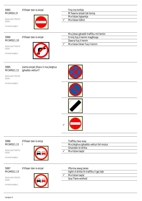

X'ifisser dan is-sinjal Triq ma ting ma ting ma ting ma ting ma ting ma ting ma ting ma ting ma ting ma ting m

ROAD AND TRAFFIC SIGNS

Immarka twegiba 1



 $\overline{a}$ 

|   | Trig ma tinfidx           |
|---|---------------------------|
|   | M'hawnx sinjali tat-toroq |
|   | Ma tistax tipparkja       |
| ✓ | Ma tistax tidhol          |
|   |                           |



ROAD AND TRAFFIC

Immarka twegiba 1

SIGNS

X'ifisser dan is-sinjal

|              | Ma jistax jghaddi traffiku mil-lemin |
|--------------|--------------------------------------|
|              | It-triq fuq il-lemin maghluqa        |
|              | Dawra fug il-lemin                   |
| $\checkmark$ | Ma tistax tikser fug il-lemin        |



Liema sinjali jfissru li ma jistghux jghaddu vetturi?

ROAD AND TRAFFIC SIGNS

Immarka twegiba 1





| 5996      |  |
|-----------|--|
| MCARS11.1 |  |

SIGNS

X'ifisser dan is-sinja l



|   | Traffiku two-way                      |
|---|---------------------------------------|
|   | Ma jistghux jghaddu vetturi bil-mutur |
|   | Ghandek id-dritta                     |
| ✓ | Ma tistax tagla'                      |
|   |                                       |

5997 MCARS11.13 X'ifisser dan is-sinjal

 $\overline{2}$ 

ROAD AND TRAFFIC SIGNS



| Ifforma zewg lanes                      |
|-----------------------------------------|
| Aghti d-dritta lit-traffiku li gej lejk |
| Ma tistax tagla'                        |
| Sug flane wiehed                        |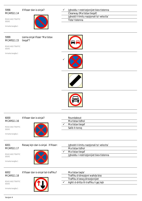X'ifisser dan is-sinjal?

ROAD AND TRAFFIC SIGNS

Immarka twegiba 1



| Jqhoddu r-restrizzjonijiet biex tistenna  |
|-------------------------------------------|
| Clearway (Ma tistax tieqaf)               |
| Jghodd il-limitu nazzjonali ta' velocita` |
| Tista' tistenna                           |

## 5999 MCARS11.15

Liema sinjal ifisser 'Ma tistax tieqaf'?

ROAD AND TRAFFIC SIGNS

Immarka twegiba 1









## 6000 MCARS11.16 ROAD AND TRAFFIC SIGNS Immarka twegiba 1 X'ifisser dan is-sinjal? Roundabout Ma tistax tidhol  $\checkmark$  Ma tistax tieqaf Salib it-toroq

# 6001 MCARS11.17

Riesaq lejn dan is-sinjal. X'ifisser: Jghodd il-limitu nazzjonali ta' velocita`

ROAD AND TRAFFIC SIGNS

Immarka twegiba 1



Ma tistax tidhol

 $\sqrt{\phantom{a}}$  Ma tistax tieqaf Jghoddu r-restrizzjonijiet biex tistenna

### 6002 MCARS11.18 X'ifisser dan is-sinjal tat-traffiku?

ROAD AND TRAFFIC SIGNS



|   | Ma tistax tagla'                        |
|---|-----------------------------------------|
|   | Traffiku b'direzzjoni wahda biss        |
|   | Traffiku b'zewg direzzjonijiet          |
| ✓ | Aghti d-dritta lit-traffiku li gej lejk |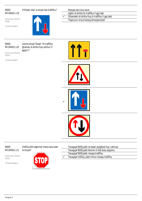ROAD AND TRAFFIC

Immarka twegiba 1

SIGNS

X'ifisser dan is-sinjal tat-traffiku? Riesaq lejn bus lane



Aghti d-dritta lit-traffiku li gej lejk Ghandek id-dritta fuq it-traffiku li gej lejk Tispicca t-triq b'zewg direzzjonijiet

6004 MCARS11.20 Liema sinjal ifisser 'It-traffiku ghandu d-dritta fuq vetturi li gejjin'?

ROAD AND TRAFFIC SIGNS

Immarka twegiba 1









## 6005 MCARS11.21 X'IKOLLOK taghmel meta tara dan is-sinjal?

ROAD AND TRAFFIC SIGNS

Immarka twegiba 1



Twaqqaf BISS jekk id-dawl qieghed fuq l-ahmar Twaqqaf BISS jekk hemm it-tfal biex jaqsmu Twaqqaf BISS jekk riesaq traffiku Twaqqaf UKOLL jekk mhux riesaq traffiku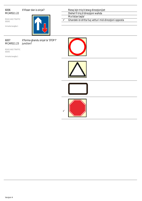ROAD AND TRAFFIC

Immarka twegiba 1

SIGNS



X'ifisser dan is-sinjal? Riesq lejn triq b'zewg direzzjonijiet

Diehel fi triq b'direzzjoni wahda

Ma tistax taqla'

 $\checkmark$  Ghandek id-dritta fuq vetturi mid-direzzjoni opposta

6007 MCARS11.23

X'forma ghandu sinjal ta' STOP f' junction?

ROAD AND TRAFFIC SIGNS



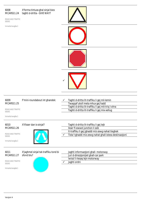# 6008 MCARS11.24 ROAD AND TRAFFIC SIGNS Immarka twegiba 1 X'forma tintuza ghal sinjal biex taghti d-dritta - GIVE WAY?



| 6009                             | F'mini-roundabout int ghandek: | Taghti d-dritta lit-traffiku li gej mil-lemin       |
|----------------------------------|--------------------------------|-----------------------------------------------------|
| MCARS11.25                       |                                | Twaqqaf ukoll meta mhux gej hadd                    |
|                                  |                                | Taghti d-dritta lit-traffiku li gej mit-triq l-ohra |
| ROAD AND TRAFFIC<br><b>SIGNS</b> |                                | Taghti d-dritta lit-traffiku li gej mix-xellug      |

SIGNS

Immarka twegiba 1

## 6010 MCARS11.26

ROAD AND TRAFFIC SIGNS

Immarka twegiba 1



X'ifisser dan is-sinjal?

|   | Taghti d-dritta lit-traffiku li gej lejk                 |
|---|----------------------------------------------------------|
|   | Ikser fl-ewwel junction li ssib                          |
|   | It-traffiku li gej jghaddi miz-zewg nahat tieghek        |
| ✓ | Tista' tghaddi miz-zewg nahat ghall-istess destinazzjoni |

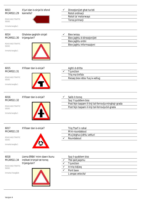| 6013<br><b>MCARS11.29</b><br>ROAD AND TRAFFIC<br><b>SIGNS</b><br>Immarka twegiba 1<br>6014<br>MCARS11.30<br>ROAD AND TRAFFIC<br><b>SIGNS</b><br>Immarka twegiba 1 | X'juri dan is-sinjal bi sfond<br>kannella?<br>Ghalxiex qeghdin sinjali<br>trijangulari? | Direzzjonijiet ghat-turisti<br>Rotot ordinarji<br>Rotot ta' motorways<br>Toroq primarji<br><b>Biex iwissu</b><br>Biex jaghtu d-direzzjonijiet<br>Biex jaghtu ordni<br>Biex jaghtu informazzjoni |
|-------------------------------------------------------------------------------------------------------------------------------------------------------------------|-----------------------------------------------------------------------------------------|-------------------------------------------------------------------------------------------------------------------------------------------------------------------------------------------------|
| 6015<br><b>MCARS11.31</b><br>ROAD AND TRAFFIC<br><b>SIGNS</b><br>Immarka twegiba 1                                                                                | X'ifisser dan is-sinjal?                                                                | Aghti d-dritta<br>T-junction<br>Triq ma tinfidx<br>Riesaq biex iddur fuq ix-xellug                                                                                                              |
| 6016<br><b>MCARS11.32</b><br>ROAD AND TRAFFIC<br><b>SIGNS</b><br>Immarka twegiba 1                                                                                | X'ifisser dan is-sinjal?                                                                | Salib it-toroq<br>Suq 'il quddiem biss<br>Post fejn taqsam il-linji tal-ferrovija minghajr grada<br>Post fejn taqsam il-linji tal-ferrovija bil-grada                                           |
| 6017<br><b>MCARS11.33</b><br>ROAD AND TRAFFIC<br><b>SIGNS</b><br>Immarka twegiba 1                                                                                | X'ifisser dan is-sinjal?                                                                | Triq f'tarf ir-rahal<br>Mini-roundabout<br>Ma jistghux jidhlu vetturi<br>Roundabout                                                                                                             |
| 6018<br><b>MCARS11.34</b><br>ROAD AND TRAFFIC<br><b>SIGNS</b><br>Immarka 4 twegibiet                                                                              | Liema ERBA' minn dawn ikunu<br>indikati b'sinjal tat-toroq<br>trijangulari?             | Suq il-quddiem biss<br>Tfal qed jaqsmu<br>✓<br>T-junction<br>It-triq tidjieq<br>✓<br>Pont baxx<br>✓<br>L-anqas velocita'                                                                        |

в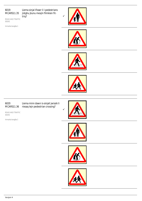ROAD AND TRAFFIC SIGNS

Immarka twegiba 1

Liema sinjal ifisser li l-pedestrians jistghu jkunu mexjin flimkien fittriq?









# 6020 MCARS11.36

Liema minn dawn is-sinjali jwissik li riesaq lejn pedestrian crossing?

ROAD AND TRAFFIC SIGNS







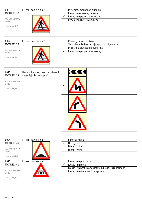| 6021       |  |
|------------|--|
| MCARS11.37 |  |

ROAD AND TRAFFIC SIGNS

Immarka twegiba 1



# X'ifisser dan is-sinjal? M'hemmx moghdija 'l quddiem

Riesaq lejn crossing ta' skola  $\checkmark$  Riesaq lejn pedestrian crossing Pedestrians biss 'il quddiem

6022 MCARS11.38

# X'ifisser dan is-sinjal?

ROAD AND TRAFFIC SIGNS

Immarka twegiba 1



|   | Crossing patrol ta' skola                         |
|---|---------------------------------------------------|
|   | Zona ghal mixi biss - ma jistghux jghaddu vetturi |
|   | Ma jistghux jghaddu nies bil-mixi                 |
| ✓ | Riesaq lejn pedestrian crossing                   |

| 6023<br>MCARS11.39                             | Liema minn dawn is-sinjali jfisser li<br>riesaq lejn liwja doppja? | $\blacktriangledown$<br><b>77</b> |  |
|------------------------------------------------|--------------------------------------------------------------------|-----------------------------------|--|
| ROAD AND TRAFFIC<br>SIGNS<br>Immarka twegiba 1 |                                                                    | $\checkmark$                      |  |
|                                                |                                                                    |                                   |  |
|                                                |                                                                    |                                   |  |

г

| 6024                             | X'ifisser dan is-sinjal? | Pont fug hnejja                                            |
|----------------------------------|--------------------------|------------------------------------------------------------|
| <b>MCARS11.40</b>                |                          | Hiereg minn mina                                           |
|                                  |                          | Diehel f'mina                                              |
| ROAD AND TRAFFIC<br><b>SIGNS</b> |                          | Diehel f'mina                                              |
|                                  |                          |                                                            |
| Immarka twegiba 1                |                          |                                                            |
| 6025                             | X'ifisser dan is-sinjal? | Riesag lejn pont baxx                                      |
| <b>MCARS11.41</b>                |                          | Riesaq lejn mina                                           |
|                                  |                          | Riesaq lejn post (black spot) fejn jistghu jsiru incidenti |
| ROAD AND TRAFFIC<br><b>SIGNS</b> | ñ                        | Riesag lejn monument tal-gedem                             |
|                                  |                          |                                                            |
| Immarka twegiba 1                |                          |                                                            |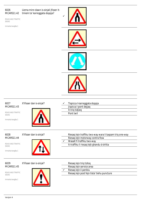#### 6026 MCARS11.42 Liema minn dawn is-sinjali jfisser ittmiem ta' karreggjata doppja?

ROAD AND TRAFFIC SIGNS

Immarka twegiba 1









# 6027 MCARS11.43

X'ifisser dan is-sinjal?

ROAD AND TRAFFIC SIGNS

Immarka twegiba 1



| ✓ | Tispicca I-karreggiata doppja |
|---|-------------------------------|
|   | Jispicca I-pont dejjaq        |
|   | It-triq tidjieq               |
|   | Pont twil                     |

6028 MCARS11.44

ROAD AND TRAFFIC

Immarka twegiba 1

SIGNS



X'ifisser dan is-sinjal? Riesaq lejn traffiku two-way wara li taqsam triq one-way Riesaq lejn motorway contra flow Wasalt fi traffiku two-way It-traffiku li riesaq lejk ghandu d-dritta



6029 MCARS11.45

ROAD AND TRAFFIC SIGNS



| Riesaq lejn triq tizloq                     |
|---------------------------------------------|
| Riesag lejn service area                    |
| Riesag lejn il-periklu                      |
| Riesag lejn post fejn tista' tiehu puncture |
|                                             |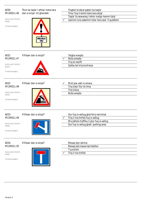| 6030<br><b>MCARS11.46</b><br>ROAD AND TRAFFIC<br><b>SIGNS</b><br>Immarka twegiba 1 | Tkun se taqla' I-ahhar meta tara<br>dan is-sinjal. Int ghandek:<br><b>Hidder</b><br>dip | Tixghel id-dwal qabel ma taqla'<br>Tmur fuq il-lemin biex tara ahjar<br>Taqla' lis-sewwieq l-iehor malajr kemm tista'<br>$\checkmark$<br>Izzomm lura sakemm tista' tara sew 'il quddiem |
|------------------------------------------------------------------------------------|-----------------------------------------------------------------------------------------|-----------------------------------------------------------------------------------------------------------------------------------------------------------------------------------------|
| 6031<br><b>MCARS11.47</b><br>ROAD AND TRAFFIC<br><b>SIGNS</b><br>Immarka twegiba 1 | X'ifisser dan is-sinjal?                                                                | Telgha wieqfa<br>Nizla wieqfa<br>Triq bl-istoffi<br>Qalba tat-triq kuntrarja                                                                                                            |
| 6032<br><b>MCARS11.48</b><br>ROAD AND TRAFFIC<br><b>SIGNS</b><br>Immarka twegiba 1 | X'ifisser dan is-sinjal?                                                                | Moll jew xatt ix-xmara<br>Triq tista' tfur bl-ilma<br>Triq tizloq<br>Nizla wieqfa                                                                                                       |
| 6033<br><b>MCARS11.49</b><br>ROAD AND TRAFFIC<br><b>SIGNS</b><br>Immarka twegiba 1 | X'ifisser dan is-sinjal?                                                                | Dur fuq ix-xellug ghal ferry terminal<br>Triq li ma tinfidx fuq ix-xellug<br>Ma jidholx traffiku li jdur fuq ix-xellug<br>Dur fuq ix-xellug ghall- parking area                         |
| 6034<br><b>MCARS11.50</b><br>ROAD AND TRAFFIC<br><b>SIGNS</b><br>Immarka twegiba 1 | X'ifisser dan is-sinjal?                                                                | Riesaq lejn latrina<br>Riesaq lejn kaxxa tat-telefon<br>T-junction<br>Triq li ma tinfidx                                                                                                |

Verzjoni 4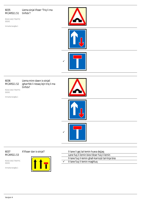#### 6035 MCARS11.51 Liema sinjal ifisser 'Triq li ma tinfidx'?

ROAD AND TRAFFIC SIGNS

Immarka twegiba 1





## 6036 MCARS11.52

SIGNS

ROAD AND TRAFFIC

Immarka twegiba 1

Liema minn dawn is-sinjali jgharrfek li riesaq lejn triq li ma tinfidx?







## 6037 MCARS11.53

ROAD AND TRAFFIC SIGNS

Immarka twegiba 1



|   | Il-lane li gej tal-lemin huwa dejjag               |
|---|----------------------------------------------------|
|   | Lane fug il-lemin biex tikser fug il-lemin         |
|   | II-lane fuq il-lemin ghall-karrozzi tal-linja biss |
| ✓ | Il-lane fuq il-lemin maghluq                       |
|   |                                                    |

Verzjoni 4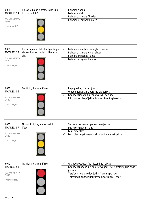| 6038<br><b>MCARS11.54</b><br>ROAD AND TRAFFIC<br><b>SIGNS</b><br>Immarka twegiba 1 | Riesaq lejn dan it-traffic light. Fuq<br>hiex se jaqleb?                             | L-ahmar wahdu<br>✓<br>L-ahdar wahdu<br>L-ahdar u l-ambra flimkien<br>L-ahmar u l-ambra flimkien                                                                               |
|------------------------------------------------------------------------------------|--------------------------------------------------------------------------------------|-------------------------------------------------------------------------------------------------------------------------------------------------------------------------------|
| 6039<br><b>MCARS11.55</b><br>ROAD AND TRAFFIC<br>SIGNS<br>Immarka twegiba 1        | Riesaq lejn dan it-traffic light fuq l-<br>ahmar. Id-dawl jaqleb mill-ahmar<br>ghal: | L-ahmar u l-ambra, imbaghad l-ahdar<br>✓<br>L-ahdar u l-ambra wara l-ahdar<br>L-ambra imbaghad I-ahdar<br>L-ahdar imbaghad l-ambra                                            |
| 6040<br><b>MCARS11.56</b><br>ROAD AND TRAFFIC<br><b>SIGNS</b><br>Immarka twegiba 1 | Traffic light ahmar ifisser:                                                         | Ibqa'ghaddej b'attenzjoni<br>Waqqaf jekk tista' tibbrejkja bla periklu<br>Ghandek tieqaf u tistenna wara l-istop line<br>Int ghandek tieqaf jekk mhux se tikser fuq ix-xellug |
| 6041<br><b>MCARS11.57</b><br>ROAD AND TRAFFIC<br><b>SIGNS</b><br>Immarka twegiba 1 | Fit-traffic lights, ambra wahdu<br>jfisser:                                          | Suq jekk ma hemmx pedestrians jagsmu<br>Suq jekk m'hemm hadd<br>Lesti biex titlaq<br>Lesti biex tieqaf mas- sinjal ta' l-art wara l-stop line<br>✓                            |

ROAD AND TRAFFIC SIGNS

Immarka twegiba 1



| Traffic light ahmar ifisser: |  | Ghandek twaqqaf fuq l-istop line l-abjad                        |
|------------------------------|--|-----------------------------------------------------------------|
|                              |  | Ghandek tnaggas u lesti biex twaggaf jekk it-traffiku jkun beda |
|                              |  | iadsam                                                          |
|                              |  | Tista'ddur fuq ix-xelluq jekk m'hemmx periklu                   |
|                              |  |                                                                 |

Tista' tibqa' ghaddej jekk m'hemmx traffiku iehor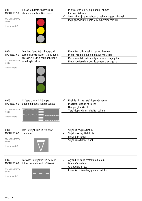Riesaq lejn traffic lights li juri lahmar u l-ambra. Dan ifisser:

ROAD AND TRAFFIC SIGNS

Immarka twegiba 1



Id-dwal waslu biex jaqilbu fuq l-ahmar Id-dwal bil-hsara  $\checkmark$  Stenna biex jixghel l-ahdar qabel ma taqsam id-dwal Ibqa' ghaddej mil-lights jekk m'hemmx traffiku

6044 MCARS11.60

SIGNS

ROAD AND TRAFFIC

Immarka twegiba 1

Qieghed f'post fejn jiltaqghu xi toroq ikkontrollat bit- traffic lights. Meta MA TISTAX issuq anke jekk ikun fuq l-ahdar?

Meta jkun bi hsiebek tikser fuq il-lemin  $\checkmark$  Meta I-hrug mill-junction huwa mblukkat

Meta tahseb li d-dwal setghu waslu biex jaqilbu Meta l-pedestrians qed jistennew biex jaqsmu

6045 MCARS11.61 ROAD AND TRAFFIC SIGNS Immarka twegiba 1 X'ifissru dawn il-linji zigzag quddiem pedestrian crossings? Fl-ebda hin ma tista' tipparkja hemm Ma tistax iddoqq hornijiet Naqqas ghal 20kph Tista' tipparkja biss ghal ftit tal-hin

| 6046<br>MCARS11.62<br>ROAD AND TRAFFIC<br><b>SIGNS</b><br>Immarka twegiba 1 | Dan is-sinjal ikun fit-triq ezatt<br>quddiem |   | Sinjal li t-triq ma tinfidx<br>Sinjal biex taghti d-dritta<br>Sinjal biex tiegaf<br>Sinjal li ma tistax tidhol |  |
|-----------------------------------------------------------------------------|----------------------------------------------|---|----------------------------------------------------------------------------------------------------------------|--|
| 6047                                                                        | Tara dan is-sinjal fit-triq hekk kif         | ✓ | Aghti d-dritta lit-traffiku mil-lemin                                                                          |  |
| MCARS11.63                                                                  | tidhol f'roundabout. X'ifisser?              |   | Waqqaf mal-linja                                                                                               |  |
|                                                                             |                                              |   | Ghandek id-dritta                                                                                              |  |
| ROAD AND TRAFFIC<br>CICAIC                                                  |                                              |   | It-traffiku mix-xelluq ghandu d-dritta                                                                         |  |

ROAD AND TRAFFIC SIGNS

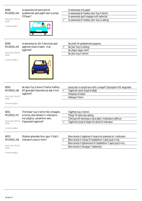| 6048<br><b>MCARS11.64</b><br>ROAD AND TRAFFIC<br><b>SIGNS</b><br>Immarka twegiba 1 | Is-sewwieq tal-karrozza ta'<br>quddiemek qed jaghti dan is-sinjal.<br>X'ifisser?                                                   |              | Is-sewwieq irid jaqla'<br>Is-sewwieq bi hsiebu jdur fuq il-lemin<br>Is-sewwieq qed inaqqas mill-velocita'<br>Is-sewwieg bi hsiebu jdur fug ix-xellug                                                                     |
|------------------------------------------------------------------------------------|------------------------------------------------------------------------------------------------------------------------------------|--------------|--------------------------------------------------------------------------------------------------------------------------------------------------------------------------------------------------------------------------|
| 6049<br><b>MCARS11.65</b><br>ROAD AND TRAFFIC<br>SIGNS<br>Immarka twegiba 1        | Is-sewwieq ta' din il-karrozza qed<br>jaghmel sinjal b'idejh. X'se<br>jaghmel?                                                     |              | Se jhalli lill-pedestrians jaqsmu<br>Se jdur fuq ix-xellug<br>Se jibqa' sejjer dritt<br>Se jdur fug il-lemin                                                                                                             |
| 6050<br><b>MCARS11.66</b><br>ROAD AND TRAFFIC<br><b>SIGNS</b><br>Immarka twegiba 1 | Se ddur fuq il-lemin f'hafna traffiku.<br>Kif ghandek tikkonferma dak li trid<br>taghmel?                                          | $\checkmark$ | Issuq lejn is-sinjal tan-nofs u tieqaf f'pozizzjoni ftit angulata<br>Taghmel ukoll sinjal b'idejk<br>Itteptep id-dawl<br>Iddogg il-horn                                                                                  |
| 6051<br><b>MCARS11.67</b><br>ROAD AND TRAFFIC<br><b>SIGNS</b><br>Immarka twegiba 1 | Trid tikser fuq il-lemin fejn jiltaqghu<br>xi toroq izda tahseb li l-indicators<br>ma jistghux jarawhom sew.<br>X'ghandek taghmel? |              | Taghfas fuq il-lemin<br>Tibqa' fil-lane tax-xellug<br>Tohroq mill-karozza u tara jekk l-indicators jidhrux<br>Taghmel sinjal b'idejk kif ukoll bl-indicator                                                              |
| 6053<br><b>MCARS11.69</b><br>ROAD AND TRAFFIC<br><b>SIGNS</b>                      | Ghaliex ghandek tkun zgur li tfejt I-<br>indicators wara li ksirt?                                                                 | ✓            | Biex tevita li taghmel il-hsara lis-sistema ta' l-indicator<br>Biex tevita li tizvija lil haddiehor li ged juza t-trig<br>Biex tevita li tghammex lil haddiehor li qed juza t-triq<br>Biex tevita li twaqqa' I-batterija |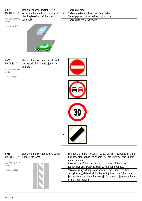ROAD AND TRAFFIC taghmel? SIGNS

Qed tistenna f'T-junction. Gejja vettura mil-lemin bis-sinjal jixghel ghal fuq ix-xellug. X'ghandek

|   | Tohrog bil-mod                             |
|---|--------------------------------------------|
| ✓ | Tistenna sakemm il-vettura tibda diehla    |
|   | Tohrog qabel il-vettura tilhaq il-junction |
|   | Tohrog u taccellera f'daqqa                |

Immarka twegiba 1



## 6055 MCARS11.71

Liema minn dawn is-sinjali jfisser li qed jghodd il-limitu nazzjonali talvelocita`?

ROAD AND TRAFFIC SIGNS

Immarka twegiba 1









| 6056       | Liema minn dawn jiddeskrivu dawn |  |
|------------|----------------------------------|--|
| MCARS11.72 | il-marki tat-toroq?              |  |

ROAD AND TRAFFIC SIGNS

Immarka twegiba 1



Linji tat-traffiku ta' twissija fi strixxi divizorji mizbugha li jistghu jintuzaw biex jaqilghu minnhom jekk ma jkunx gej traffiku minnaha opposta Riserva fin-nofs li tista' tintuza minn vetturi li jkunu qed jaqilghu jekk ma jkunx gej traffiku min-naha opposta Strixxi mizbugha f'linji bojod kontinwi mahsuba biex jifirdu

 $\checkmark$ zewg karreggjati tat-traffiku, liema linji l-vetturi m'ghandhomx jaqsmuhom jew jidhlu fihom ghajr f'emergenza jew meta jkunu ordnati mill-pulizija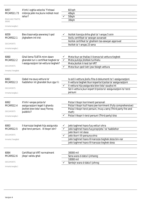| 6057<br><b>MCARS11.73</b><br>ROAD AND TRAFFIC<br><b>SIGNS</b><br>Immarka twegiba 1<br>6059<br>MCARS12.1<br><b>DOCUMENTS</b><br>Immarka twegiba 1 | X'inhi l-oghla velocita` f'inhawi<br>mibnija jekk ma jkunx indikat mod<br>iehor?<br>Biex tissorvelja sewwieq li qed<br>jitghallem int trid: |              | 60 kph<br>40kph<br>50kph<br>30kph<br>Ikollok licenzja shiha ghal ta' l-anqas 5 snin<br>Ikollu certifikat ta' sewqan avvanzat<br>Ikollok certifikat ta' ghalliem tas-sewqan approvat<br>Ikollok ta' I-angas 23 sena                                              |
|--------------------------------------------------------------------------------------------------------------------------------------------------|---------------------------------------------------------------------------------------------------------------------------------------------|--------------|-----------------------------------------------------------------------------------------------------------------------------------------------------------------------------------------------------------------------------------------------------------------|
| 6060<br>MCARS12.2<br><b>DOCUMENTS</b><br>Immarka 3 twegibiet                                                                                     | Ghal liema TLIETA minn dawn<br>ghandek turi c-certifikat tieghek ta<br>l-assigurazzjoni tal-vettura tieghek?                                | ✓<br>✓<br>✓  | Meta tkun se thallas il-licenza tal-vettura tieghek<br>Meta pulizija jitolbok turihielu<br>Meta jkollok it-test tal-VRT<br>Meta tkun qed tixtri jew tbiegh vettura                                                                                              |
| 6061<br>MCARS12.3<br><b>DOCUMENTS</b><br>Immarka twegiba 1                                                                                       | Qabel ma ssuq vettura ta'<br>haddiehor int ghandek tkun zgur li:                                                                            | $\checkmark$ | Is-sid il-vettura jkollu fiha d-dokumenti ta' l-assigurazzjoni<br>II-vettura tieghek tkun koperta b'polza ta' assigurazzjoni<br>Il-vettura hija assigurata biex tista' ssuqha int<br>Sid il-vettura jkun kopert b'polza ta' assigurazzjoni ta' terzi<br>persuni |
| 6062<br>MCARS12.4<br><b>DOCUMENTS</b><br>Immarka twegiba 1                                                                                       | X'inhi l-anqas polza ta'<br>assigurazzjoni legali li ghandu<br>jkollok biex tista' ssuq f'toroq<br>pubblici?                                | ✓            | Polza li tkopri korrimenti personali<br>Polza li tkopri kull hsara jew korriment (Fully comprehensive)<br>Polza li tkopri terzi persuni, hrug u serg (Third party fire and<br>theft)<br>Polza li tkopri t-terzi persuni (Third party) biss                      |
| 6063<br>MCARS12.5<br><b>DOCUMENTS</b><br>Immarka 3 twegibiet                                                                                     | II-karrozza tieghek hija assigurata<br>ghal terzi persuni. Xi tkopri din?                                                                   | ✓<br>✓       | Jekk taghmel hsara fuq vetturi ohra<br>Jekk taghmel hsara fuq proprjeta` ta' haddiehor<br>Jekk tkorri int stess<br>Jekk tkorri lill-persuna ohra<br>Jekk taghmel hsara lill-karozza tieghek stess bin-nar<br>Jekk taghmel hsara lill-karozza tieghek stess      |
| 6064<br>MCARS12.6<br><b>DOCUMENTS</b><br>Immarka twegiba 1                                                                                       | Certifikat tal-VRT normalment<br>jibqa' validu ghal:                                                                                        |              | 30000 mil<br>Sena wara d-data li jinhareg<br>10000 mil<br>Sentejn wara d-data li johrog                                                                                                                                                                         |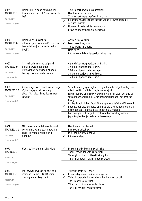| 6065<br>MCARS12.7<br><b>DOCUMENTS</b><br>Immarka 3 twegibiet<br>6066<br>MCARS12.8<br><b>DOCUMENTS</b> | Liema TLIETA minn dawn ikollok<br>bzonn qabel ma tista' ssuq skond il-<br>ligi?<br>Liema ZEWG bicciet ta'<br>informazzjoni ssibhom f'dokument<br>tar-registrazzjoni ta' vettura (log<br>book)? | Tkun kopert sew bl-assigurazzjoni<br>Handbook tal-vettura<br>Tkun kopert meta tiqaflek il-karozza<br>II-karta tonda tal-licenza tat-triq valida li titwahhal fuq il-<br>vettura tieghek<br>Licenza ffirmata valida tas-sewqan<br>Prova ta' identifikazzjoni personali<br>Aghmla tal-vettura<br>✓<br>Isem tas-sid registrat<br>$\checkmark$<br>Tip ta' polza ta' sigurta'<br>Data tal-VRT                                                                                                                                                                                                            |
|-------------------------------------------------------------------------------------------------------|------------------------------------------------------------------------------------------------------------------------------------------------------------------------------------------------|-----------------------------------------------------------------------------------------------------------------------------------------------------------------------------------------------------------------------------------------------------------------------------------------------------------------------------------------------------------------------------------------------------------------------------------------------------------------------------------------------------------------------------------------------------------------------------------------------------|
| Immarka 2 twegibiet                                                                                   |                                                                                                                                                                                                | Informazzjoni dwar is-service tal-vettura                                                                                                                                                                                                                                                                                                                                                                                                                                                                                                                                                           |
| 6067<br>MCARS12.9<br><b>DOCUMENTS</b><br>Immarka twegiba 1                                            | X'inhu l-oghla numru ta' punti<br>penali li awtomatikament<br>jiskwalifikaw sewwieq li ghandu<br>licenzja tas-sewqan bi prova?                                                                 | 4 punti f'sena fuq perjodu ta' 3 snin.<br>12-il punt f'perjodu ta' 3 snin.<br>18-il punt f'perjodu ta' sentejn.<br>10 punti f'perjodu ta' kull sena.<br>15-il punt f'perjodu ta' 5 snin.                                                                                                                                                                                                                                                                                                                                                                                                            |
| 6068<br><b>MCARS12.10</b><br><b>DOCUMENTS</b><br>Immarka twegiba 1                                    | Apparti li jsofri xi penali skond il-ligi<br>x'ghandu jaghmel sewwieq<br>skwalifikat biex jikseb licenzja tas-<br>sewqan?                                                                      | Sempliciment jerga' jaghmel u jghaddi mit-testijiet tat-tejorija<br>u test prattiku ta' hila u mgieba meta jrid<br>Jerga' japplika bhala sewwieq gdid wara li jiskadi l-perjodu ta'<br>skwalifikazzjoni u jkollu jerga' jaghmel u jghaddi mit-test tat-<br>teorija<br>Ihallas il-multi li jkun fadal. Wara l-perjodu ta' skwalifikazzjoni<br>jibghat applikazzjoni gdida ghal-licenzja u jerga' joqghod ghall-<br>$\checkmark$<br>ezami tat-teorija u test prattiku ta' hila u mgieba<br>Jistenna ghal kull perjodu ta' skwalifikazzjoni li jghaddi u<br>japplika ghal kopja tal-licenza tas-sewgan |
| 6069<br><b>MCARS12.11</b><br><b>DOCUMENTS</b><br>Immarka twegiba 1                                    | Min hu responsabbli biex jizgura li<br>vettura hija kompletament tajba<br>ghat-triq meta tinstaq fi triq<br>pubblika?                                                                          | Hadd b'mod partikulari.<br>II-mekkanik tieghek.<br>Min jaghmel it-test tal-VRT.<br>Int is-sewwieq.<br>✓                                                                                                                                                                                                                                                                                                                                                                                                                                                                                             |
| 6070<br>MCARS13.1<br><b>ACCIDENTS</b><br>Immarka twegiba 1                                            | F'post ta' incident int ghandek:                                                                                                                                                               | Ma tqieghedx lilek innifsek f'riskju<br>Thalli I-magni tal-vetturi startjati<br>Tohrog lil kulhadd mill-vetturi taghhom<br>Tmur ghal dawk il-vittmi li ged iwerzqu                                                                                                                                                                                                                                                                                                                                                                                                                                  |
| 6071<br>MCARS13.2<br><b>ACCIDENTS</b><br>Immarka 4 twegibiet                                          | Int I-ewwel Ii wasalt fil-post ta' I-<br>incident. Liema ERBGHA minn<br>dawn ghandek taghmel?                                                                                                  | Twissi lit-traffiku l-iehor<br>Iccempel ghas-servizzi ta' emergenza<br>Tiehu 'I boghod mill-post dawk li m'humiex korruti<br>Titfi I-magni tal-vettura<br>✓<br>Titlaq hekk kif jasal sewwieq iehor<br>Toffri lill-feruti xi haga x'jixorbu                                                                                                                                                                                                                                                                                                                                                          |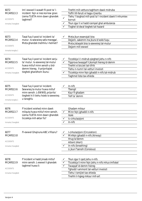| 6072<br>MCARS13.3<br><b>ACCIDENTS</b><br>Immarka 3 twegibiet<br>6073<br>MCARS13.4<br><b>ACCIDENTS</b> | Int I-ewwel Ii wasalt fil-post ta' I-<br>incident fejn xi nies korrew gravi.<br>Liema TLIETA minn dawn ghandek<br>taghmel?<br>Tasal fuq il-post ta' incident ta'<br>mutur. Is-sewwieq safa mwegga'.<br>Meta ghandek tnehhilu I-helmet? | Tnehhi mill-vettura taghhom dawk midruba<br>Toffri lill-feruti xi haga x'jixorbu<br>Tiehu 'I boghod mill-post ta' I-incident dawk li mhumiex<br>$\checkmark$<br>korruti<br>Tkun zgur li xi hadd icempel ghal ambulanza<br>Tixghel id-dwal tieghek tal-hazard<br>Meta jkun essenzjali biss<br>Dejjem, sakemm ma jkunx b'xokk fuqu<br>Meta jistaqsik biss is-sewwieq tal-mutur |
|-------------------------------------------------------------------------------------------------------|----------------------------------------------------------------------------------------------------------------------------------------------------------------------------------------------------------------------------------------|------------------------------------------------------------------------------------------------------------------------------------------------------------------------------------------------------------------------------------------------------------------------------------------------------------------------------------------------------------------------------|
| Immarka twegiba 1                                                                                     |                                                                                                                                                                                                                                        | Dejjem mill-ewwel                                                                                                                                                                                                                                                                                                                                                            |
| 6074<br>MCARS13.5<br><b>ACCIDENTS</b><br>Immarka 3 twegibiet                                          | Tasal fuq il-post ta' incident serju<br>ta' mutur. Is-sewwieg tal-mutur<br>huwa mitluf minn sensih u bid-<br>demm hiereg. Il-prijoritajiet<br>tieghek ghandhom ikunu:                                                                  | Ticcekkja li l-midrub qieghed jiehu n-nifs<br>Tipprova twaqqaf li jkompli hiereg id-demm<br>Tnehhi xi bicciet tat-tifrik<br>Tiehu n-numri tal-vetturi involuti<br>✓<br>Ticcekkja minn fejn jghaddi n-nifs tal-midrub<br>Taghmel lista tax-xhieda                                                                                                                             |
| 6075<br>MCARS13.6<br><b>ACCIDENTS</b><br>Immarka twegiba 1                                            | Tasal fuq il-post ta' incident.<br>Sewwieq ta mutur huwa mitluf<br>minn sensih. L-EWWEL prijorita`<br>tieghek hi li tiehu hsieb is-sewwieq<br>u taraghlu                                                                               | In-nifs<br>Tbengil<br>Ksur fl-ghadam<br>Telf ta' demm                                                                                                                                                                                                                                                                                                                        |
| 6076<br>MCARS13.7<br><b>ACCIDENTS</b><br>Immarka 3 twegibiet                                          | F'incident wiehed minn dawk<br>milquta huwa mitluf minn sensih.<br>Liema TLIETA minn dawn ghandek<br>ticcekkja mill-aktar fis?                                                                                                         | Ghadam miksur<br>Minn fejn jghaddi n-nifs<br><b>Xokk</b><br>Ic-cirkulazzjoni<br>In-nifs                                                                                                                                                                                                                                                                                      |
| 6077<br>MCARS13.8<br><b>ACCIDENTS</b><br>Immarka 3 twegibiet                                          | FI-ewwel Ghajnuna ABC x'ifissru?                                                                                                                                                                                                       | I-cirkulazzjoni (Circulation)<br>Minfejn jghaddi n-nifs (Airway)<br>✓<br>Hrug ta'demm<br>Attent (Alert)<br>In-nifs (breathing)<br>Li jkun f'sensih (Consious)                                                                                                                                                                                                                |
| 6078<br>MCARS13.9<br><b>ACCIDENTS</b><br>Immarka 3 twegibiet                                          | F'incident xi hadd jinsab mitluf<br>minn sensih. L-ewwel li ghandek<br>taghmel huwa li:                                                                                                                                                | Tkun zgur li qed jiehu n-nifs<br>Ticcekkja li minn fejn jiehu n-nifs mhux imfixkel<br>✓<br>✓<br>Twaqqaf id-demm hiereg<br>Tghodd I-ammont tal-vetturi involuti<br>Tiehu I-ismijiet tax-xhieda<br>Tnehhi il-hgieg miksur mill-art                                                                                                                                             |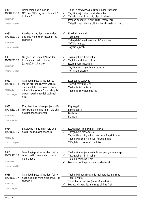| 6079<br><b>MCARS13.10</b><br><b>ACCIDENTS</b><br>Immarka 2 twegibiet<br>6080<br><b>MCARS13.11</b> | Liema minn dawn li gejjin<br>M'GHANDEKX taghmel fil-post ta'<br>incident?<br>Kien hemm incident. Is-sewwieq<br>qed ibati minn xokk (qatgha). Int                                        | ✓<br>✓<br>✓<br>✓ | Titlob lis-sewwieqa biex jitfu l-magni taghhom<br>Taghtihom jixorbu xi xorb alkohliku<br>Taghti sigarett lil xi hadd biex tikkalmah<br>Issejjah minnufih lis-servizzi ta' emergenza<br>Twissi lill-vetturi ohra billi tixghel id-dwal tal-hazard<br>Ma thallihx wahdu<br>Tassigurah |
|---------------------------------------------------------------------------------------------------|-----------------------------------------------------------------------------------------------------------------------------------------------------------------------------------------|------------------|-------------------------------------------------------------------------------------------------------------------------------------------------------------------------------------------------------------------------------------------------------------------------------------|
| <b>ACCIDENTS</b><br>Immarka 2 twegibiet                                                           | ghandek:                                                                                                                                                                                |                  | Tistaqsih ta' min kien it-tort ta' l-incident<br>Toffrilu sigarett<br>Taghtih x'jixrob                                                                                                                                                                                              |
| 6081<br><b>MCARS13.12</b><br><b>ACCIDENTS</b><br>Immarka 3 twegibiet                              | Qieghed fuq il-post ta' I-incident.<br>Xi whud qed ibatu minn xokk<br>(gatgha). Int ghandek:                                                                                            | ✓<br>✓<br>✓      | Tassigurahom il-hin kollu<br>Thollilhom xi Ibies issikkat<br>Izzommhom imsahhnin<br>Taghtihom xi haga shuna x'jixorbu<br>Toffrilhom sigarett                                                                                                                                        |
| 6082<br><b>MCARS13.13</b><br><b>ACCIDENTS</b><br>Immarka twegiba 1                                | Tasal fuq il-post ta' incident ta'<br>mutur. Ma kienx hemm vettura<br>ohra involuta. Is-sewwieq huwa<br>mitluf minn sensih f'nofs it-triq. L-<br>ewwel haga li ghandek taghmel<br>hija: | $\checkmark$     | Issabbar lis-sewwieq<br>Twissi t-traffiku l-iehor<br>Tnehhi t-tifrik mit-triq<br>Tnehhi lis-sewwieq mit-triq                                                                                                                                                                        |
| 6083<br><b>MCARS13.14</b><br><b>ACCIDENTS</b><br>Immarka twegiba 1                                | F'incident tifel mhux qed jiehu nifs.<br>Meta taghtih in-nifs minn halq ghal<br>halg int ghandek tonfoh                                                                                 |                  | Mghaggel<br>B'mod gentili<br>BI-ahrax<br>F'daqqa                                                                                                                                                                                                                                    |
| 6084<br><b>MCARS13.15</b><br><b>ACCIDENTS</b><br>Immarka 3 twegibiet                              | Biex taghti n-nifs minn halq ghal<br>halq lil midruba int ghandek:                                                                                                                      |                  | Issoddilhom imnifsejhom flimkien<br>Titfaghlhom rashom lura<br>Taghmlilhom dirghajhom marbutin fuq sidirhom<br>Tnehhi kull xkiel minn fejn jghaddi n-nifs<br>Titfaghlhom rashom 'il quddiem                                                                                         |
| 6085<br><b>MCARS13.16</b><br><b>ACCIDENTS</b><br>Immarka 2 twegibiet                              | Tasal fuq il-post ta' incident fejn xi<br>whud qed ibatu minn hruq gravi.<br>Int ghandek:                                                                                               | ✓                | Tnehhi xi affarijiet mwahhla mal-partijiet mahruqa<br>Tassigurahom il-hin kollu<br>Tmidd Iil midruba fl-art<br>Ixxarrab sew il-gerha mahruqa bl-ilma frisk                                                                                                                          |
| 6086<br><b>MCARS13.17</b><br><b>ACCIDENTS</b><br>Immarka twegiba 1                                | Tasal fuq il-post ta' incident fejn xi<br>hadd ged ibati minn hrug gravi. Int<br>ghandek:                                                                                               |                  | Tnehhi kull haga mwahhla mal-partijiet mahruqa<br>Tifqa' xi nfafet<br>Tidlek krema medika (lotions) mal-ferita<br>Ixxappap il-partijiet mahruqa bl-ilma frisk                                                                                                                       |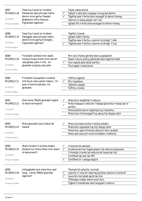| 6087<br><b>MCARS13.18</b><br><b>ACCIDENTS</b><br>Immarka 2 twegibiet | Tasal fuq il-post ta' incident.<br>Pedestrian ged johroglu hafna<br>demm minn gerha f'saqajh<br>ghalkemm mhix miksura.<br>X'ghandek taghmel? | ✓            | Tisqih xarba shuna<br>Tgholli s-sieq biex tnaqqas il-hrug tad-demm<br>Taghfas sew il-ferita biex twaqqaf id-demm hiereg<br>Izzomm iz-zewq saqajn ma'l-art<br>tghatti ftit il-ferita biex twaqqaf id-demm hiereg |
|----------------------------------------------------------------------|----------------------------------------------------------------------------------------------------------------------------------------------|--------------|-----------------------------------------------------------------------------------------------------------------------------------------------------------------------------------------------------------------|
| 6088<br><b>MCARS13.19</b>                                            | Tasal fuq il-post ta' incident.<br>Passiggier ged johroglu hafna                                                                             |              | Taghtih x'jixrob<br>tghatti hafif il-ferita                                                                                                                                                                     |
| <b>ACCIDENTS</b>                                                     | demm minn gerha fi drieghu.                                                                                                                  |              | Taghfas sew il-ferita u zzomm id-driegh 'l isfel                                                                                                                                                                |
|                                                                      | X'ghandek taghmel?                                                                                                                           |              | Taghfas sew il-ferita u zzomm id-driegh 'il fuq                                                                                                                                                                 |
| Immarka twegiba 1                                                    |                                                                                                                                              |              |                                                                                                                                                                                                                 |
| 6089                                                                 | F'incident wiehed minn dawk                                                                                                                  |              | Min ikun ihares jghinek biex iccaqlaqhom                                                                                                                                                                        |
| <b>MCARS13.20</b>                                                    | milguta huwa mitluf minn sensih<br>izda ghadu jiehu n-nifs. Int                                                                              | ✓            | Dawk li jkunu jharsu jghidulek biex taghmel hekk                                                                                                                                                                |
| <b>ACCIDENTS</b>                                                     | ghandek iccaqilqu biss jekk:                                                                                                                 |              | Ikun espost ghal aktar periklu<br>Tkun gejja I-ambulanza                                                                                                                                                        |
| Immarka twegiba 1                                                    |                                                                                                                                              |              |                                                                                                                                                                                                                 |
| 6090                                                                 | F'incident tissuspetta li wiehed                                                                                                             |              | Toffrilu sigarett                                                                                                                                                                                               |
| <b>MCARS13.21</b>                                                    | mill-feruti sofra griehi f'dahru. Fil-                                                                                                       | ✓            | Ma ccagalqux                                                                                                                                                                                                    |
| <b>ACCIDENTS</b>                                                     | post m'hemmx periklu. Int<br>ghandek:                                                                                                        |              | Tghollilu saqajh<br>Toffrilu x'jixrob                                                                                                                                                                           |
| Immarka twegiba 1                                                    |                                                                                                                                              |              |                                                                                                                                                                                                                 |
| 6091                                                                 | Ghal liema TNEJN ghandek tixghel                                                                                                             | ✓            | Meta tkun waqfitlek il-vettura<br>Meta tnaqqas il-velocita` f'daqqa ghax tkun riesaq lejn xi                                                                                                                    |
|                                                                      |                                                                                                                                              |              |                                                                                                                                                                                                                 |
| <b>MCARS13.22</b>                                                    | id-dwal tal-hazard?                                                                                                                          | ✓            | periklu                                                                                                                                                                                                         |
| <b>ACCIDENTS</b>                                                     |                                                                                                                                              |              | Meta jkollok bzonn tipparkja fuq il-bankina                                                                                                                                                                     |
| Immarka 2 twegibiet                                                  |                                                                                                                                              |              | Meta tkun trid twaqqaf fuq zewg linji doppji sofor                                                                                                                                                              |
| 6093                                                                 | Meta ghandek tuza d-dwal tal-                                                                                                                |              | Meta ma tistax tevita li tohlog ostaklu                                                                                                                                                                         |
| MCARS13.24                                                           | hazard                                                                                                                                       |              | Meta tkun ipparkjat fuq linji doppji sofor                                                                                                                                                                      |
| <b>ACCIDENTS</b>                                                     |                                                                                                                                              |              | Meta tkun qed tirmonka vettura li tkun waqfet                                                                                                                                                                   |
| Immarka twegiba 1                                                    |                                                                                                                                              |              | Meta qed issuq bil-mod minhabba l-maltemp                                                                                                                                                                       |
| 6094                                                                 | Wara incident il-pulizija jistghu                                                                                                            |              | Il-licenza tas-sewqan                                                                                                                                                                                           |
| <b>MCARS13.25</b>                                                    | jitolbuk turi liema tlieta minn dawn                                                                                                         |              | Id-dokument tar-registrazzjoni tal-vettura (log book)                                                                                                                                                           |
| <b>ACCIDENTS</b>                                                     | id-dokumenti?                                                                                                                                |              | Il-licenzja t-tonda tal-vettura tat-taxxa tat-triq                                                                                                                                                              |
|                                                                      |                                                                                                                                              |              | Certifikat tat-test tal-VRT                                                                                                                                                                                     |
| Immarka 3 twegibiet                                                  |                                                                                                                                              |              | Certifikat ta' l-assigurazzjoni                                                                                                                                                                                 |
| 6095                                                                 | Jinfaqghalek tyre meta tkun qed                                                                                                              |              | Tkompli bil-velocita` normali                                                                                                                                                                                   |
| <b>MCARS13.26</b>                                                    | issuq. Liema TNEJN ghandek                                                                                                                   | $\checkmark$ | Izzomm ir-rota ta'l-istering sod biex izzomm il-kontroll                                                                                                                                                        |
|                                                                      | taghmel?                                                                                                                                     |              | Issuq bil-mod ghall-genb tat-triq                                                                                                                                                                               |
| <b>ACCIDENTS</b><br>Immarka 2 twegibiet                              |                                                                                                                                              |              | Tibbrejkja malajr kemm jista' jkun<br>Tigbed il-handbrake biex twaqqaf il-vettura                                                                                                                               |